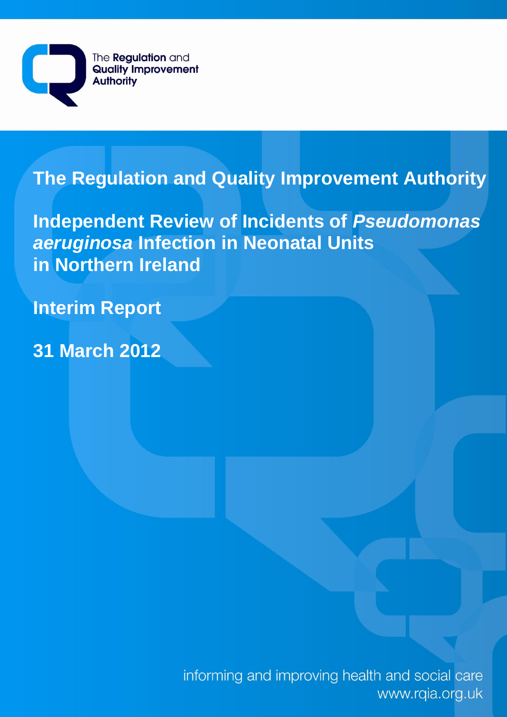

# **The Regulation and Quality Improvement Authority**

**Independent Review of Incidents of** *Pseudomonas aeruginosa* **Infection in Neonatal Units in Northern Ireland**

**Interim Report**

**31 March 2012**

informing and improving health and social care www.rqia.org.uk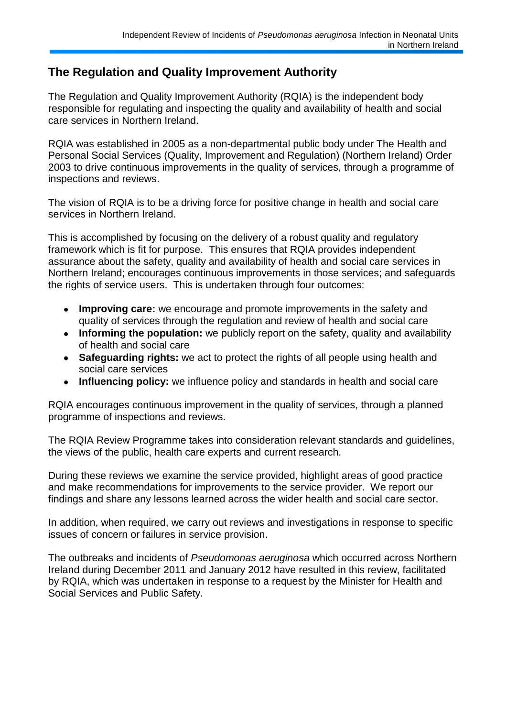## **The Regulation and Quality Improvement Authority**

The Regulation and Quality Improvement Authority (RQIA) is the independent body responsible for regulating and inspecting the quality and availability of health and social care services in Northern Ireland.

RQIA was established in 2005 as a non-departmental public body under The Health and Personal Social Services (Quality, Improvement and Regulation) (Northern Ireland) Order 2003 to drive continuous improvements in the quality of services, through a programme of inspections and reviews.

The vision of RQIA is to be a driving force for positive change in health and social care services in Northern Ireland.

This is accomplished by focusing on the delivery of a robust quality and regulatory framework which is fit for purpose. This ensures that RQIA provides independent assurance about the safety, quality and availability of health and social care services in Northern Ireland; encourages continuous improvements in those services; and safeguards the rights of service users. This is undertaken through four outcomes:

- **Improving care:** we encourage and promote improvements in the safety and  $\bullet$ quality of services through the regulation and review of health and social care
- $\bullet$ **Informing the population:** we publicly report on the safety, quality and availability of health and social care
- **Safeguarding rights:** we act to protect the rights of all people using health and social care services
- **Influencing policy:** we influence policy and standards in health and social care  $\bullet$

RQIA encourages continuous improvement in the quality of services, through a planned programme of inspections and reviews.

The RQIA Review Programme takes into consideration relevant standards and guidelines, the views of the public, health care experts and current research.

During these reviews we examine the service provided, highlight areas of good practice and make recommendations for improvements to the service provider. We report our findings and share any lessons learned across the wider health and social care sector.

In addition, when required, we carry out reviews and investigations in response to specific issues of concern or failures in service provision.

The outbreaks and incidents of *Pseudomonas aeruginosa* which occurred across Northern Ireland during December 2011 and January 2012 have resulted in this review, facilitated by RQIA, which was undertaken in response to a request by the Minister for Health and Social Services and Public Safety.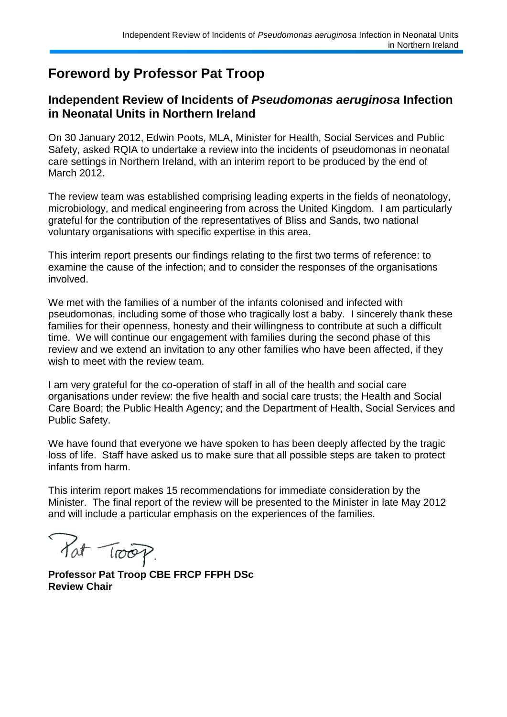# **Foreword by Professor Pat Troop**

## **Independent Review of Incidents of** *Pseudomonas aeruginosa* **Infection in Neonatal Units in Northern Ireland**

On 30 January 2012, Edwin Poots, MLA, Minister for Health, Social Services and Public Safety, asked RQIA to undertake a review into the incidents of pseudomonas in neonatal care settings in Northern Ireland, with an interim report to be produced by the end of March 2012.

The review team was established comprising leading experts in the fields of neonatology, microbiology, and medical engineering from across the United Kingdom. I am particularly grateful for the contribution of the representatives of Bliss and Sands, two national voluntary organisations with specific expertise in this area.

This interim report presents our findings relating to the first two terms of reference: to examine the cause of the infection; and to consider the responses of the organisations involved.

We met with the families of a number of the infants colonised and infected with pseudomonas, including some of those who tragically lost a baby. I sincerely thank these families for their openness, honesty and their willingness to contribute at such a difficult time. We will continue our engagement with families during the second phase of this review and we extend an invitation to any other families who have been affected, if they wish to meet with the review team.

I am very grateful for the co-operation of staff in all of the health and social care organisations under review: the five health and social care trusts; the Health and Social Care Board; the Public Health Agency; and the Department of Health, Social Services and Public Safety.

We have found that everyone we have spoken to has been deeply affected by the tragic loss of life. Staff have asked us to make sure that all possible steps are taken to protect infants from harm.

This interim report makes 15 recommendations for immediate consideration by the Minister. The final report of the review will be presented to the Minister in late May 2012 and will include a particular emphasis on the experiences of the families.

Pat Troop.

**Professor Pat Troop CBE FRCP FFPH DSc Review Chair**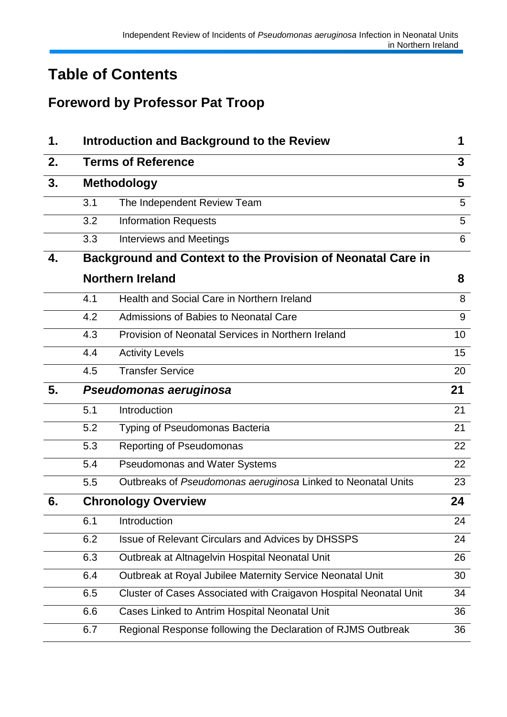# **Table of Contents**

# **Foreword by Professor Pat Troop**

| 1. |     | <b>Introduction and Background to the Review</b>                  | 1  |  |  |  |  |  |
|----|-----|-------------------------------------------------------------------|----|--|--|--|--|--|
| 2. |     | <b>Terms of Reference</b>                                         | 3  |  |  |  |  |  |
| 3. |     | <b>Methodology</b>                                                |    |  |  |  |  |  |
|    | 3.1 | The Independent Review Team                                       | 5  |  |  |  |  |  |
|    | 3.2 | <b>Information Requests</b>                                       | 5  |  |  |  |  |  |
|    | 3.3 | <b>Interviews and Meetings</b>                                    | 6  |  |  |  |  |  |
| 4. |     | Background and Context to the Provision of Neonatal Care in       |    |  |  |  |  |  |
|    |     | <b>Northern Ireland</b>                                           | 8  |  |  |  |  |  |
|    | 4.1 | Health and Social Care in Northern Ireland                        | 8  |  |  |  |  |  |
|    | 4.2 | Admissions of Babies to Neonatal Care                             | 9  |  |  |  |  |  |
|    | 4.3 | Provision of Neonatal Services in Northern Ireland                | 10 |  |  |  |  |  |
|    | 4.4 | <b>Activity Levels</b>                                            | 15 |  |  |  |  |  |
|    | 4.5 | <b>Transfer Service</b>                                           | 20 |  |  |  |  |  |
| 5. |     | Pseudomonas aeruginosa                                            | 21 |  |  |  |  |  |
|    | 5.1 | Introduction                                                      | 21 |  |  |  |  |  |
|    | 5.2 | Typing of Pseudomonas Bacteria                                    | 21 |  |  |  |  |  |
|    | 5.3 | Reporting of Pseudomonas                                          | 22 |  |  |  |  |  |
|    | 5.4 | <b>Pseudomonas and Water Systems</b>                              | 22 |  |  |  |  |  |
|    | 5.5 | Outbreaks of Pseudomonas aeruginosa Linked to Neonatal Units      | 23 |  |  |  |  |  |
| 6. |     | <b>Chronology Overview</b>                                        | 24 |  |  |  |  |  |
|    | 6.1 | Introduction                                                      | 24 |  |  |  |  |  |
|    | 6.2 | Issue of Relevant Circulars and Advices by DHSSPS                 | 24 |  |  |  |  |  |
|    | 6.3 | Outbreak at Altnagelvin Hospital Neonatal Unit                    | 26 |  |  |  |  |  |
|    | 6.4 | Outbreak at Royal Jubilee Maternity Service Neonatal Unit         | 30 |  |  |  |  |  |
|    | 6.5 | Cluster of Cases Associated with Craigavon Hospital Neonatal Unit | 34 |  |  |  |  |  |
|    | 6.6 | Cases Linked to Antrim Hospital Neonatal Unit                     | 36 |  |  |  |  |  |
|    | 6.7 | Regional Response following the Declaration of RJMS Outbreak      | 36 |  |  |  |  |  |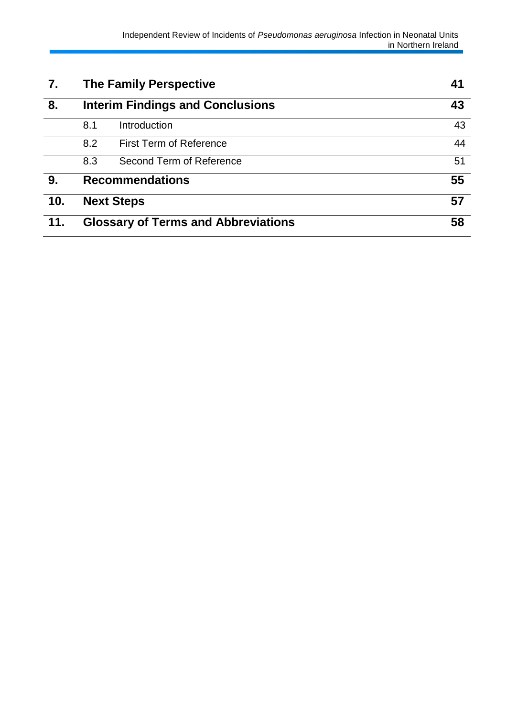| 7.  | <b>The Family Perspective</b> | 41                                         |    |
|-----|-------------------------------|--------------------------------------------|----|
| 8.  |                               | <b>Interim Findings and Conclusions</b>    | 43 |
|     | 8.1                           | Introduction                               | 43 |
|     | 8.2                           | <b>First Term of Reference</b>             | 44 |
|     | 8.3                           | Second Term of Reference                   | 51 |
| 9.  |                               | <b>Recommendations</b>                     | 55 |
| 10. |                               | <b>Next Steps</b>                          | 57 |
| 11. |                               | <b>Glossary of Terms and Abbreviations</b> | 58 |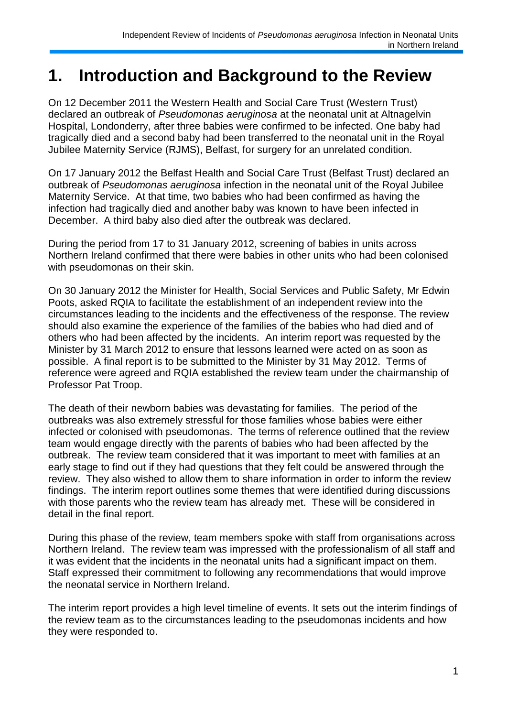# **1. Introduction and Background to the Review**

On 12 December 2011 the Western Health and Social Care Trust (Western Trust) declared an outbreak of *Pseudomonas aeruginosa* at the neonatal unit at Altnagelvin Hospital, Londonderry, after three babies were confirmed to be infected. One baby had tragically died and a second baby had been transferred to the neonatal unit in the Royal Jubilee Maternity Service (RJMS), Belfast, for surgery for an unrelated condition.

On 17 January 2012 the Belfast Health and Social Care Trust (Belfast Trust) declared an outbreak of *Pseudomonas aeruginosa* infection in the neonatal unit of the Royal Jubilee Maternity Service. At that time, two babies who had been confirmed as having the infection had tragically died and another baby was known to have been infected in December. A third baby also died after the outbreak was declared.

During the period from 17 to 31 January 2012, screening of babies in units across Northern Ireland confirmed that there were babies in other units who had been colonised with pseudomonas on their skin.

On 30 January 2012 the Minister for Health, Social Services and Public Safety, Mr Edwin Poots, asked RQIA to facilitate the establishment of an independent review into the circumstances leading to the incidents and the effectiveness of the response. The review should also examine the experience of the families of the babies who had died and of others who had been affected by the incidents. An interim report was requested by the Minister by 31 March 2012 to ensure that lessons learned were acted on as soon as possible. A final report is to be submitted to the Minister by 31 May 2012. Terms of reference were agreed and RQIA established the review team under the chairmanship of Professor Pat Troop.

The death of their newborn babies was devastating for families. The period of the outbreaks was also extremely stressful for those families whose babies were either infected or colonised with pseudomonas. The terms of reference outlined that the review team would engage directly with the parents of babies who had been affected by the outbreak. The review team considered that it was important to meet with families at an early stage to find out if they had questions that they felt could be answered through the review. They also wished to allow them to share information in order to inform the review findings. The interim report outlines some themes that were identified during discussions with those parents who the review team has already met. These will be considered in detail in the final report.

During this phase of the review, team members spoke with staff from organisations across Northern Ireland. The review team was impressed with the professionalism of all staff and it was evident that the incidents in the neonatal units had a significant impact on them. Staff expressed their commitment to following any recommendations that would improve the neonatal service in Northern Ireland.

The interim report provides a high level timeline of events. It sets out the interim findings of the review team as to the circumstances leading to the pseudomonas incidents and how they were responded to.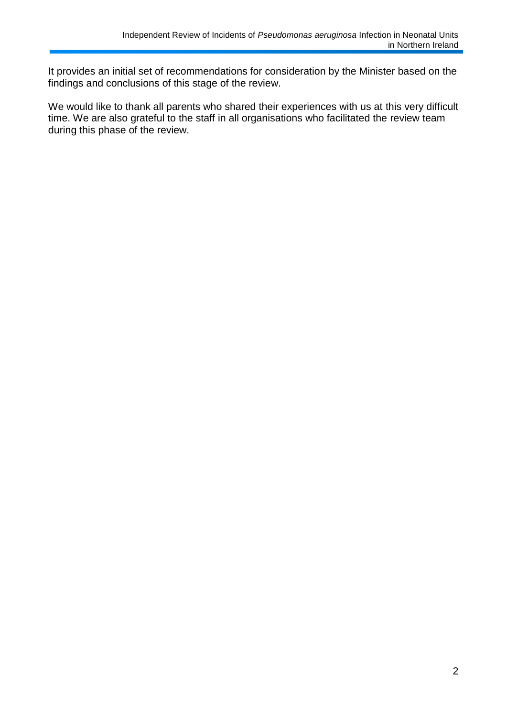It provides an initial set of recommendations for consideration by the Minister based on the findings and conclusions of this stage of the review.

We would like to thank all parents who shared their experiences with us at this very difficult time. We are also grateful to the staff in all organisations who facilitated the review team during this phase of the review.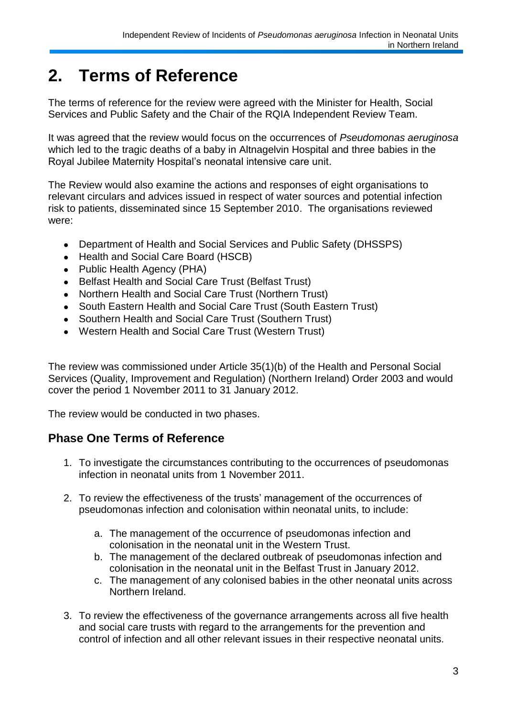# **2. Terms of Reference**

The terms of reference for the review were agreed with the Minister for Health, Social Services and Public Safety and the Chair of the RQIA Independent Review Team.

It was agreed that the review would focus on the occurrences of *Pseudomonas aeruginosa* which led to the tragic deaths of a baby in Altnagelvin Hospital and three babies in the Royal Jubilee Maternity Hospital"s neonatal intensive care unit.

The Review would also examine the actions and responses of eight organisations to relevant circulars and advices issued in respect of water sources and potential infection risk to patients, disseminated since 15 September 2010. The organisations reviewed were:

- Department of Health and Social Services and Public Safety (DHSSPS)
- Health and Social Care Board (HSCB)
- Public Health Agency (PHA)
- $\bullet$ Belfast Health and Social Care Trust (Belfast Trust)
- Northern Health and Social Care Trust (Northern Trust)  $\bullet$
- South Eastern Health and Social Care Trust (South Eastern Trust)  $\bullet$
- Southern Health and Social Care Trust (Southern Trust)
- Western Health and Social Care Trust (Western Trust)  $\bullet$

The review was commissioned under Article 35(1)(b) of the Health and Personal Social Services (Quality, Improvement and Regulation) (Northern Ireland) Order 2003 and would cover the period 1 November 2011 to 31 January 2012.

The review would be conducted in two phases.

## **Phase One Terms of Reference**

- 1. To investigate the circumstances contributing to the occurrences of pseudomonas infection in neonatal units from 1 November 2011.
- 2. To review the effectiveness of the trusts' management of the occurrences of pseudomonas infection and colonisation within neonatal units, to include:
	- a. The management of the occurrence of pseudomonas infection and colonisation in the neonatal unit in the Western Trust.
	- b. The management of the declared outbreak of pseudomonas infection and colonisation in the neonatal unit in the Belfast Trust in January 2012.
	- c. The management of any colonised babies in the other neonatal units across Northern Ireland.
- 3. To review the effectiveness of the governance arrangements across all five health and social care trusts with regard to the arrangements for the prevention and control of infection and all other relevant issues in their respective neonatal units.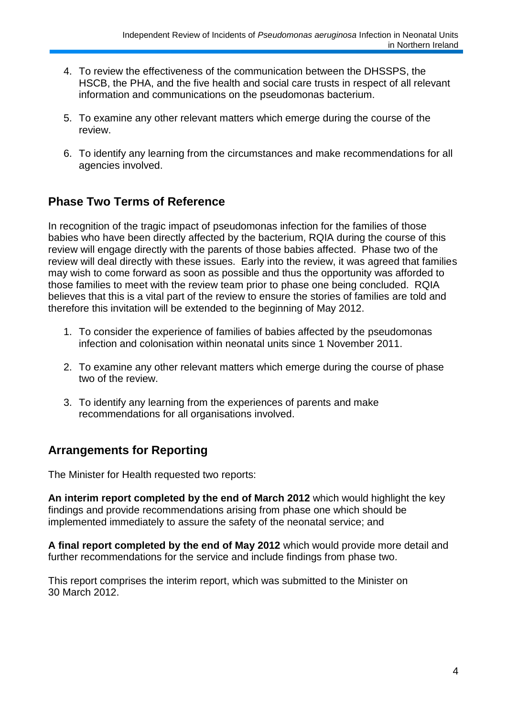- 4. To review the effectiveness of the communication between the DHSSPS, the HSCB, the PHA, and the five health and social care trusts in respect of all relevant information and communications on the pseudomonas bacterium.
- 5. To examine any other relevant matters which emerge during the course of the review.
- 6. To identify any learning from the circumstances and make recommendations for all agencies involved.

## **Phase Two Terms of Reference**

In recognition of the tragic impact of pseudomonas infection for the families of those babies who have been directly affected by the bacterium, RQIA during the course of this review will engage directly with the parents of those babies affected. Phase two of the review will deal directly with these issues. Early into the review, it was agreed that families may wish to come forward as soon as possible and thus the opportunity was afforded to those families to meet with the review team prior to phase one being concluded. RQIA believes that this is a vital part of the review to ensure the stories of families are told and therefore this invitation will be extended to the beginning of May 2012.

- 1. To consider the experience of families of babies affected by the pseudomonas infection and colonisation within neonatal units since 1 November 2011.
- 2. To examine any other relevant matters which emerge during the course of phase two of the review.
- 3. To identify any learning from the experiences of parents and make recommendations for all organisations involved.

## **Arrangements for Reporting**

The Minister for Health requested two reports:

**An interim report completed by the end of March 2012** which would highlight the key findings and provide recommendations arising from phase one which should be implemented immediately to assure the safety of the neonatal service; and

**A final report completed by the end of May 2012** which would provide more detail and further recommendations for the service and include findings from phase two.

This report comprises the interim report, which was submitted to the Minister on 30 March 2012.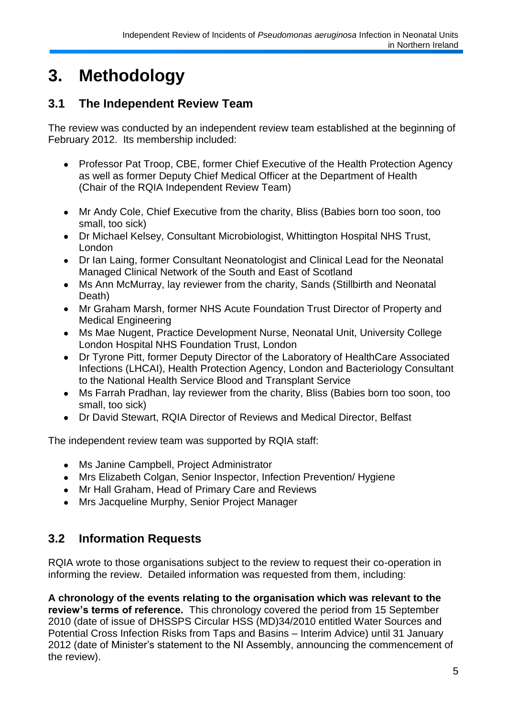# **3. Methodology**

## **3.1 The Independent Review Team**

The review was conducted by an independent review team established at the beginning of February 2012. Its membership included:

- Professor Pat Troop, CBE, former Chief Executive of the Health Protection Agency as well as former Deputy Chief Medical Officer at the Department of Health (Chair of the RQIA Independent Review Team)
- Mr Andy Cole, Chief Executive from the charity, Bliss (Babies born too soon, too small, too sick)
- Dr Michael Kelsey, Consultant Microbiologist, Whittington Hospital NHS Trust,  $\bullet$ London
- Dr Ian Laing, former Consultant Neonatologist and Clinical Lead for the Neonatal Managed Clinical Network of the South and East of Scotland
- Ms Ann McMurray, lay reviewer from the charity, Sands (Stillbirth and Neonatal  $\bullet$ Death)
- Mr Graham Marsh, former NHS Acute Foundation Trust Director of Property and  $\bullet$ Medical Engineering
- Ms Mae Nugent, Practice Development Nurse, Neonatal Unit, University College  $\bullet$ London Hospital NHS Foundation Trust, London
- $\bullet$ Dr Tyrone Pitt, former Deputy Director of the Laboratory of HealthCare Associated Infections (LHCAI), Health Protection Agency, London and Bacteriology Consultant to the National Health Service Blood and Transplant Service
- Ms Farrah Pradhan, lay reviewer from the charity, Bliss (Babies born too soon, too  $\bullet$ small, too sick)
- $\bullet$ Dr David Stewart, RQIA Director of Reviews and Medical Director, Belfast

The independent review team was supported by RQIA staff:

- Ms Janine Campbell, Project Administrator
- Mrs Elizabeth Colgan, Senior Inspector, Infection Prevention/ Hygiene
- Mr Hall Graham, Head of Primary Care and Reviews
- $\bullet$ Mrs Jacqueline Murphy, Senior Project Manager

## **3.2 Information Requests**

RQIA wrote to those organisations subject to the review to request their co-operation in informing the review. Detailed information was requested from them, including:

**A chronology of the events relating to the organisation which was relevant to the review's terms of reference.** This chronology covered the period from 15 September 2010 (date of issue of DHSSPS Circular HSS (MD)34/2010 entitled Water Sources and Potential Cross Infection Risks from Taps and Basins – Interim Advice) until 31 January 2012 (date of Minister"s statement to the NI Assembly, announcing the commencement of the review).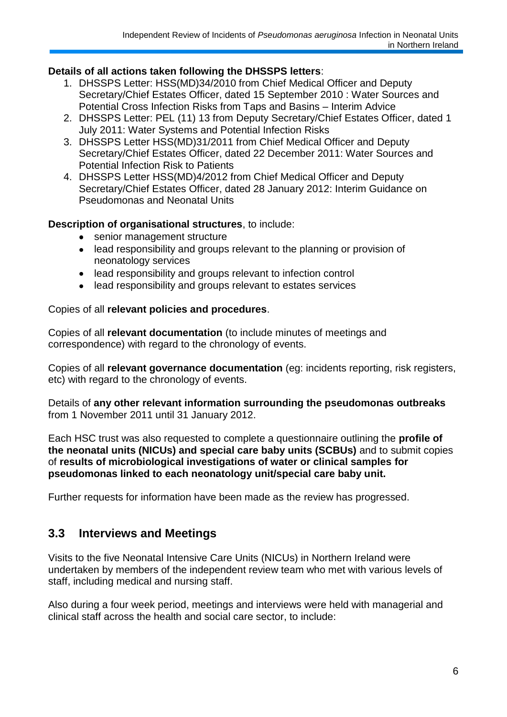### **Details of all actions taken following the DHSSPS letters**:

- 1. DHSSPS Letter: HSS(MD)34/2010 from Chief Medical Officer and Deputy Secretary/Chief Estates Officer, dated 15 September 2010 : Water Sources and Potential Cross Infection Risks from Taps and Basins – Interim Advice
- 2. DHSSPS Letter: PEL (11) 13 from Deputy Secretary/Chief Estates Officer, dated 1 July 2011: Water Systems and Potential Infection Risks
- 3. DHSSPS Letter HSS(MD)31/2011 from Chief Medical Officer and Deputy Secretary/Chief Estates Officer, dated 22 December 2011: Water Sources and Potential Infection Risk to Patients
- 4. DHSSPS Letter HSS(MD)4/2012 from Chief Medical Officer and Deputy Secretary/Chief Estates Officer, dated 28 January 2012: Interim Guidance on Pseudomonas and Neonatal Units

#### **Description of organisational structures**, to include:

- $\bullet$ senior management structure
- lead responsibility and groups relevant to the planning or provision of  $\bullet$ neonatology services
- lead responsibility and groups relevant to infection control
- lead responsibility and groups relevant to estates services

#### Copies of all **relevant policies and procedures**.

Copies of all **relevant documentation** (to include minutes of meetings and correspondence) with regard to the chronology of events.

Copies of all **relevant governance documentation** (eg: incidents reporting, risk registers, etc) with regard to the chronology of events.

Details of **any other relevant information surrounding the pseudomonas outbreaks** from 1 November 2011 until 31 January 2012.

Each HSC trust was also requested to complete a questionnaire outlining the **profile of the neonatal units (NICUs) and special care baby units (SCBUs)** and to submit copies of **results of microbiological investigations of water or clinical samples for pseudomonas linked to each neonatology unit/special care baby unit.**

Further requests for information have been made as the review has progressed.

## **3.3 Interviews and Meetings**

Visits to the five Neonatal Intensive Care Units (NICUs) in Northern Ireland were undertaken by members of the independent review team who met with various levels of staff, including medical and nursing staff.

Also during a four week period, meetings and interviews were held with managerial and clinical staff across the health and social care sector, to include: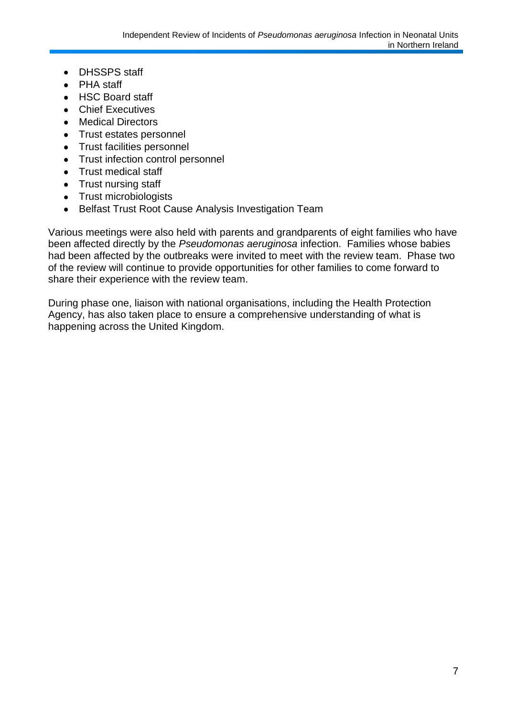- DHSSPS staff  $\bullet$
- PHA staff  $\bullet$
- HSC Board staff  $\bullet$
- Chief Executives  $\bullet$
- Medical Directors  $\bullet$
- Trust estates personnel  $\bullet$
- Trust facilities personnel  $\bullet$
- $\bullet$ Trust infection control personnel
- Trust medical staff
- Trust nursing staff
- Trust microbiologists
- Belfast Trust Root Cause Analysis Investigation Team  $\bullet$

Various meetings were also held with parents and grandparents of eight families who have been affected directly by the *Pseudomonas aeruginosa* infection. Families whose babies had been affected by the outbreaks were invited to meet with the review team. Phase two of the review will continue to provide opportunities for other families to come forward to share their experience with the review team.

During phase one, liaison with national organisations, including the Health Protection Agency, has also taken place to ensure a comprehensive understanding of what is happening across the United Kingdom.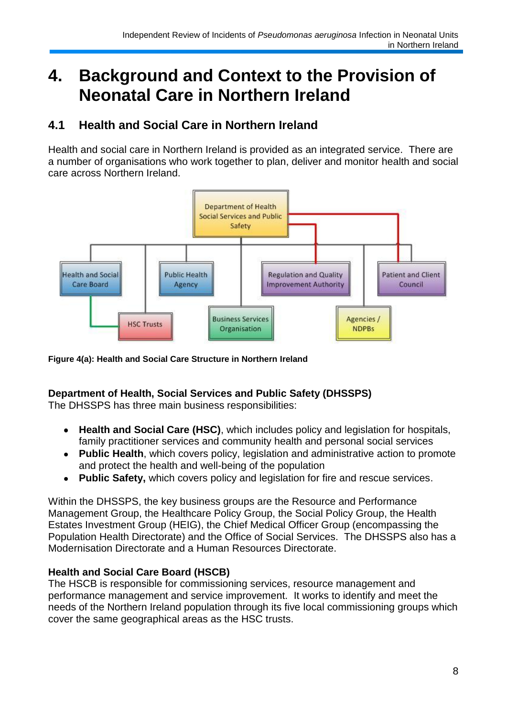# **4. Background and Context to the Provision of Neonatal Care in Northern Ireland**

# **4.1 Health and Social Care in Northern Ireland**

Health and social care in Northern Ireland is provided as an integrated service. There are a number of organisations who work together to plan, deliver and monitor health and social care across Northern Ireland.



**Figure 4(a): Health and Social Care Structure in Northern Ireland**

## **Department of Health, Social Services and Public Safety (DHSSPS)**

The DHSSPS has three main business responsibilities:

- **Health and Social Care (HSC)**, which includes policy and legislation for hospitals,  $\bullet$ family practitioner services and community health and personal social services
- **Public Health**, which covers policy, legislation and administrative action to promote and protect the health and well-being of the population
- **Public Safety,** which covers policy and legislation for fire and rescue services.  $\bullet$

Within the DHSSPS, the key business groups are the Resource and Performance Management Group, the Healthcare Policy Group, the Social Policy Group, the Health Estates Investment Group (HEIG), the Chief Medical Officer Group (encompassing the Population Health Directorate) and the Office of Social Services. The DHSSPS also has a Modernisation Directorate and a Human Resources Directorate.

## **Health and Social Care Board (HSCB)**

The HSCB is responsible for commissioning services, resource management and performance management and service improvement. It works to identify and meet the needs of the Northern Ireland population through its five local commissioning groups which cover the same geographical areas as the HSC trusts.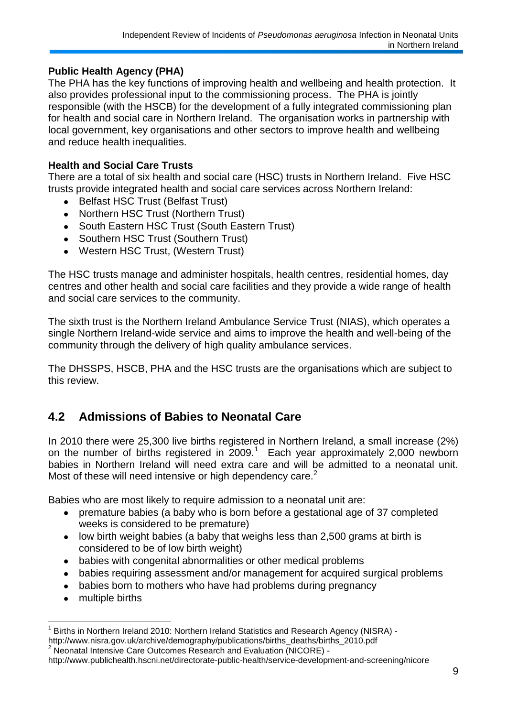### **Public Health Agency (PHA)**

The PHA has the key functions of improving health and wellbeing and health protection. It also provides professional input to the commissioning process. The PHA is jointly responsible (with the HSCB) for the development of a fully integrated commissioning plan for health and social care in Northern Ireland. The organisation works in partnership with local government, key organisations and other sectors to improve health and wellbeing and reduce health inequalities.

## **Health and Social Care Trusts**

There are a total of six health and social care (HSC) trusts in Northern Ireland. Five HSC trusts provide integrated health and social care services across Northern Ireland:

- Belfast HSC Trust (Belfast Trust)
- Northern HSC Trust (Northern Trust)
- South Eastern HSC Trust (South Eastern Trust)
- Southern HSC Trust (Southern Trust)
- Western HSC Trust, (Western Trust)

The HSC trusts manage and administer hospitals, health centres, residential homes, day centres and other health and social care facilities and they provide a wide range of health and social care services to the community.

The sixth trust is the Northern Ireland Ambulance Service Trust (NIAS), which operates a single Northern Ireland-wide service and aims to improve the health and well-being of the community through the delivery of high quality ambulance services.

The DHSSPS, HSCB, PHA and the HSC trusts are the organisations which are subject to this review.

# **4.2 Admissions of Babies to Neonatal Care**

In 2010 there were 25,300 live births registered in Northern Ireland, a small increase (2%) on the number of births registered in  $2009$ <sup>1</sup> Each year approximately 2,000 newborn babies in Northern Ireland will need extra care and will be admitted to a neonatal unit. Most of these will need intensive or high dependency care.<sup>2</sup>

Babies who are most likely to require admission to a neonatal unit are:

- premature babies (a baby who is born before a gestational age of 37 completed  $\bullet$ weeks is considered to be premature)
- low birth weight babies (a baby that weighs less than 2,500 grams at birth is  $\bullet$ considered to be of low birth weight)
- babies with congenital abnormalities or other medical problems  $\bullet$
- babies requiring assessment and/or management for acquired surgical problems  $\bullet$
- babies born to mothers who have had problems during pregnancy  $\bullet$
- multiple births  $\bullet$

<sup>&</sup>lt;u>.</u> 1 Births in Northern Ireland 2010: Northern Ireland Statistics and Research Agency (NISRA) http://www.nisra.gov.uk/archive/demography/publications/births\_deaths/births\_2010.pdf

<sup>2</sup> Neonatal Intensive Care Outcomes Research and Evaluation (NICORE) -

http://www.publichealth.hscni.net/directorate-public-health/service-development-and-screening/nicore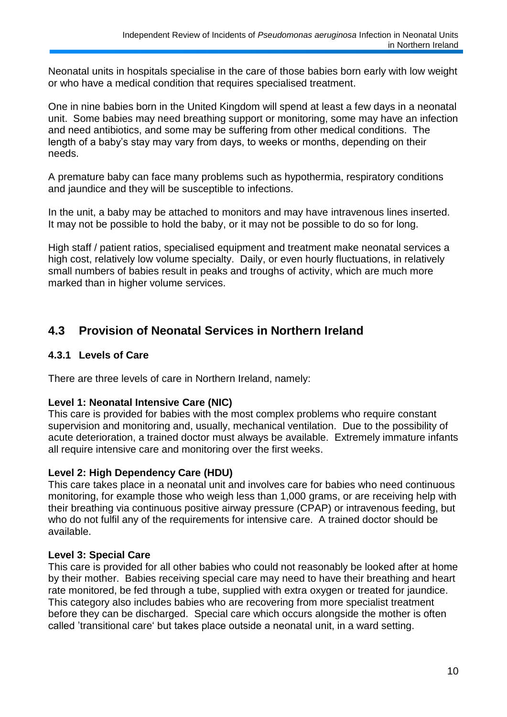Neonatal units in hospitals specialise in the care of those babies born early with low weight or who have a medical condition that requires specialised treatment.

One in nine babies born in the United Kingdom will spend at least a few days in a neonatal unit. Some babies may need breathing support or monitoring, some may have an infection and need antibiotics, and some may be suffering from other medical conditions. The length of a baby's stay may vary from days, to weeks or months, depending on their needs.

A premature baby can face many problems such as hypothermia, respiratory conditions and jaundice and they will be susceptible to infections.

In the unit, a baby may be attached to monitors and may have intravenous lines inserted. It may not be possible to hold the baby, or it may not be possible to do so for long.

High staff / patient ratios, specialised equipment and treatment make neonatal services a high cost, relatively low volume specialty. Daily, or even hourly fluctuations, in relatively small numbers of babies result in peaks and troughs of activity, which are much more marked than in higher volume services.

## **4.3 Provision of Neonatal Services in Northern Ireland**

#### **4.3.1 Levels of Care**

There are three levels of care in Northern Ireland, namely:

#### **Level 1: Neonatal Intensive Care (NIC)**

This care is provided for babies with the most complex problems who require constant supervision and monitoring and, usually, mechanical ventilation. Due to the possibility of acute deterioration, a trained doctor must always be available. Extremely immature infants all require intensive care and monitoring over the first weeks.

#### **Level 2: High Dependency Care (HDU)**

This care takes place in a neonatal unit and involves care for babies who need continuous monitoring, for example those who weigh less than 1,000 grams, or are receiving help with their breathing via continuous positive airway pressure (CPAP) or intravenous feeding, but who do not fulfil any of the requirements for intensive care. A trained doctor should be available.

### **Level 3: Special Care**

This care is provided for all other babies who could not reasonably be looked after at home by their mother. Babies receiving special care may need to have their breathing and heart rate monitored, be fed through a tube, supplied with extra oxygen or treated for jaundice. This category also includes babies who are recovering from more specialist treatment before they can be discharged. Special care which occurs alongside the mother is often called "transitional care" but takes place outside a neonatal unit, in a ward setting.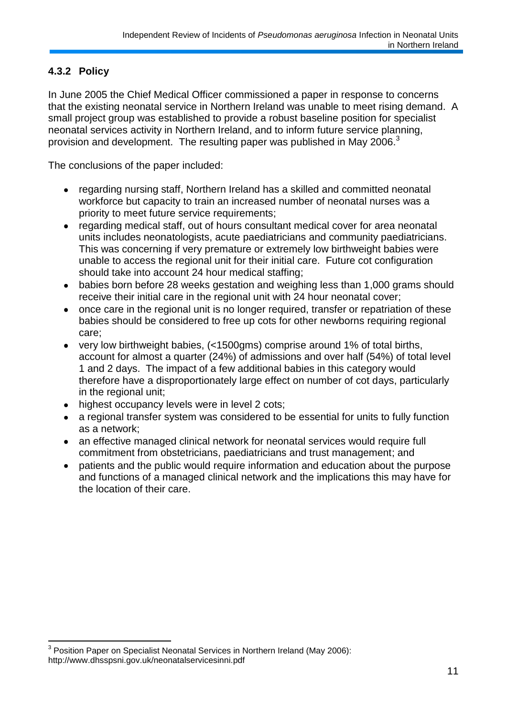## **4.3.2 Policy**

In June 2005 the Chief Medical Officer commissioned a paper in response to concerns that the existing neonatal service in Northern Ireland was unable to meet rising demand. A small project group was established to provide a robust baseline position for specialist neonatal services activity in Northern Ireland, and to inform future service planning, provision and development. The resulting paper was published in May 2006. $3$ 

The conclusions of the paper included:

- regarding nursing staff, Northern Ireland has a skilled and committed neonatal  $\bullet$ workforce but capacity to train an increased number of neonatal nurses was a priority to meet future service requirements;
- regarding medical staff, out of hours consultant medical cover for area neonatal  $\bullet$ units includes neonatologists, acute paediatricians and community paediatricians. This was concerning if very premature or extremely low birthweight babies were unable to access the regional unit for their initial care. Future cot configuration should take into account 24 hour medical staffing;
- babies born before 28 weeks gestation and weighing less than 1,000 grams should  $\bullet$ receive their initial care in the regional unit with 24 hour neonatal cover;
- once care in the regional unit is no longer required, transfer or repatriation of these  $\bullet$ babies should be considered to free up cots for other newborns requiring regional care;
- very low birthweight babies, (<1500gms) comprise around 1% of total births,  $\bullet$ account for almost a quarter (24%) of admissions and over half (54%) of total level 1 and 2 days. The impact of a few additional babies in this category would therefore have a disproportionately large effect on number of cot days, particularly in the regional unit;
- highest occupancy levels were in level 2 cots;  $\bullet$
- a regional transfer system was considered to be essential for units to fully function  $\bullet$ as a network;
- an effective managed clinical network for neonatal services would require full  $\bullet$ commitment from obstetricians, paediatricians and trust management; and
- patients and the public would require information and education about the purpose and functions of a managed clinical network and the implications this may have for the location of their care.

<sup>1</sup>  $3$  Position Paper on Specialist Neonatal Services in Northern Ireland (May 2006): http://www.dhsspsni.gov.uk/neonatalservicesinni.pdf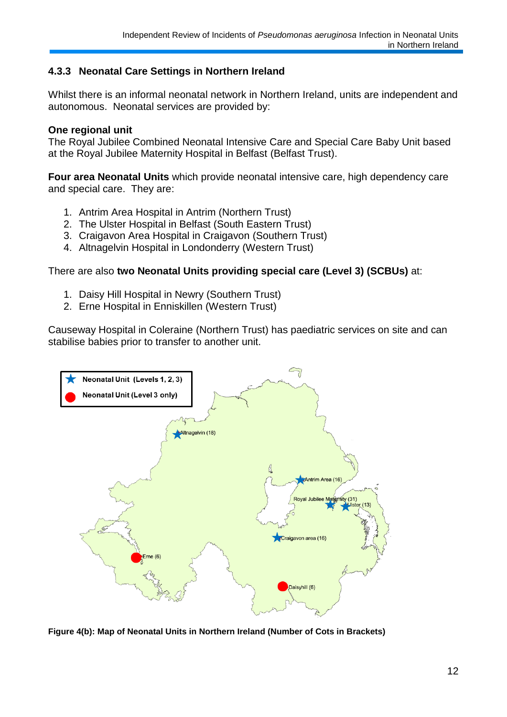### **4.3.3 Neonatal Care Settings in Northern Ireland**

Whilst there is an informal neonatal network in Northern Ireland, units are independent and autonomous. Neonatal services are provided by:

#### **One regional unit**

The Royal Jubilee Combined Neonatal Intensive Care and Special Care Baby Unit based at the Royal Jubilee Maternity Hospital in Belfast (Belfast Trust).

**Four area Neonatal Units** which provide neonatal intensive care, high dependency care and special care. They are:

- 1. Antrim Area Hospital in Antrim (Northern Trust)
- 2. The Ulster Hospital in Belfast (South Eastern Trust)
- 3. Craigavon Area Hospital in Craigavon (Southern Trust)
- 4. Altnagelvin Hospital in Londonderry (Western Trust)

There are also **two Neonatal Units providing special care (Level 3) (SCBUs)** at:

- 1. Daisy Hill Hospital in Newry (Southern Trust)
- 2. Erne Hospital in Enniskillen (Western Trust)

Causeway Hospital in Coleraine (Northern Trust) has paediatric services on site and can stabilise babies prior to transfer to another unit.



**Figure 4(b): Map of Neonatal Units in Northern Ireland (Number of Cots in Brackets)**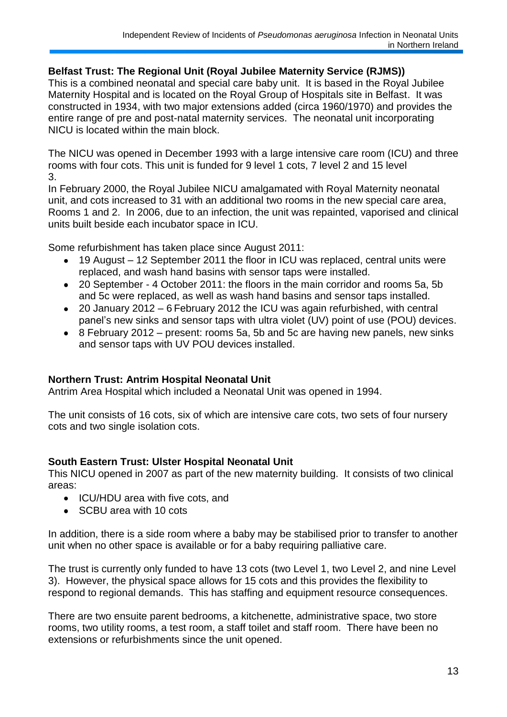#### **Belfast Trust: The Regional Unit (Royal Jubilee Maternity Service (RJMS))**

This is a combined neonatal and special care baby unit. It is based in the Royal Jubilee Maternity Hospital and is located on the Royal Group of Hospitals site in Belfast. It was constructed in 1934, with two major extensions added (circa 1960/1970) and provides the entire range of pre and post-natal maternity services. The neonatal unit incorporating NICU is located within the main block.

The NICU was opened in December 1993 with a large intensive care room (ICU) and three rooms with four cots. This unit is funded for 9 level 1 cots, 7 level 2 and 15 level 3.

In February 2000, the Royal Jubilee NICU amalgamated with Royal Maternity neonatal unit, and cots increased to 31 with an additional two rooms in the new special care area, Rooms 1 and 2. In 2006, due to an infection, the unit was repainted, vaporised and clinical units built beside each incubator space in ICU.

Some refurbishment has taken place since August 2011:

- 19 August 12 September 2011 the floor in ICU was replaced, central units were replaced, and wash hand basins with sensor taps were installed.
- 20 September 4 October 2011: the floors in the main corridor and rooms 5a, 5b  $\bullet$ and 5c were replaced, as well as wash hand basins and sensor taps installed.
- 20 January 2012 6 February 2012 the ICU was again refurbished, with central  $\bullet$ panel"s new sinks and sensor taps with ultra violet (UV) point of use (POU) devices.
- $\bullet$ 8 February 2012 – present: rooms 5a, 5b and 5c are having new panels, new sinks and sensor taps with UV POU devices installed.

### **Northern Trust: Antrim Hospital Neonatal Unit**

Antrim Area Hospital which included a Neonatal Unit was opened in 1994.

The unit consists of 16 cots, six of which are intensive care cots, two sets of four nursery cots and two single isolation cots.

### **South Eastern Trust: Ulster Hospital Neonatal Unit**

This NICU opened in 2007 as part of the new maternity building. It consists of two clinical areas:

- ICU/HDU area with five cots, and
- SCBU area with 10 cots

In addition, there is a side room where a baby may be stabilised prior to transfer to another unit when no other space is available or for a baby requiring palliative care.

The trust is currently only funded to have 13 cots (two Level 1, two Level 2, and nine Level 3). However, the physical space allows for 15 cots and this provides the flexibility to respond to regional demands. This has staffing and equipment resource consequences.

There are two ensuite parent bedrooms, a kitchenette, administrative space, two store rooms, two utility rooms, a test room, a staff toilet and staff room. There have been no extensions or refurbishments since the unit opened.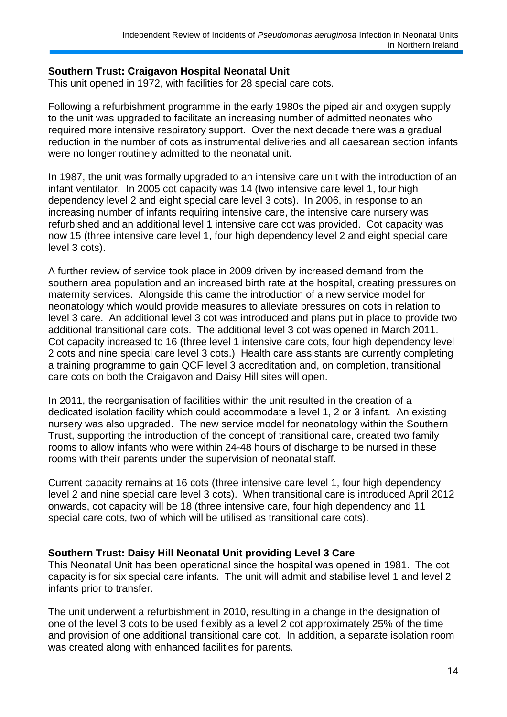#### **Southern Trust: Craigavon Hospital Neonatal Unit**

This unit opened in 1972, with facilities for 28 special care cots.

Following a refurbishment programme in the early 1980s the piped air and oxygen supply to the unit was upgraded to facilitate an increasing number of admitted neonates who required more intensive respiratory support. Over the next decade there was a gradual reduction in the number of cots as instrumental deliveries and all caesarean section infants were no longer routinely admitted to the neonatal unit.

In 1987, the unit was formally upgraded to an intensive care unit with the introduction of an infant ventilator. In 2005 cot capacity was 14 (two intensive care level 1, four high dependency level 2 and eight special care level 3 cots). In 2006, in response to an increasing number of infants requiring intensive care, the intensive care nursery was refurbished and an additional level 1 intensive care cot was provided. Cot capacity was now 15 (three intensive care level 1, four high dependency level 2 and eight special care level 3 cots).

A further review of service took place in 2009 driven by increased demand from the southern area population and an increased birth rate at the hospital, creating pressures on maternity services. Alongside this came the introduction of a new service model for neonatology which would provide measures to alleviate pressures on cots in relation to level 3 care. An additional level 3 cot was introduced and plans put in place to provide two additional transitional care cots. The additional level 3 cot was opened in March 2011. Cot capacity increased to 16 (three level 1 intensive care cots, four high dependency level 2 cots and nine special care level 3 cots.) Health care assistants are currently completing a training programme to gain QCF level 3 accreditation and, on completion, transitional care cots on both the Craigavon and Daisy Hill sites will open.

In 2011, the reorganisation of facilities within the unit resulted in the creation of a dedicated isolation facility which could accommodate a level 1, 2 or 3 infant. An existing nursery was also upgraded. The new service model for neonatology within the Southern Trust, supporting the introduction of the concept of transitional care, created two family rooms to allow infants who were within 24-48 hours of discharge to be nursed in these rooms with their parents under the supervision of neonatal staff.

Current capacity remains at 16 cots (three intensive care level 1, four high dependency level 2 and nine special care level 3 cots). When transitional care is introduced April 2012 onwards, cot capacity will be 18 (three intensive care, four high dependency and 11 special care cots, two of which will be utilised as transitional care cots).

#### **Southern Trust: Daisy Hill Neonatal Unit providing Level 3 Care**

This Neonatal Unit has been operational since the hospital was opened in 1981. The cot capacity is for six special care infants. The unit will admit and stabilise level 1 and level 2 infants prior to transfer.

The unit underwent a refurbishment in 2010, resulting in a change in the designation of one of the level 3 cots to be used flexibly as a level 2 cot approximately 25% of the time and provision of one additional transitional care cot. In addition, a separate isolation room was created along with enhanced facilities for parents.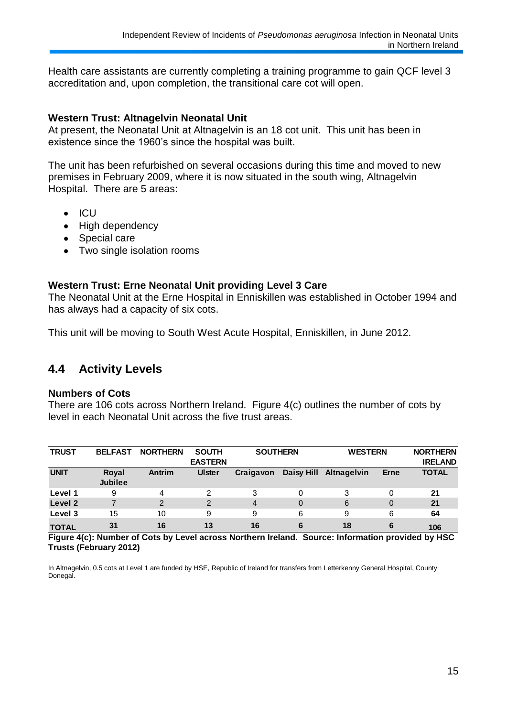Health care assistants are currently completing a training programme to gain QCF level 3 accreditation and, upon completion, the transitional care cot will open.

#### **Western Trust: Altnagelvin Neonatal Unit**

At present, the Neonatal Unit at Altnagelvin is an 18 cot unit. This unit has been in existence since the 1960"s since the hospital was built.

The unit has been refurbished on several occasions during this time and moved to new premises in February 2009, where it is now situated in the south wing, Altnagelvin Hospital. There are 5 areas:

- $\bullet$  ICU
- High dependency
- Special care
- Two single isolation rooms

#### **Western Trust: Erne Neonatal Unit providing Level 3 Care**

The Neonatal Unit at the Erne Hospital in Enniskillen was established in October 1994 and has always had a capacity of six cots.

This unit will be moving to South West Acute Hospital, Enniskillen, in June 2012.

### **4.4 Activity Levels**

#### **Numbers of Cots**

There are 106 cots across Northern Ireland. Figure 4(c) outlines the number of cots by level in each Neonatal Unit across the five trust areas.

| <b>TRUST</b> | <b>BELFAST</b>          | <b>NORTHERN</b> | <b>SOUTH</b><br><b>EASTERN</b> | <b>SOUTHERN</b> |            | <b>WESTERN</b>     |             | <b>NORTHERN</b><br><b>IRELAND</b> |
|--------------|-------------------------|-----------------|--------------------------------|-----------------|------------|--------------------|-------------|-----------------------------------|
| <b>UNIT</b>  | Royal<br><b>Jubilee</b> | Antrim          | <b>Ulster</b>                  | Craigavon       | Daisy Hill | <b>Altnagelvin</b> | <b>Erne</b> | <b>TOTAL</b>                      |
| Level 1      | 9                       | 4               | 2                              | 3               | 0          | 3                  | 0           | 21                                |
| Level 2      |                         | 2               | 2                              | 4               | 0          | 6                  | 0           | 21                                |
| Level 3      | 15                      | 10              | 9                              | 9               | 6          | 9                  | 6           | 64                                |
| <b>TOTAL</b> | 31                      | 16              | 13                             | 16              | 6          | 18                 | 6           | 106                               |

**Figure 4(c): Number of Cots by Level across Northern Ireland. Source: Information provided by HSC Trusts (February 2012)**

In Altnagelvin, 0.5 cots at Level 1 are funded by HSE, Republic of Ireland for transfers from Letterkenny General Hospital, County Donegal.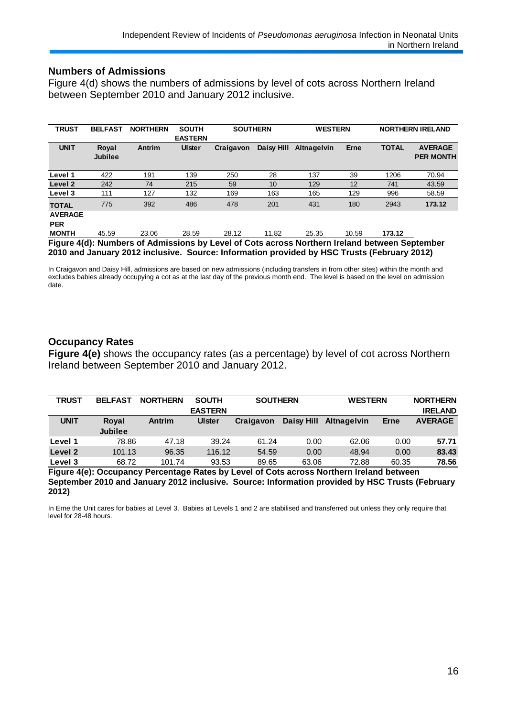#### **Numbers of Admissions**

Figure 4(d) shows the numbers of admissions by level of cots across Northern Ireland between September 2010 and January 2012 inclusive.

| <b>TRUST</b>                 | <b>BELFAST</b>          | <b>NORTHERN</b> | <b>SOUTH</b><br><b>EASTERN</b> | <b>SOUTHERN</b> |                   | <b>WESTERN</b>                                                                                |             |              | <b>NORTHERN IRELAND</b>            |
|------------------------------|-------------------------|-----------------|--------------------------------|-----------------|-------------------|-----------------------------------------------------------------------------------------------|-------------|--------------|------------------------------------|
| <b>UNIT</b>                  | Royal<br><b>Jubilee</b> | Antrim          | Ulster                         | Craigavon       | <b>Daisy Hill</b> | <b>Altnagelvin</b>                                                                            | <b>Erne</b> | <b>TOTAL</b> | <b>AVERAGE</b><br><b>PER MONTH</b> |
| Level 1                      | 422                     | 191             | 139                            | 250             | 28                | 137                                                                                           | 39          | 1206         | 70.94                              |
| Level 2                      | 242                     | 74              | 215                            | 59              | 10                | 129                                                                                           | 12          | 741          | 43.59                              |
| Level 3                      | 111                     | 127             | 132                            | 169             | 163               | 165                                                                                           | 129         | 996          | 58.59                              |
| <b>TOTAL</b>                 | 775                     | 392             | 486                            | 478             | 201               | 431                                                                                           | 180         | 2943         | 173.12                             |
| <b>AVERAGE</b><br><b>PER</b> |                         |                 |                                |                 |                   |                                                                                               |             |              |                                    |
| <b>MONTH</b>                 | 45.59                   | 23.06           | 28.59                          | 28.12           | 11.82             | 25.35                                                                                         | 10.59       | 173.12       |                                    |
|                              |                         |                 |                                |                 |                   | Eigure A(d): Numbers of Admissions by Loyal of Cots serses Nerthern Ireland between Centember |             |              |                                    |

**Figure 4(d): Numbers of Admissions by Level of Cots across Northern Ireland between September 2010 and January 2012 inclusive. Source: Information provided by HSC Trusts (February 2012)**

In Craigavon and Daisy Hill, admissions are based on new admissions (including transfers in from other sites) within the month and excludes babies already occupying a cot as at the last day of the previous month end. The level is based on the level on admission date.

#### **Occupancy Rates**

**Figure 4(e)** shows the occupancy rates (as a percentage) by level of cot across Northern Ireland between September 2010 and January 2012.

| <b>TRUST</b> | <b>BELFAST</b> | <b>NORTHERN</b> | <b>SOUTH</b>   | <b>SOUTHERN</b> |            | <b>WESTERN</b>     |       | <b>NORTHERN</b> |
|--------------|----------------|-----------------|----------------|-----------------|------------|--------------------|-------|-----------------|
|              |                |                 | <b>EASTERN</b> |                 |            |                    |       | <b>IRELAND</b>  |
| <b>UNIT</b>  | Royal          | <b>Antrim</b>   | <b>Ulster</b>  | Craigavon       | Daisy Hill | <b>Altnagelvin</b> | Erne  | <b>AVERAGE</b>  |
|              | <b>Jubilee</b> |                 |                |                 |            |                    |       |                 |
| Level 1      | 78.86          | 47.18           | 39.24          | 61.24           | 0.00       | 62.06              | 0.00  | 57.71           |
| Level 2      | 101.13         | 96.35           | 116.12         | 54.59           | 0.00       | 48.94              | 0.00  | 83.43           |
| Level 3      | 68.72          | 101.74          | 93.53          | 89.65           | 63.06      | 72.88              | 60.35 | 78.56           |

**Figure 4(e): Occupancy Percentage Rates by Level of Cots across Northern Ireland between September 2010 and January 2012 inclusive. Source: Information provided by HSC Trusts (February 2012)**

In Erne the Unit cares for babies at Level 3. Babies at Levels 1 and 2 are stabilised and transferred out unless they only require that level for 28-48 hours.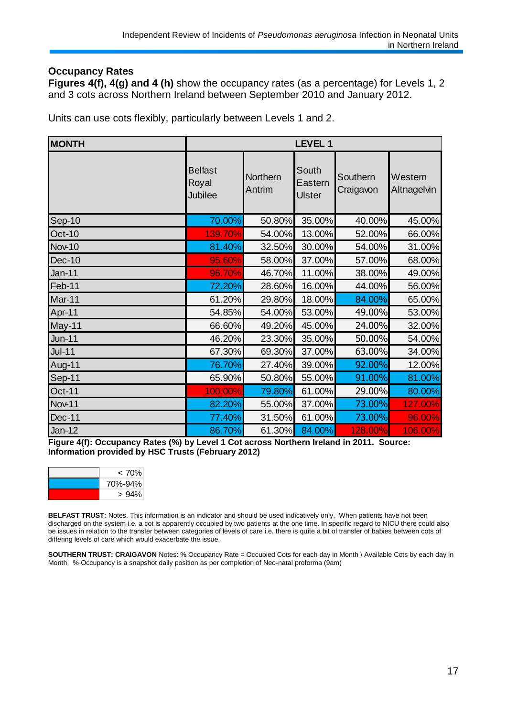#### **Occupancy Rates**

**Figures 4(f), 4(g) and 4 (h)** show the occupancy rates (as a percentage) for Levels 1, 2 and 3 cots across Northern Ireland between September 2010 and January 2012.

Units can use cots flexibly, particularly between Levels 1 and 2.

| <b>MONTH</b>  | <b>LEVEL 1</b>                     |                    |                                   |                       |                        |  |  |
|---------------|------------------------------------|--------------------|-----------------------------------|-----------------------|------------------------|--|--|
|               | <b>Belfast</b><br>Royal<br>Jubilee | Northern<br>Antrim | South<br>Eastern<br><b>Ulster</b> | Southern<br>Craigavon | Western<br>Altnagelvin |  |  |
| Sep-10        | 70.00%                             | 50.80%             | 35.00%                            | 40.00%                | 45.00%                 |  |  |
| <b>Oct-10</b> | 139.70%                            | 54.00%             | 13.00%                            | 52.00%                | 66.00%                 |  |  |
| <b>Nov-10</b> | 81.40%                             | 32.50%             | 30.00%                            | 54.00%                | 31.00%                 |  |  |
| Dec-10        | 95.60%                             | 58.00%             | 37.00%                            | 57.00%                | 68.00%                 |  |  |
| <b>Jan-11</b> | 96.70%                             | 46.70%             | 11.00%                            | 38.00%                | 49.00%                 |  |  |
| Feb-11        | 72.20%                             | 28.60%             | 16.00%                            | 44.00%                | 56.00%                 |  |  |
| Mar-11        | 61.20%                             | 29.80%             | 18.00%                            | 84.00%                | 65.00%                 |  |  |
| Apr-11        | 54.85%                             | 54.00%             | 53.00%                            | 49.00%                | 53.00%                 |  |  |
| May-11        | 66.60%                             | 49.20%             | 45.00%                            | 24.00%                | 32.00%                 |  |  |
| <b>Jun-11</b> | 46.20%                             | 23.30%             | 35.00%                            | 50.00%                | 54.00%                 |  |  |
| $Jul-11$      | 67.30%                             | 69.30%             | 37.00%                            | 63.00%                | 34.00%                 |  |  |
| Aug-11        | 76.70%                             | 27.40%             | 39.00%                            | 92.00%                | 12.00%                 |  |  |
| Sep-11        | 65.90%                             | 50.80%             | 55.00%                            | 91.00%                | 81.00%                 |  |  |
| Oct-11        | 100.00%                            | 79.80%             | 61.00%                            | 29.00%                | 80.00%                 |  |  |
| <b>Nov-11</b> | 82.20%                             | 55.00%             | 37.00%                            | 73.00%                | 127.00%                |  |  |
| Dec-11        | 77.40%                             | 31.50%             | 61.00%                            | 73.00%                | 96.00%                 |  |  |
| Jan-12        | 86.70%                             | 61.30%             | 84.00%                            | <b>128.00%</b>        | 106.00%                |  |  |

**Figure 4(f): Occupancy Rates (%) by Level 1 Cot across Northern Ireland in 2011. Source: Information provided by HSC Trusts (February 2012)**



**BELFAST TRUST:** Notes. This information is an indicator and should be used indicatively only. When patients have not been discharged on the system i.e. a cot is apparently occupied by two patients at the one time. In specific regard to NICU there could also be issues in relation to the transfer between categories of levels of care i.e. there is quite a bit of transfer of babies between cots of differing levels of care which would exacerbate the issue.

**SOUTHERN TRUST: CRAIGAVON** Notes: % Occupancy Rate = Occupied Cots for each day in Month \ Available Cots by each day in Month. % Occupancy is a snapshot daily position as per completion of Neo-natal proforma (9am)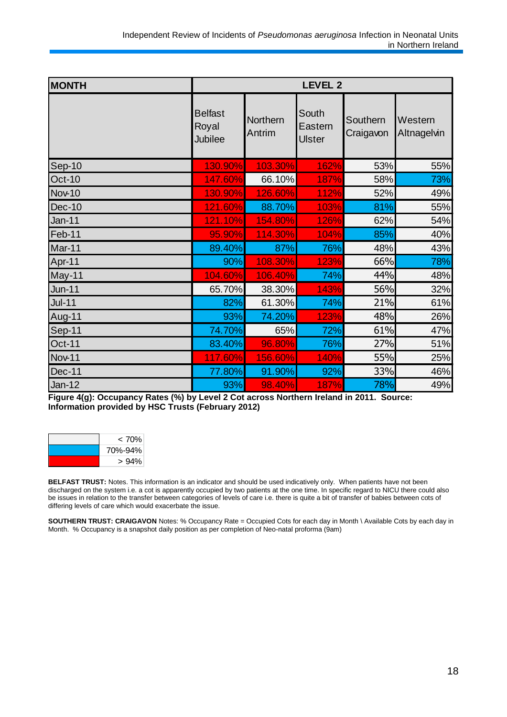| <b>MONTH</b>  | <b>LEVEL 2</b>                            |                    |                                   |                       |                        |  |  |
|---------------|-------------------------------------------|--------------------|-----------------------------------|-----------------------|------------------------|--|--|
|               | <b>Belfast</b><br>Royal<br><b>Jubilee</b> | Northern<br>Antrim | South<br>Eastern<br><b>Ulster</b> | Southern<br>Craigavon | Western<br>Altnagelvin |  |  |
| Sep-10        | 130.90%                                   | 103.30%            | 162%                              | 53%                   | 55%                    |  |  |
| Oct-10        | 147.60%                                   | 66.10%             | 187%                              | 58%                   | 73%                    |  |  |
| <b>Nov-10</b> | 130.90%                                   | 126.60%            | 112%                              | 52%                   | 49%                    |  |  |
| Dec-10        | 121.60%                                   | 88.70%             | 103%                              | 81%                   | 55%                    |  |  |
| <b>Jan-11</b> | 121.10%                                   | 154.80%            | 126%                              | 62%                   | 54%                    |  |  |
| Feb-11        | 95.90%                                    | 114.30%            | 104%                              | 85%                   | 40%                    |  |  |
| Mar-11        | 89.40%                                    | 87%                | 76%                               | 48%                   | 43%                    |  |  |
| Apr-11        | 90%                                       | 108.30%            | 123%                              | 66%                   | 78%                    |  |  |
| May-11        | 104.60%                                   | 106.40%            | 74%                               | 44%                   | 48%                    |  |  |
| <b>Jun-11</b> | 65.70%                                    | 38.30%             | 143%                              | 56%                   | 32%                    |  |  |
| $Jul-11$      | 82%                                       | 61.30%             | 74%                               | 21%                   | 61%                    |  |  |
| Aug-11        | 93%                                       | 74.20%             | 123%                              | 48%                   | 26%                    |  |  |
| Sep-11        | 74.70%                                    | 65%                | 72%                               | 61%                   | 47%                    |  |  |
| Oct-11        | 83.40%                                    | 96.80%             | 76%                               | 27%                   | 51%                    |  |  |
| <b>Nov-11</b> | 117.60%                                   | 156.60%            | 140%                              | 55%                   | 25%                    |  |  |
| Dec-11        | 77.80%                                    | 91.90%             | 92%                               | 33%                   | 46%                    |  |  |
| <b>Jan-12</b> | 93%                                       | 98.40%             | 187%                              | 78%                   | 49%                    |  |  |

**Figure 4(g): Occupancy Rates (%) by Level 2 Cot across Northern Ireland in 2011. Source: Information provided by HSC Trusts (February 2012)**

| < 70%   |
|---------|
| 70%-94% |
| >94%    |

**BELFAST TRUST:** Notes. This information is an indicator and should be used indicatively only. When patients have not been discharged on the system i.e. a cot is apparently occupied by two patients at the one time. In specific regard to NICU there could also be issues in relation to the transfer between categories of levels of care i.e. there is quite a bit of transfer of babies between cots of differing levels of care which would exacerbate the issue.

**SOUTHERN TRUST: CRAIGAVON** Notes: % Occupancy Rate = Occupied Cots for each day in Month \ Available Cots by each day in Month. % Occupancy is a snapshot daily position as per completion of Neo-natal proforma (9am)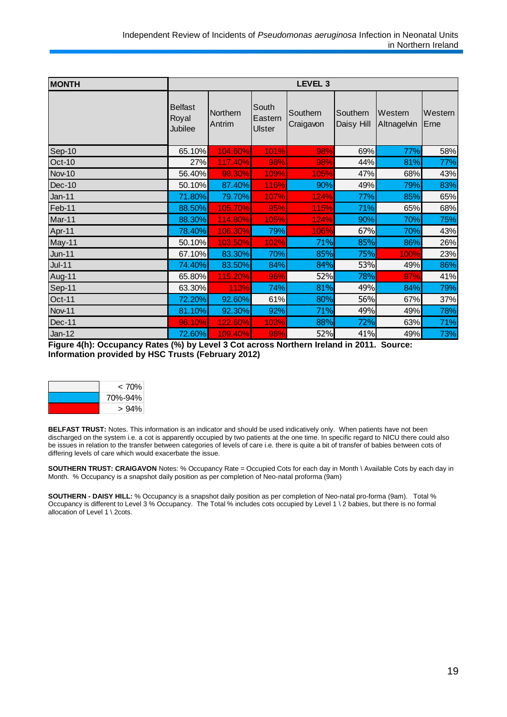| <b>MONTH</b>  | LEVEL <sub>3</sub>                 |                    |                                   |                       |                        |                        |                 |
|---------------|------------------------------------|--------------------|-----------------------------------|-----------------------|------------------------|------------------------|-----------------|
|               | <b>Belfast</b><br>Royal<br>Jubilee | Northern<br>Antrim | South<br>Eastern<br><b>Ulster</b> | Southern<br>Craigavon | Southern<br>Daisy Hill | Western<br>Altnagelvin | Western<br>Erne |
| Sep-10        | 65.10%                             | 104.60%            | 101%                              | 98%                   | 69%                    | 77%                    | 58%             |
| Oct-10        | 27%                                | 117.40%            | 98%                               | 98%                   | 44%                    | 81%                    | 77%             |
| <b>Nov-10</b> | 56.40%                             | 98.30%             | 109%                              | 105%                  | 47%                    | 68%                    | 43%             |
| Dec-10        | 50.10%                             | 87.40%             | 116%                              | 90%                   | 49%                    | 79%                    | 83%             |
| <b>Jan-11</b> | 71.80%                             | 79.70%             | 107%                              | 124%                  | 77%                    | 85%                    | 65%             |
| Feb-11        | 88.50%                             | 105.70%            | 95%                               | 115%                  | 71%                    | 65%                    | 68%             |
| Mar-11        | 88.30%                             | 114.80%            | 105%                              | 124%                  | 90%                    | 70%                    | 75%             |
| Apr-11        | 78.40%                             | 106.30%            | 79%                               | 106%                  | 67%                    | 70%                    | 43%             |
| May-11        | 50.10%                             | 103.50%            | 102%                              | 71%                   | 85%                    | 86%                    | 26%             |
| $Jun-11$      | 67.10%                             | 83.30%             | 70%                               | 85%                   | 75%                    | 100%                   | 23%             |
| $Jul-11$      | 74.40%                             | 83.50%             | 84%                               | 84%                   | 53%                    | 49%                    | 86%             |
| Aug-11        | 65.80%                             | 115.20%            | 96%                               | 52%                   | 78%                    | 97%                    | 41%             |
| Sep-11        | 63.30%                             | 113%               | 74%                               | 81%                   | 49%                    | 84%                    | 79%             |
| Oct-11        | 72.20%                             | 92.60%             | 61%                               | 80%                   | 56%                    | 67%                    | 37%             |
| Nov-11        | 81.10%                             | 92.30%             | 92%                               | 71%                   | 49%                    | 49%                    | 78%             |
| Dec-11        | 96.10%                             | 122.60%            | 103%                              | 88%                   | 72%                    | 63%                    | 71%             |
| $Jan-12$      | 72.60%                             | 109.40%            | 98%                               | 52%                   | 41%                    | 49%                    | 73%             |

**Figure 4(h): Occupancy Rates (%) by Level 3 Cot across Northern Ireland in 2011. Source: Information provided by HSC Trusts (February 2012)**

| < 70%   |
|---------|
| 70%-94% |
| >94%    |

**BELFAST TRUST:** Notes. This information is an indicator and should be used indicatively only. When patients have not been discharged on the system i.e. a cot is apparently occupied by two patients at the one time. In specific regard to NICU there could also be issues in relation to the transfer between categories of levels of care i.e. there is quite a bit of transfer of babies between cots of differing levels of care which would exacerbate the issue.

**SOUTHERN TRUST: CRAIGAVON** Notes: % Occupancy Rate = Occupied Cots for each day in Month \ Available Cots by each day in Month. % Occupancy is a snapshot daily position as per completion of Neo-natal proforma (9am)

**SOUTHERN - DAISY HILL:** % Occupancy is a snapshot daily position as per completion of Neo-natal pro-forma (9am). Total % Occupancy is different to Level 3 % Occupancy. The Total % includes cots occupied by Level 1 \ 2 babies, but there is no formal allocation of Level 1 \ 2cots.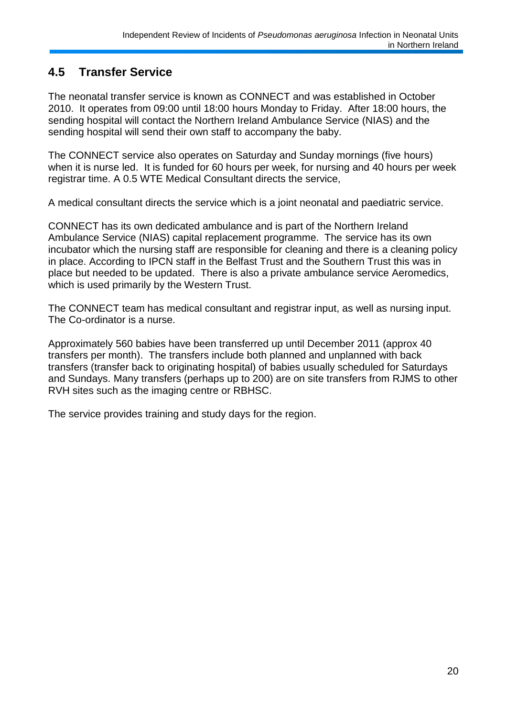# **4.5 Transfer Service**

The neonatal transfer service is known as CONNECT and was established in October 2010. It operates from 09:00 until 18:00 hours Monday to Friday. After 18:00 hours, the sending hospital will contact the Northern Ireland Ambulance Service (NIAS) and the sending hospital will send their own staff to accompany the baby.

The CONNECT service also operates on Saturday and Sunday mornings (five hours) when it is nurse led. It is funded for 60 hours per week, for nursing and 40 hours per week registrar time. A 0.5 WTE Medical Consultant directs the service,

A medical consultant directs the service which is a joint neonatal and paediatric service.

CONNECT has its own dedicated ambulance and is part of the Northern Ireland Ambulance Service (NIAS) capital replacement programme. The service has its own incubator which the nursing staff are responsible for cleaning and there is a cleaning policy in place. According to IPCN staff in the Belfast Trust and the Southern Trust this was in place but needed to be updated. There is also a private ambulance service Aeromedics, which is used primarily by the Western Trust.

The CONNECT team has medical consultant and registrar input, as well as nursing input. The Co-ordinator is a nurse.

Approximately 560 babies have been transferred up until December 2011 (approx 40 transfers per month). The transfers include both planned and unplanned with back transfers (transfer back to originating hospital) of babies usually scheduled for Saturdays and Sundays. Many transfers (perhaps up to 200) are on site transfers from RJMS to other RVH sites such as the imaging centre or RBHSC.

The service provides training and study days for the region.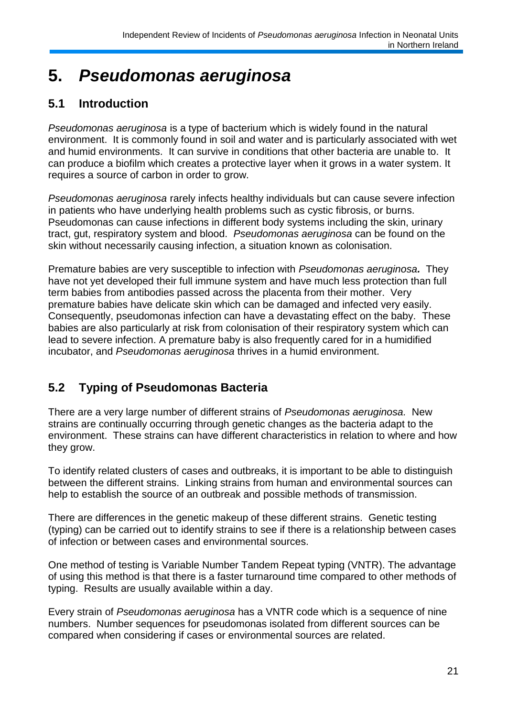# **5.** *Pseudomonas aeruginosa*

# **5.1 Introduction**

*Pseudomonas aeruginosa* is a type of bacterium which is widely found in the natural environment. It is commonly found in soil and water and is particularly associated with wet and humid environments. It can survive in conditions that other bacteria are unable to. It can produce a biofilm which creates a protective layer when it grows in a water system. It requires a source of carbon in order to grow.

*Pseudomonas aeruginosa* rarely infects healthy individuals but can cause severe infection in patients who have underlying health problems such as cystic fibrosis, or burns. Pseudomonas can cause infections in different body systems including the skin, urinary tract, gut, respiratory system and blood. *Pseudomonas aeruginosa* can be found on the skin without necessarily causing infection, a situation known as colonisation.

Premature babies are very susceptible to infection with *Pseudomonas aeruginosa.* They have not yet developed their full immune system and have much less protection than full term babies from antibodies passed across the placenta from their mother. Very premature babies have delicate skin which can be damaged and infected very easily. Consequently, pseudomonas infection can have a devastating effect on the baby. These babies are also particularly at risk from colonisation of their respiratory system which can lead to severe infection. A premature baby is also frequently cared for in a humidified incubator, and *Pseudomonas aeruginosa* thrives in a humid environment.

# **5.2 Typing of Pseudomonas Bacteria**

There are a very large number of different strains of *Pseudomonas aeruginosa.* New strains are continually occurring through genetic changes as the bacteria adapt to the environment. These strains can have different characteristics in relation to where and how they grow.

To identify related clusters of cases and outbreaks, it is important to be able to distinguish between the different strains. Linking strains from human and environmental sources can help to establish the source of an outbreak and possible methods of transmission.

There are differences in the genetic makeup of these different strains. Genetic testing (typing) can be carried out to identify strains to see if there is a relationship between cases of infection or between cases and environmental sources.

One method of testing is Variable Number Tandem Repeat typing (VNTR). The advantage of using this method is that there is a faster turnaround time compared to other methods of typing. Results are usually available within a day.

Every strain of *Pseudomonas aeruginosa* has a VNTR code which is a sequence of nine numbers. Number sequences for pseudomonas isolated from different sources can be compared when considering if cases or environmental sources are related.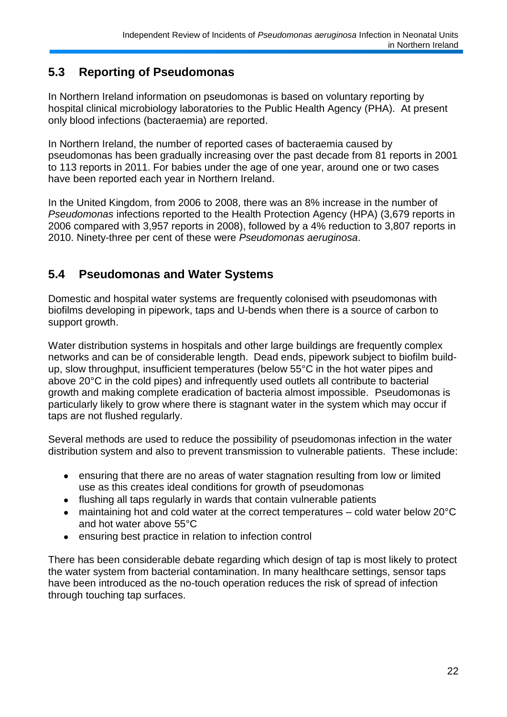## **5.3 Reporting of Pseudomonas**

In Northern Ireland information on pseudomonas is based on voluntary reporting by hospital clinical microbiology laboratories to the Public Health Agency (PHA). At present only blood infections (bacteraemia) are reported.

In Northern Ireland, the number of reported cases of bacteraemia caused by pseudomonas has been gradually increasing over the past decade from 81 reports in 2001 to 113 reports in 2011. For babies under the age of one year, around one or two cases have been reported each year in Northern Ireland.

In the United Kingdom, from 2006 to 2008, there was an 8% increase in the number of *Pseudomonas* infections reported to the Health Protection Agency (HPA) (3,679 reports in 2006 compared with 3,957 reports in 2008), followed by a 4% reduction to 3,807 reports in 2010. Ninety-three per cent of these were *Pseudomonas aeruginosa*.

## **5.4 Pseudomonas and Water Systems**

Domestic and hospital water systems are frequently colonised with pseudomonas with biofilms developing in pipework, taps and U-bends when there is a source of carbon to support growth.

Water distribution systems in hospitals and other large buildings are frequently complex networks and can be of considerable length. Dead ends, pipework subject to biofilm buildup, slow throughput, insufficient temperatures (below 55°C in the hot water pipes and above 20°C in the cold pipes) and infrequently used outlets all contribute to bacterial growth and making complete eradication of bacteria almost impossible. Pseudomonas is particularly likely to grow where there is stagnant water in the system which may occur if taps are not flushed regularly.

Several methods are used to reduce the possibility of pseudomonas infection in the water distribution system and also to prevent transmission to vulnerable patients. These include:

- ensuring that there are no areas of water stagnation resulting from low or limited  $\bullet$ use as this creates ideal conditions for growth of pseudomonas
- flushing all taps regularly in wards that contain vulnerable patients  $\bullet$
- maintaining hot and cold water at the correct temperatures cold water below 20°C  $\bullet$ and hot water above 55°C
- ensuring best practice in relation to infection control  $\bullet$

There has been considerable debate regarding which design of tap is most likely to protect the water system from bacterial contamination. In many healthcare settings, sensor taps have been introduced as the no-touch operation reduces the risk of spread of infection through touching tap surfaces.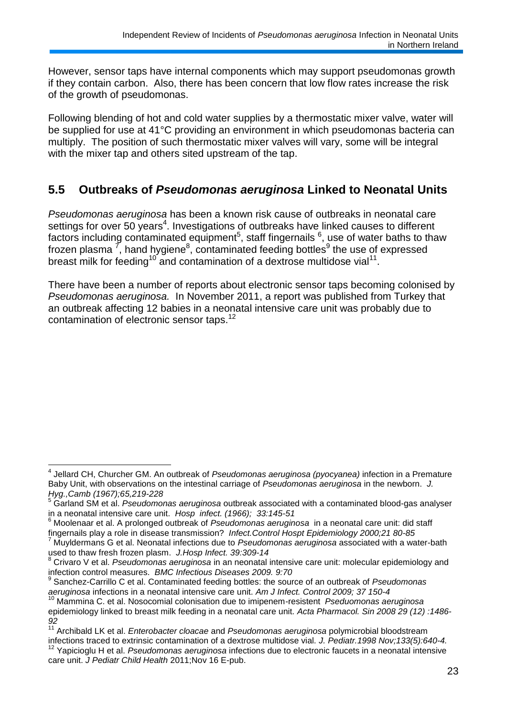However, sensor taps have internal components which may support pseudomonas growth if they contain carbon. Also, there has been concern that low flow rates increase the risk of the growth of pseudomonas.

Following blending of hot and cold water supplies by a thermostatic mixer valve, water will be supplied for use at 41°C providing an environment in which pseudomonas bacteria can multiply. The position of such thermostatic mixer valves will vary, some will be integral with the mixer tap and others sited upstream of the tap.

## **5.5 Outbreaks of** *Pseudomonas aeruginosa* **Linked to Neonatal Units**

*Pseudomonas aeruginosa* has been a known risk cause of outbreaks in neonatal care settings for over 50 years<sup>4</sup>. Investigations of outbreaks have linked causes to different factors including contaminated equipment<sup>5</sup>, staff fingernails  $6$ , use of water baths to thaw frozen plasma  $\vec{'}$ , hand hygiene<sup>8</sup>, contaminated feeding bottles<sup>9</sup> the use of expressed breast milk for feeding<sup>10</sup> and contamination of a dextrose multidose vial<sup>11</sup>.

There have been a number of reports about electronic sensor taps becoming colonised by *Pseudomonas aeruginosa.* In November 2011, a report was published from Turkey that an outbreak affecting 12 babies in a neonatal intensive care unit was probably due to contamination of electronic sensor taps.<sup>12</sup>

 4 Jellard CH, Churcher GM. An outbreak of *Pseudomonas aeruginosa (pyocyanea)* infection in a Premature Baby Unit, with observations on the intestinal carriage of *Pseudomonas aeruginosa* in the newborn. *J. Hyg.,Camb (1967);65,219-228*

<sup>5</sup> Garland SM et al. *Pseudomonas aeruginosa* outbreak associated with a contaminated blood-gas analyser in a neonatal intensive care unit. *Hosp infect. (1966); 33:145-51*

<sup>6</sup> Moolenaar et al. A prolonged outbreak of *Pseudomonas aeruginosa* in a neonatal care unit: did staff fingernails play a role in disease transmission? *Infect.Control Hospt Epidemiology 2000;21 80-85*

<sup>7</sup> Muyldermans G et al. Neonatal infections due to *Pseudomonas aeruginosa* associated with a water-bath used to thaw fresh frozen plasm. *J.Hosp Infect. 39:309-14*

<sup>8</sup> Crivaro V et al. *Pseudomonas aeruginosa* in an neonatal intensive care unit: molecular epidemiology and infection control measures. *BMC Infectious Diseases 2009. 9:70*

<sup>9</sup> Sanchez-Carrillo C et al. Contaminated feeding bottles: the source of an outbreak of *Pseudomonas aeruginosa* infections in a neonatal intensive care unit. *Am J Infect. Control 2009; 37 150-4*

<sup>10</sup> Mammina C. et al. Nosocomial colonisation due to imipenem-resistent *Pseduomonas aeruginosa* epidemiology linked to breast milk feeding in a neonatal care unit. *Acta Pharmacol. Sin 2008 29 (12) :1486- 92*

<sup>11</sup> Archibald LK et al. *Enterobacter cloacae* and *Pseudomonas aeruginosa* polymicrobial bloodstream infections traced to extrinsic contamination of a dextrose multidose vial. *J. Pediatr.1998 Nov;133(5):640-4.*

<sup>12</sup> Yapicioglu H et al. *Pseudomonas aeruginosa* infections due to electronic faucets in a neonatal intensive care unit. *J Pediatr Child Health* 2011;Nov 16 E-pub.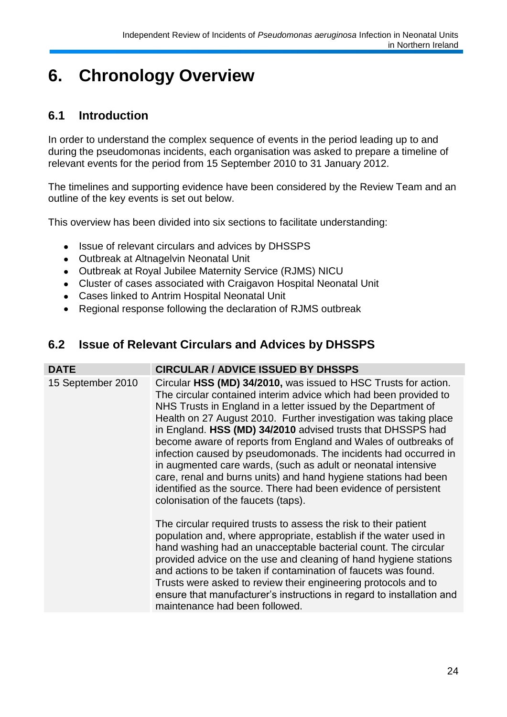# **6. Chronology Overview**

# **6.1 Introduction**

In order to understand the complex sequence of events in the period leading up to and during the pseudomonas incidents, each organisation was asked to prepare a timeline of relevant events for the period from 15 September 2010 to 31 January 2012.

The timelines and supporting evidence have been considered by the Review Team and an outline of the key events is set out below.

This overview has been divided into six sections to facilitate understanding:

- $\bullet$ Issue of relevant circulars and advices by DHSSPS
- Outbreak at Altnagelvin Neonatal Unit  $\bullet$
- Outbreak at Royal Jubilee Maternity Service (RJMS) NICU
- Cluster of cases associated with Craigavon Hospital Neonatal Unit  $\bullet$
- Cases linked to Antrim Hospital Neonatal Unit  $\bullet$
- Regional response following the declaration of RJMS outbreak  $\bullet$

## **6.2 Issue of Relevant Circulars and Advices by DHSSPS**

| <b>DATE</b>       | <b>CIRCULAR / ADVICE ISSUED BY DHSSPS</b>                                                                                                                                                                                                                                                                                                                                                                                                                                                                                                                                                                                                                                                                                  |
|-------------------|----------------------------------------------------------------------------------------------------------------------------------------------------------------------------------------------------------------------------------------------------------------------------------------------------------------------------------------------------------------------------------------------------------------------------------------------------------------------------------------------------------------------------------------------------------------------------------------------------------------------------------------------------------------------------------------------------------------------------|
| 15 September 2010 | Circular HSS (MD) 34/2010, was issued to HSC Trusts for action.<br>The circular contained interim advice which had been provided to<br>NHS Trusts in England in a letter issued by the Department of<br>Health on 27 August 2010. Further investigation was taking place<br>in England. HSS (MD) 34/2010 advised trusts that DHSSPS had<br>become aware of reports from England and Wales of outbreaks of<br>infection caused by pseudomonads. The incidents had occurred in<br>in augmented care wards, (such as adult or neonatal intensive<br>care, renal and burns units) and hand hygiene stations had been<br>identified as the source. There had been evidence of persistent<br>colonisation of the faucets (taps). |
|                   | The circular required trusts to assess the risk to their patient<br>population and, where appropriate, establish if the water used in<br>hand washing had an unacceptable bacterial count. The circular<br>provided advice on the use and cleaning of hand hygiene stations<br>and actions to be taken if contamination of faucets was found.<br>Trusts were asked to review their engineering protocols and to<br>ensure that manufacturer's instructions in regard to installation and<br>maintenance had been followed.                                                                                                                                                                                                 |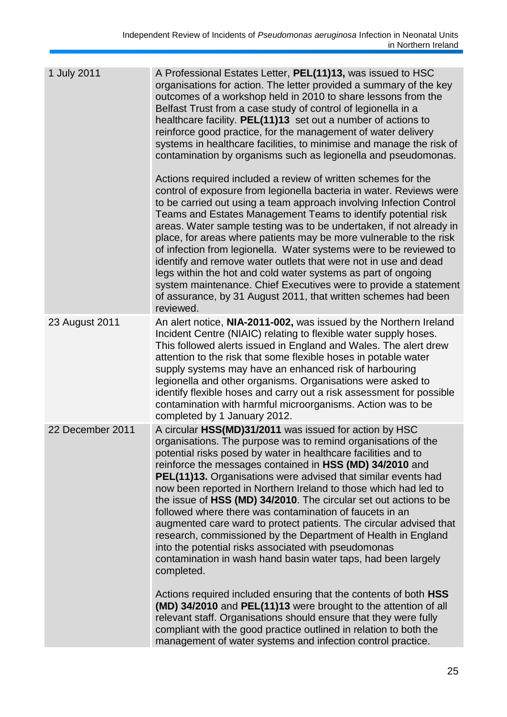| 1 July 2011      | A Professional Estates Letter, PEL(11)13, was issued to HSC<br>organisations for action. The letter provided a summary of the key<br>outcomes of a workshop held in 2010 to share lessons from the<br>Belfast Trust from a case study of control of legionella in a<br>healthcare facility. PEL(11)13 set out a number of actions to<br>reinforce good practice, for the management of water delivery<br>systems in healthcare facilities, to minimise and manage the risk of<br>contamination by organisms such as legionella and pseudomonas.<br>Actions required included a review of written schemes for the<br>control of exposure from legionella bacteria in water. Reviews were<br>to be carried out using a team approach involving Infection Control<br>Teams and Estates Management Teams to identify potential risk<br>areas. Water sample testing was to be undertaken, if not already in<br>place, for areas where patients may be more vulnerable to the risk<br>of infection from legionella. Water systems were to be reviewed to<br>identify and remove water outlets that were not in use and dead<br>legs within the hot and cold water systems as part of ongoing<br>system maintenance. Chief Executives were to provide a statement<br>of assurance, by 31 August 2011, that written schemes had been<br>reviewed. |
|------------------|-------------------------------------------------------------------------------------------------------------------------------------------------------------------------------------------------------------------------------------------------------------------------------------------------------------------------------------------------------------------------------------------------------------------------------------------------------------------------------------------------------------------------------------------------------------------------------------------------------------------------------------------------------------------------------------------------------------------------------------------------------------------------------------------------------------------------------------------------------------------------------------------------------------------------------------------------------------------------------------------------------------------------------------------------------------------------------------------------------------------------------------------------------------------------------------------------------------------------------------------------------------------------------------------------------------------------------------------|
| 23 August 2011   | An alert notice, NIA-2011-002, was issued by the Northern Ireland<br>Incident Centre (NIAIC) relating to flexible water supply hoses.<br>This followed alerts issued in England and Wales. The alert drew<br>attention to the risk that some flexible hoses in potable water<br>supply systems may have an enhanced risk of harbouring<br>legionella and other organisms. Organisations were asked to<br>identify flexible hoses and carry out a risk assessment for possible<br>contamination with harmful microorganisms. Action was to be<br>completed by 1 January 2012.                                                                                                                                                                                                                                                                                                                                                                                                                                                                                                                                                                                                                                                                                                                                                              |
| 22 December 2011 | A circular HSS(MD)31/2011 was issued for action by HSC<br>organisations. The purpose was to remind organisations of the<br>potential risks posed by water in healthcare facilities and to<br>reinforce the messages contained in HSS (MD) 34/2010 and<br>PEL(11)13. Organisations were advised that similar events had<br>now been reported in Northern Ireland to those which had led to<br>the issue of HSS (MD) 34/2010. The circular set out actions to be<br>followed where there was contamination of faucets in an<br>augmented care ward to protect patients. The circular advised that<br>research, commissioned by the Department of Health in England<br>into the potential risks associated with pseudomonas<br>contamination in wash hand basin water taps, had been largely<br>completed.<br>Actions required included ensuring that the contents of both HSS<br>(MD) 34/2010 and PEL(11)13 were brought to the attention of all<br>relevant staff. Organisations should ensure that they were fully<br>compliant with the good practice outlined in relation to both the<br>management of water systems and infection control practice.                                                                                                                                                                                    |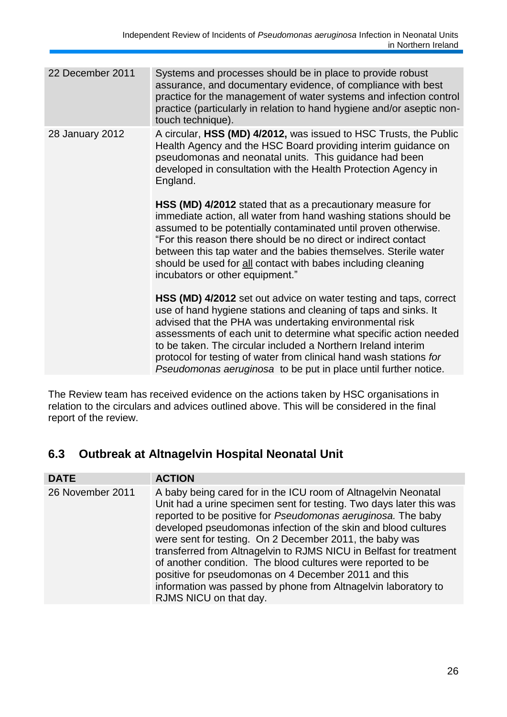| Systems and processes should be in place to provide robust<br>assurance, and documentary evidence, of compliance with best<br>practice for the management of water systems and infection control<br>practice (particularly in relation to hand hygiene and/or aseptic non-<br>touch technique).                                                                                                                                                                                |
|--------------------------------------------------------------------------------------------------------------------------------------------------------------------------------------------------------------------------------------------------------------------------------------------------------------------------------------------------------------------------------------------------------------------------------------------------------------------------------|
| A circular, HSS (MD) 4/2012, was issued to HSC Trusts, the Public<br>Health Agency and the HSC Board providing interim guidance on<br>pseudomonas and neonatal units. This guidance had been<br>developed in consultation with the Health Protection Agency in<br>England.                                                                                                                                                                                                     |
| HSS (MD) 4/2012 stated that as a precautionary measure for<br>immediate action, all water from hand washing stations should be<br>assumed to be potentially contaminated until proven otherwise.<br>"For this reason there should be no direct or indirect contact<br>between this tap water and the babies themselves. Sterile water<br>should be used for all contact with babes including cleaning<br>incubators or other equipment."                                       |
| HSS (MD) 4/2012 set out advice on water testing and taps, correct<br>use of hand hygiene stations and cleaning of taps and sinks. It<br>advised that the PHA was undertaking environmental risk<br>assessments of each unit to determine what specific action needed<br>to be taken. The circular included a Northern Ireland interim<br>protocol for testing of water from clinical hand wash stations for<br>Pseudomonas aeruginosa to be put in place until further notice. |
|                                                                                                                                                                                                                                                                                                                                                                                                                                                                                |

The Review team has received evidence on the actions taken by HSC organisations in relation to the circulars and advices outlined above. This will be considered in the final report of the review.

# **6.3 Outbreak at Altnagelvin Hospital Neonatal Unit**

| <b>DATE</b>      | <b>ACTION</b>                                                                                                                                                                                                                                                                                                                                                                                                                                                                                                                                                                                                                |
|------------------|------------------------------------------------------------------------------------------------------------------------------------------------------------------------------------------------------------------------------------------------------------------------------------------------------------------------------------------------------------------------------------------------------------------------------------------------------------------------------------------------------------------------------------------------------------------------------------------------------------------------------|
| 26 November 2011 | A baby being cared for in the ICU room of Altnagelvin Neonatal<br>Unit had a urine specimen sent for testing. Two days later this was<br>reported to be positive for Pseudomonas aeruginosa. The baby<br>developed pseudomonas infection of the skin and blood cultures<br>were sent for testing. On 2 December 2011, the baby was<br>transferred from Altnagelvin to RJMS NICU in Belfast for treatment<br>of another condition. The blood cultures were reported to be<br>positive for pseudomonas on 4 December 2011 and this<br>information was passed by phone from Altnagelvin laboratory to<br>RJMS NICU on that day. |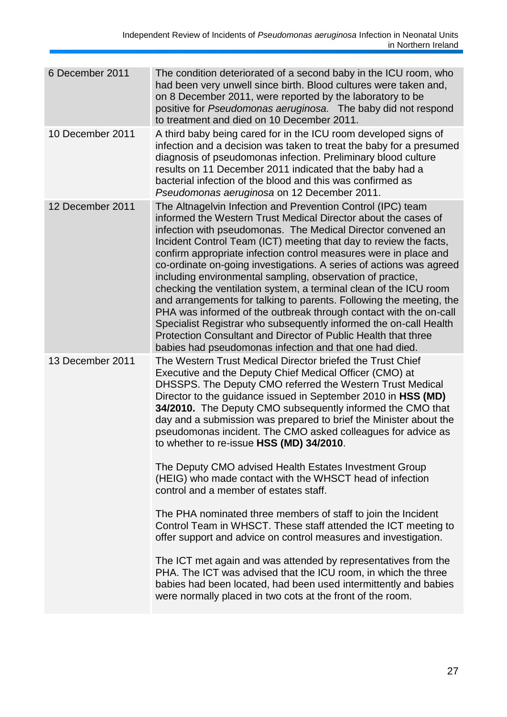| 6 December 2011  | The condition deteriorated of a second baby in the ICU room, who<br>had been very unwell since birth. Blood cultures were taken and,<br>on 8 December 2011, were reported by the laboratory to be<br>positive for Pseudomonas aeruginosa. The baby did not respond<br>to treatment and died on 10 December 2011.                                                                                                                                                                                                                                                                                                                                                                                                                                                                                                                                                                               |
|------------------|------------------------------------------------------------------------------------------------------------------------------------------------------------------------------------------------------------------------------------------------------------------------------------------------------------------------------------------------------------------------------------------------------------------------------------------------------------------------------------------------------------------------------------------------------------------------------------------------------------------------------------------------------------------------------------------------------------------------------------------------------------------------------------------------------------------------------------------------------------------------------------------------|
| 10 December 2011 | A third baby being cared for in the ICU room developed signs of<br>infection and a decision was taken to treat the baby for a presumed<br>diagnosis of pseudomonas infection. Preliminary blood culture<br>results on 11 December 2011 indicated that the baby had a<br>bacterial infection of the blood and this was confirmed as<br>Pseudomonas aeruginosa on 12 December 2011.                                                                                                                                                                                                                                                                                                                                                                                                                                                                                                              |
| 12 December 2011 | The Altnagelvin Infection and Prevention Control (IPC) team<br>informed the Western Trust Medical Director about the cases of<br>infection with pseudomonas. The Medical Director convened an<br>Incident Control Team (ICT) meeting that day to review the facts,<br>confirm appropriate infection control measures were in place and<br>co-ordinate on-going investigations. A series of actions was agreed<br>including environmental sampling, observation of practice,<br>checking the ventilation system, a terminal clean of the ICU room<br>and arrangements for talking to parents. Following the meeting, the<br>PHA was informed of the outbreak through contact with the on-call<br>Specialist Registrar who subsequently informed the on-call Health<br>Protection Consultant and Director of Public Health that three<br>babies had pseudomonas infection and that one had died. |
| 13 December 2011 | The Western Trust Medical Director briefed the Trust Chief<br>Executive and the Deputy Chief Medical Officer (CMO) at<br>DHSSPS. The Deputy CMO referred the Western Trust Medical<br>Director to the guidance issued in September 2010 in HSS (MD)<br>34/2010. The Deputy CMO subsequently informed the CMO that<br>day and a submission was prepared to brief the Minister about the<br>pseudomonas incident. The CMO asked colleagues for advice as<br>to whether to re-issue HSS (MD) 34/2010.                                                                                                                                                                                                                                                                                                                                                                                             |
|                  | The Deputy CMO advised Health Estates Investment Group<br>(HEIG) who made contact with the WHSCT head of infection<br>control and a member of estates staff.                                                                                                                                                                                                                                                                                                                                                                                                                                                                                                                                                                                                                                                                                                                                   |
|                  | The PHA nominated three members of staff to join the Incident<br>Control Team in WHSCT. These staff attended the ICT meeting to<br>offer support and advice on control measures and investigation.                                                                                                                                                                                                                                                                                                                                                                                                                                                                                                                                                                                                                                                                                             |
|                  | The ICT met again and was attended by representatives from the<br>PHA. The ICT was advised that the ICU room, in which the three<br>babies had been located, had been used intermittently and babies<br>were normally placed in two cots at the front of the room.                                                                                                                                                                                                                                                                                                                                                                                                                                                                                                                                                                                                                             |
|                  |                                                                                                                                                                                                                                                                                                                                                                                                                                                                                                                                                                                                                                                                                                                                                                                                                                                                                                |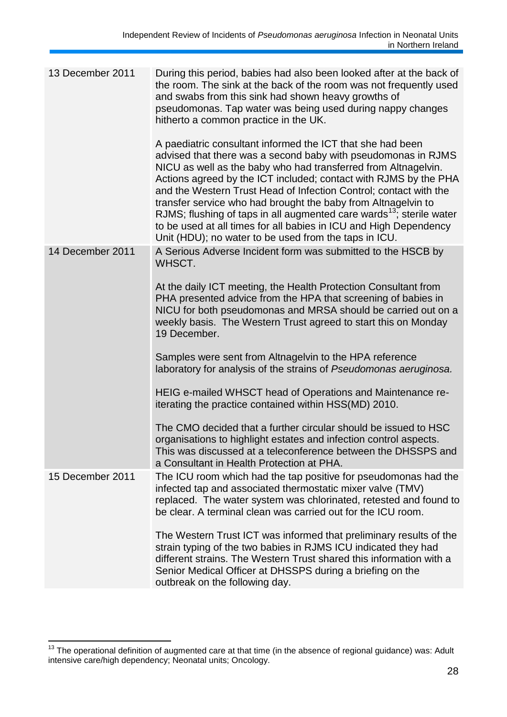| 13 December 2011 | During this period, babies had also been looked after at the back of<br>the room. The sink at the back of the room was not frequently used<br>and swabs from this sink had shown heavy growths of<br>pseudomonas. Tap water was being used during nappy changes<br>hitherto a common practice in the UK.                                                                                                                                                                                                                                                                                                                  |
|------------------|---------------------------------------------------------------------------------------------------------------------------------------------------------------------------------------------------------------------------------------------------------------------------------------------------------------------------------------------------------------------------------------------------------------------------------------------------------------------------------------------------------------------------------------------------------------------------------------------------------------------------|
|                  | A paediatric consultant informed the ICT that she had been<br>advised that there was a second baby with pseudomonas in RJMS<br>NICU as well as the baby who had transferred from Altnagelvin.<br>Actions agreed by the ICT included; contact with RJMS by the PHA<br>and the Western Trust Head of Infection Control; contact with the<br>transfer service who had brought the baby from Altnagelvin to<br>RJMS; flushing of taps in all augmented care wards <sup>13</sup> ; sterile water<br>to be used at all times for all babies in ICU and High Dependency<br>Unit (HDU); no water to be used from the taps in ICU. |
| 14 December 2011 | A Serious Adverse Incident form was submitted to the HSCB by<br>WHSCT.                                                                                                                                                                                                                                                                                                                                                                                                                                                                                                                                                    |
|                  | At the daily ICT meeting, the Health Protection Consultant from<br>PHA presented advice from the HPA that screening of babies in<br>NICU for both pseudomonas and MRSA should be carried out on a<br>weekly basis. The Western Trust agreed to start this on Monday<br>19 December.                                                                                                                                                                                                                                                                                                                                       |
|                  | Samples were sent from Altnagelvin to the HPA reference<br>laboratory for analysis of the strains of Pseudomonas aeruginosa.                                                                                                                                                                                                                                                                                                                                                                                                                                                                                              |
|                  | HEIG e-mailed WHSCT head of Operations and Maintenance re-<br>iterating the practice contained within HSS(MD) 2010.                                                                                                                                                                                                                                                                                                                                                                                                                                                                                                       |
|                  | The CMO decided that a further circular should be issued to HSC<br>organisations to highlight estates and infection control aspects.<br>This was discussed at a teleconference between the DHSSPS and<br>a Consultant in Health Protection at PHA.                                                                                                                                                                                                                                                                                                                                                                        |
| 15 December 2011 | The ICU room which had the tap positive for pseudomonas had the<br>infected tap and associated thermostatic mixer valve (TMV)<br>replaced. The water system was chlorinated, retested and found to<br>be clear. A terminal clean was carried out for the ICU room.                                                                                                                                                                                                                                                                                                                                                        |
|                  | The Western Trust ICT was informed that preliminary results of the<br>strain typing of the two babies in RJMS ICU indicated they had<br>different strains. The Western Trust shared this information with a<br>Senior Medical Officer at DHSSPS during a briefing on the<br>outbreak on the following day.                                                                                                                                                                                                                                                                                                                |

<sup>1</sup>  $13$  The operational definition of augmented care at that time (in the absence of regional guidance) was: Adult intensive care/high dependency; Neonatal units; Oncology.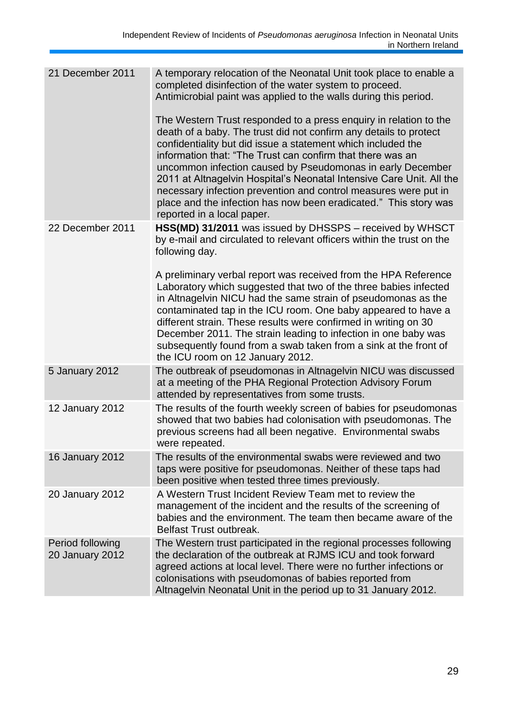| 21 December 2011                           | A temporary relocation of the Neonatal Unit took place to enable a<br>completed disinfection of the water system to proceed.<br>Antimicrobial paint was applied to the walls during this period.                                                                                                                                                                                                                                                                                                                                                                                |
|--------------------------------------------|---------------------------------------------------------------------------------------------------------------------------------------------------------------------------------------------------------------------------------------------------------------------------------------------------------------------------------------------------------------------------------------------------------------------------------------------------------------------------------------------------------------------------------------------------------------------------------|
|                                            | The Western Trust responded to a press enquiry in relation to the<br>death of a baby. The trust did not confirm any details to protect<br>confidentiality but did issue a statement which included the<br>information that: "The Trust can confirm that there was an<br>uncommon infection caused by Pseudomonas in early December<br>2011 at Altnagelvin Hospital's Neonatal Intensive Care Unit. All the<br>necessary infection prevention and control measures were put in<br>place and the infection has now been eradicated." This story was<br>reported in a local paper. |
| 22 December 2011                           | HSS(MD) 31/2011 was issued by DHSSPS - received by WHSCT<br>by e-mail and circulated to relevant officers within the trust on the<br>following day.                                                                                                                                                                                                                                                                                                                                                                                                                             |
|                                            | A preliminary verbal report was received from the HPA Reference<br>Laboratory which suggested that two of the three babies infected<br>in Altnagelvin NICU had the same strain of pseudomonas as the<br>contaminated tap in the ICU room. One baby appeared to have a<br>different strain. These results were confirmed in writing on 30<br>December 2011. The strain leading to infection in one baby was<br>subsequently found from a swab taken from a sink at the front of<br>the ICU room on 12 January 2012.                                                              |
| 5 January 2012                             | The outbreak of pseudomonas in Altnagelvin NICU was discussed<br>at a meeting of the PHA Regional Protection Advisory Forum<br>attended by representatives from some trusts.                                                                                                                                                                                                                                                                                                                                                                                                    |
| 12 January 2012                            | The results of the fourth weekly screen of babies for pseudomonas<br>showed that two babies had colonisation with pseudomonas. The<br>previous screens had all been negative. Environmental swabs<br>were repeated.                                                                                                                                                                                                                                                                                                                                                             |
| <b>16 January 2012</b>                     | The results of the environmental swabs were reviewed and two<br>taps were positive for pseudomonas. Neither of these taps had<br>been positive when tested three times previously.                                                                                                                                                                                                                                                                                                                                                                                              |
| <b>20 January 2012</b>                     | A Western Trust Incident Review Team met to review the<br>management of the incident and the results of the screening of<br>babies and the environment. The team then became aware of the<br><b>Belfast Trust outbreak.</b>                                                                                                                                                                                                                                                                                                                                                     |
| Period following<br><b>20 January 2012</b> | The Western trust participated in the regional processes following<br>the declaration of the outbreak at RJMS ICU and took forward<br>agreed actions at local level. There were no further infections or<br>colonisations with pseudomonas of babies reported from<br>Altnagelvin Neonatal Unit in the period up to 31 January 2012.                                                                                                                                                                                                                                            |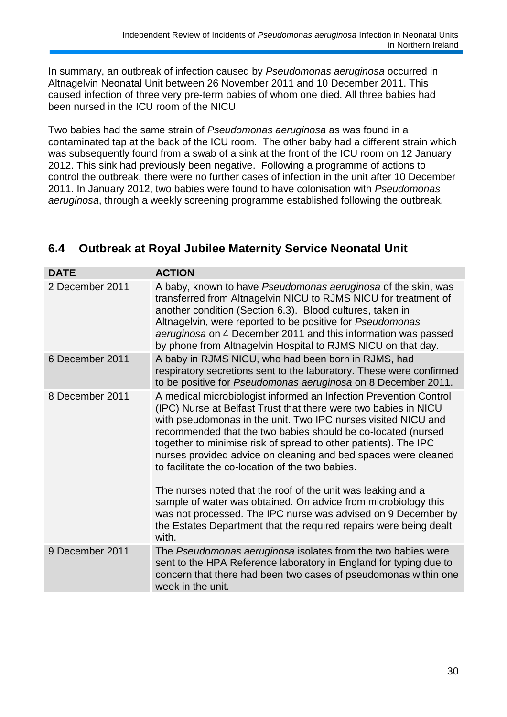In summary, an outbreak of infection caused by *Pseudomonas aeruginosa* occurred in Altnagelvin Neonatal Unit between 26 November 2011 and 10 December 2011. This caused infection of three very pre-term babies of whom one died. All three babies had been nursed in the ICU room of the NICU.

Two babies had the same strain of *Pseudomonas aeruginosa* as was found in a contaminated tap at the back of the ICU room. The other baby had a different strain which was subsequently found from a swab of a sink at the front of the ICU room on 12 January 2012. This sink had previously been negative. Following a programme of actions to control the outbreak, there were no further cases of infection in the unit after 10 December 2011. In January 2012, two babies were found to have colonisation with *Pseudomonas aeruginosa*, through a weekly screening programme established following the outbreak.

#### **DATE ACTION** 2 December 2011 A baby, known to have *Pseudomonas aeruginosa* of the skin, was transferred from Altnagelvin NICU to RJMS NICU for treatment of another condition (Section 6.3). Blood cultures, taken in Altnagelvin, were reported to be positive for *Pseudomonas aeruginosa* on 4 December 2011 and this information was passed by phone from Altnagelvin Hospital to RJMS NICU on that day. 6 December 2011 A baby in RJMS NICU, who had been born in RJMS, had respiratory secretions sent to the laboratory. These were confirmed to be positive for *Pseudomonas aeruginosa* on 8 December 2011. 8 December 2011 A medical microbiologist informed an Infection Prevention Control (IPC) Nurse at Belfast Trust that there were two babies in NICU with pseudomonas in the unit. Two IPC nurses visited NICU and recommended that the two babies should be co-located (nursed together to minimise risk of spread to other patients). The IPC nurses provided advice on cleaning and bed spaces were cleaned to facilitate the co-location of the two babies. The nurses noted that the roof of the unit was leaking and a sample of water was obtained. On advice from microbiology this was not processed. The IPC nurse was advised on 9 December by the Estates Department that the required repairs were being dealt with. 9 December 2011 The *Pseudomonas aeruginosa* isolates from the two babies were sent to the HPA Reference laboratory in England for typing due to concern that there had been two cases of pseudomonas within one week in the unit.

## **6.4 Outbreak at Royal Jubilee Maternity Service Neonatal Unit**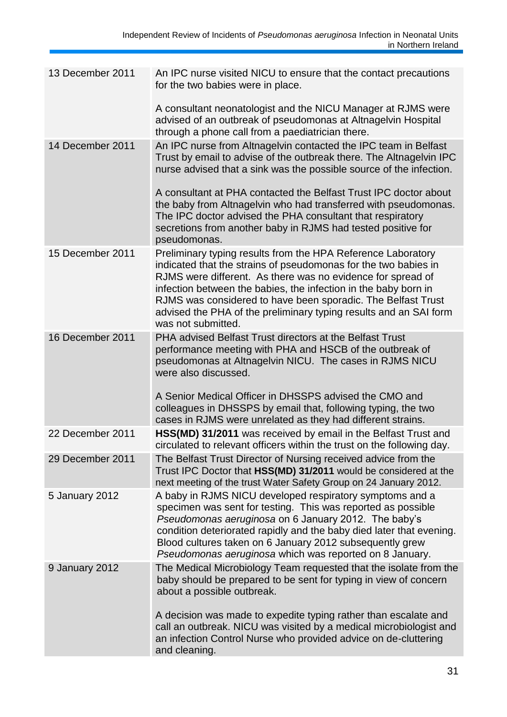| 13 December 2011 | An IPC nurse visited NICU to ensure that the contact precautions<br>for the two babies were in place.                                                                                                                                                                                                                                                                                                                        |
|------------------|------------------------------------------------------------------------------------------------------------------------------------------------------------------------------------------------------------------------------------------------------------------------------------------------------------------------------------------------------------------------------------------------------------------------------|
|                  | A consultant neonatologist and the NICU Manager at RJMS were<br>advised of an outbreak of pseudomonas at Altnagelvin Hospital<br>through a phone call from a paediatrician there.                                                                                                                                                                                                                                            |
| 14 December 2011 | An IPC nurse from Altnagelvin contacted the IPC team in Belfast<br>Trust by email to advise of the outbreak there. The Altnagelvin IPC<br>nurse advised that a sink was the possible source of the infection.                                                                                                                                                                                                                |
|                  | A consultant at PHA contacted the Belfast Trust IPC doctor about<br>the baby from Altnagelvin who had transferred with pseudomonas.<br>The IPC doctor advised the PHA consultant that respiratory<br>secretions from another baby in RJMS had tested positive for<br>pseudomonas.                                                                                                                                            |
| 15 December 2011 | Preliminary typing results from the HPA Reference Laboratory<br>indicated that the strains of pseudomonas for the two babies in<br>RJMS were different. As there was no evidence for spread of<br>infection between the babies, the infection in the baby born in<br>RJMS was considered to have been sporadic. The Belfast Trust<br>advised the PHA of the preliminary typing results and an SAI form<br>was not submitted. |
| 16 December 2011 | PHA advised Belfast Trust directors at the Belfast Trust<br>performance meeting with PHA and HSCB of the outbreak of<br>pseudomonas at Altnagelvin NICU. The cases in RJMS NICU<br>were also discussed.                                                                                                                                                                                                                      |
|                  | A Senior Medical Officer in DHSSPS advised the CMO and<br>colleagues in DHSSPS by email that, following typing, the two<br>cases in RJMS were unrelated as they had different strains.                                                                                                                                                                                                                                       |
| 22 December 2011 | HSS(MD) 31/2011 was received by email in the Belfast Trust and<br>circulated to relevant officers within the trust on the following day.                                                                                                                                                                                                                                                                                     |
| 29 December 2011 | The Belfast Trust Director of Nursing received advice from the<br>Trust IPC Doctor that HSS(MD) 31/2011 would be considered at the<br>next meeting of the trust Water Safety Group on 24 January 2012.                                                                                                                                                                                                                       |
| 5 January 2012   | A baby in RJMS NICU developed respiratory symptoms and a<br>specimen was sent for testing. This was reported as possible<br>Pseudomonas aeruginosa on 6 January 2012. The baby's<br>condition deteriorated rapidly and the baby died later that evening.<br>Blood cultures taken on 6 January 2012 subsequently grew<br>Pseudomonas aeruginosa which was reported on 8 January.                                              |
| 9 January 2012   | The Medical Microbiology Team requested that the isolate from the<br>baby should be prepared to be sent for typing in view of concern<br>about a possible outbreak.                                                                                                                                                                                                                                                          |
|                  | A decision was made to expedite typing rather than escalate and<br>call an outbreak. NICU was visited by a medical microbiologist and<br>an infection Control Nurse who provided advice on de-cluttering<br>and cleaning.                                                                                                                                                                                                    |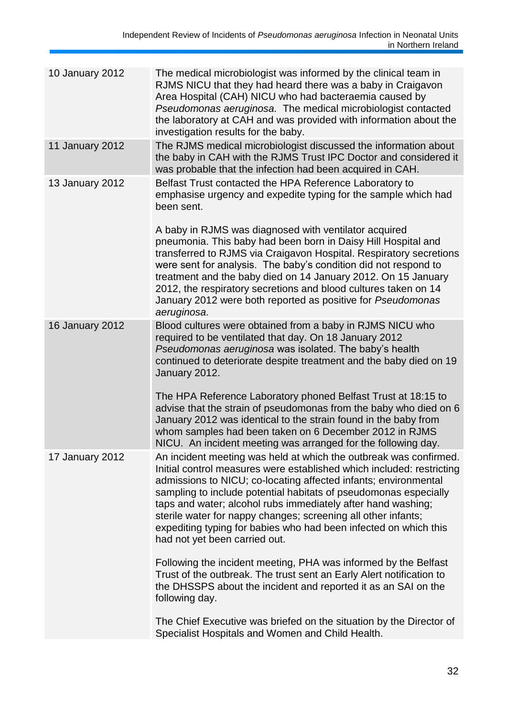| 10 January 2012        | The medical microbiologist was informed by the clinical team in<br>RJMS NICU that they had heard there was a baby in Craigavon<br>Area Hospital (CAH) NICU who had bacteraemia caused by<br>Pseudomonas aeruginosa. The medical microbiologist contacted<br>the laboratory at CAH and was provided with information about the<br>investigation results for the baby.                                                                                                                                                    |
|------------------------|-------------------------------------------------------------------------------------------------------------------------------------------------------------------------------------------------------------------------------------------------------------------------------------------------------------------------------------------------------------------------------------------------------------------------------------------------------------------------------------------------------------------------|
| 11 January 2012        | The RJMS medical microbiologist discussed the information about<br>the baby in CAH with the RJMS Trust IPC Doctor and considered it<br>was probable that the infection had been acquired in CAH.                                                                                                                                                                                                                                                                                                                        |
| 13 January 2012        | Belfast Trust contacted the HPA Reference Laboratory to<br>emphasise urgency and expedite typing for the sample which had<br>been sent.                                                                                                                                                                                                                                                                                                                                                                                 |
|                        | A baby in RJMS was diagnosed with ventilator acquired<br>pneumonia. This baby had been born in Daisy Hill Hospital and<br>transferred to RJMS via Craigavon Hospital. Respiratory secretions<br>were sent for analysis. The baby's condition did not respond to<br>treatment and the baby died on 14 January 2012. On 15 January<br>2012, the respiratory secretions and blood cultures taken on 14<br>January 2012 were both reported as positive for Pseudomonas<br>aeruginosa.                                       |
| <b>16 January 2012</b> | Blood cultures were obtained from a baby in RJMS NICU who<br>required to be ventilated that day. On 18 January 2012<br>Pseudomonas aeruginosa was isolated. The baby's health<br>continued to deteriorate despite treatment and the baby died on 19<br>January 2012.                                                                                                                                                                                                                                                    |
|                        | The HPA Reference Laboratory phoned Belfast Trust at 18:15 to<br>advise that the strain of pseudomonas from the baby who died on 6<br>January 2012 was identical to the strain found in the baby from<br>whom samples had been taken on 6 December 2012 in RJMS<br>NICU. An incident meeting was arranged for the following day.                                                                                                                                                                                        |
| 17 January 2012        | An incident meeting was held at which the outbreak was confirmed.<br>Initial control measures were established which included: restricting<br>admissions to NICU; co-locating affected infants; environmental<br>sampling to include potential habitats of pseudomonas especially<br>taps and water; alcohol rubs immediately after hand washing;<br>sterile water for nappy changes; screening all other infants;<br>expediting typing for babies who had been infected on which this<br>had not yet been carried out. |
|                        | Following the incident meeting, PHA was informed by the Belfast<br>Trust of the outbreak. The trust sent an Early Alert notification to<br>the DHSSPS about the incident and reported it as an SAI on the<br>following day.                                                                                                                                                                                                                                                                                             |
|                        | The Chief Executive was briefed on the situation by the Director of<br>Specialist Hospitals and Women and Child Health.                                                                                                                                                                                                                                                                                                                                                                                                 |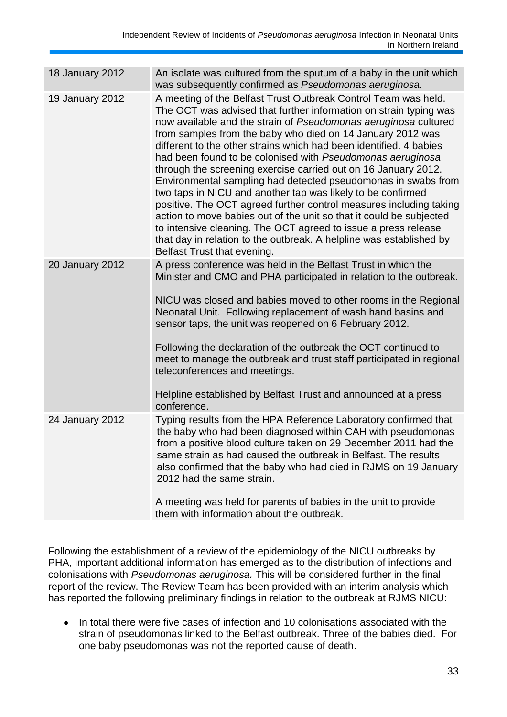| 18 January 2012 | An isolate was cultured from the sputum of a baby in the unit which<br>was subsequently confirmed as Pseudomonas aeruginosa.                                                                                                                                                                                                                                                                                                                                                                                                                                                                                                                                                                                                                                                                                                                                                                                                    |
|-----------------|---------------------------------------------------------------------------------------------------------------------------------------------------------------------------------------------------------------------------------------------------------------------------------------------------------------------------------------------------------------------------------------------------------------------------------------------------------------------------------------------------------------------------------------------------------------------------------------------------------------------------------------------------------------------------------------------------------------------------------------------------------------------------------------------------------------------------------------------------------------------------------------------------------------------------------|
| 19 January 2012 | A meeting of the Belfast Trust Outbreak Control Team was held.<br>The OCT was advised that further information on strain typing was<br>now available and the strain of Pseudomonas aeruginosa cultured<br>from samples from the baby who died on 14 January 2012 was<br>different to the other strains which had been identified. 4 babies<br>had been found to be colonised with Pseudomonas aeruginosa<br>through the screening exercise carried out on 16 January 2012.<br>Environmental sampling had detected pseudomonas in swabs from<br>two taps in NICU and another tap was likely to be confirmed<br>positive. The OCT agreed further control measures including taking<br>action to move babies out of the unit so that it could be subjected<br>to intensive cleaning. The OCT agreed to issue a press release<br>that day in relation to the outbreak. A helpline was established by<br>Belfast Trust that evening. |
| 20 January 2012 | A press conference was held in the Belfast Trust in which the<br>Minister and CMO and PHA participated in relation to the outbreak.<br>NICU was closed and babies moved to other rooms in the Regional<br>Neonatal Unit. Following replacement of wash hand basins and<br>sensor taps, the unit was reopened on 6 February 2012.<br>Following the declaration of the outbreak the OCT continued to<br>meet to manage the outbreak and trust staff participated in regional<br>teleconferences and meetings.<br>Helpline established by Belfast Trust and announced at a press<br>conference.                                                                                                                                                                                                                                                                                                                                    |
| 24 January 2012 | Typing results from the HPA Reference Laboratory confirmed that<br>the baby who had been diagnosed within CAH with pseudomonas<br>from a positive blood culture taken on 29 December 2011 had the<br>same strain as had caused the outbreak in Belfast. The results<br>also confirmed that the baby who had died in RJMS on 19 January<br>2012 had the same strain.<br>A meeting was held for parents of babies in the unit to provide<br>them with information about the outbreak.                                                                                                                                                                                                                                                                                                                                                                                                                                             |

Following the establishment of a review of the epidemiology of the NICU outbreaks by PHA, important additional information has emerged as to the distribution of infections and colonisations with *Pseudomonas aeruginosa.* This will be considered further in the final report of the review. The Review Team has been provided with an interim analysis which has reported the following preliminary findings in relation to the outbreak at RJMS NICU:

In total there were five cases of infection and 10 colonisations associated with the  $\bullet$ strain of pseudomonas linked to the Belfast outbreak. Three of the babies died. For one baby pseudomonas was not the reported cause of death.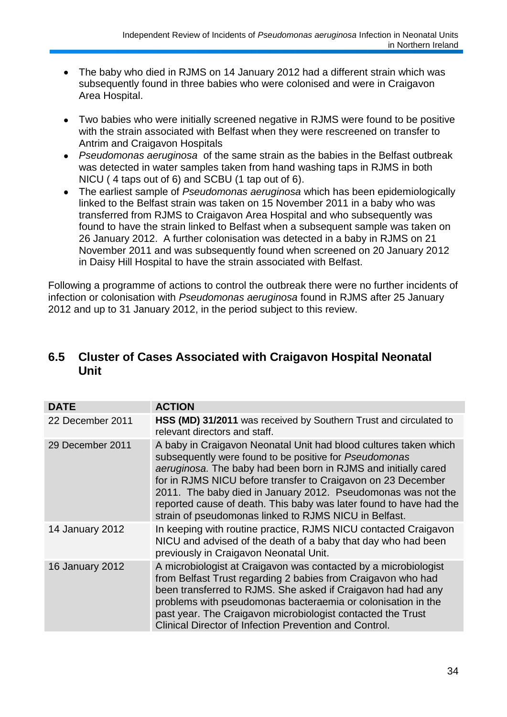- The baby who died in RJMS on 14 January 2012 had a different strain which was  $\bullet$ subsequently found in three babies who were colonised and were in Craigavon Area Hospital.
- Two babies who were initially screened negative in RJMS were found to be positive  $\bullet$ with the strain associated with Belfast when they were rescreened on transfer to Antrim and Craigavon Hospitals
- *Pseudomonas aeruginosa* of the same strain as the babies in the Belfast outbreak  $\bullet$ was detected in water samples taken from hand washing taps in RJMS in both NICU ( 4 taps out of 6) and SCBU (1 tap out of 6).
- The earliest sample of *Pseudomonas aeruginosa* which has been epidemiologically  $\bullet$ linked to the Belfast strain was taken on 15 November 2011 in a baby who was transferred from RJMS to Craigavon Area Hospital and who subsequently was found to have the strain linked to Belfast when a subsequent sample was taken on 26 January 2012. A further colonisation was detected in a baby in RJMS on 21 November 2011 and was subsequently found when screened on 20 January 2012 in Daisy Hill Hospital to have the strain associated with Belfast.

Following a programme of actions to control the outbreak there were no further incidents of infection or colonisation with *Pseudomonas aeruginosa* found in RJMS after 25 January 2012 and up to 31 January 2012, in the period subject to this review.

## **6.5 Cluster of Cases Associated with Craigavon Hospital Neonatal Unit**

| <b>DATE</b>      | <b>ACTION</b>                                                                                                                                                                                                                                                                                                                                                                                                                                               |
|------------------|-------------------------------------------------------------------------------------------------------------------------------------------------------------------------------------------------------------------------------------------------------------------------------------------------------------------------------------------------------------------------------------------------------------------------------------------------------------|
| 22 December 2011 | HSS (MD) 31/2011 was received by Southern Trust and circulated to<br>relevant directors and staff.                                                                                                                                                                                                                                                                                                                                                          |
| 29 December 2011 | A baby in Craigavon Neonatal Unit had blood cultures taken which<br>subsequently were found to be positive for Pseudomonas<br>aeruginosa. The baby had been born in RJMS and initially cared<br>for in RJMS NICU before transfer to Craigavon on 23 December<br>2011. The baby died in January 2012. Pseudomonas was not the<br>reported cause of death. This baby was later found to have had the<br>strain of pseudomonas linked to RJMS NICU in Belfast. |
| 14 January 2012  | In keeping with routine practice, RJMS NICU contacted Craigavon<br>NICU and advised of the death of a baby that day who had been<br>previously in Craigavon Neonatal Unit.                                                                                                                                                                                                                                                                                  |
| 16 January 2012  | A microbiologist at Craigavon was contacted by a microbiologist<br>from Belfast Trust regarding 2 babies from Craigavon who had<br>been transferred to RJMS. She asked if Craigavon had had any<br>problems with pseudomonas bacteraemia or colonisation in the<br>past year. The Craigavon microbiologist contacted the Trust<br>Clinical Director of Infection Prevention and Control.                                                                    |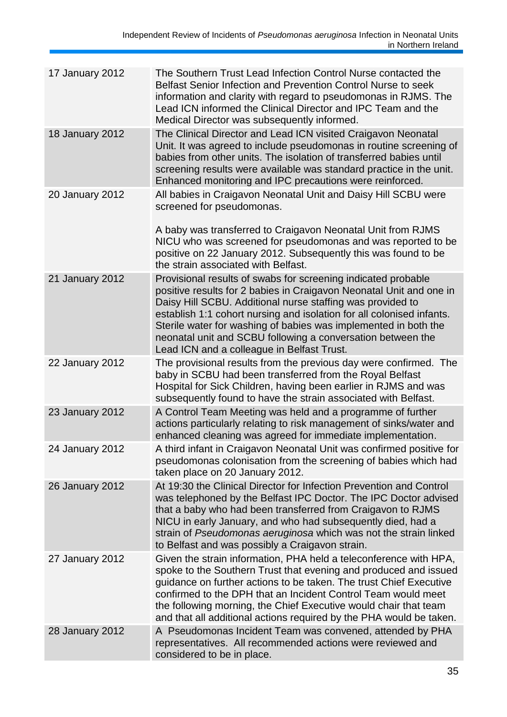| 17 January 2012        | The Southern Trust Lead Infection Control Nurse contacted the<br>Belfast Senior Infection and Prevention Control Nurse to seek<br>information and clarity with regard to pseudomonas in RJMS. The<br>Lead ICN informed the Clinical Director and IPC Team and the<br>Medical Director was subsequently informed.                                                                                                                                            |
|------------------------|-------------------------------------------------------------------------------------------------------------------------------------------------------------------------------------------------------------------------------------------------------------------------------------------------------------------------------------------------------------------------------------------------------------------------------------------------------------|
| 18 January 2012        | The Clinical Director and Lead ICN visited Craigavon Neonatal<br>Unit. It was agreed to include pseudomonas in routine screening of<br>babies from other units. The isolation of transferred babies until<br>screening results were available was standard practice in the unit.<br>Enhanced monitoring and IPC precautions were reinforced.                                                                                                                |
| <b>20 January 2012</b> | All babies in Craigavon Neonatal Unit and Daisy Hill SCBU were<br>screened for pseudomonas.                                                                                                                                                                                                                                                                                                                                                                 |
|                        | A baby was transferred to Craigavon Neonatal Unit from RJMS<br>NICU who was screened for pseudomonas and was reported to be<br>positive on 22 January 2012. Subsequently this was found to be<br>the strain associated with Belfast.                                                                                                                                                                                                                        |
| 21 January 2012        | Provisional results of swabs for screening indicated probable<br>positive results for 2 babies in Craigavon Neonatal Unit and one in<br>Daisy Hill SCBU. Additional nurse staffing was provided to<br>establish 1:1 cohort nursing and isolation for all colonised infants.<br>Sterile water for washing of babies was implemented in both the<br>neonatal unit and SCBU following a conversation between the<br>Lead ICN and a colleague in Belfast Trust. |
| 22 January 2012        | The provisional results from the previous day were confirmed. The<br>baby in SCBU had been transferred from the Royal Belfast<br>Hospital for Sick Children, having been earlier in RJMS and was<br>subsequently found to have the strain associated with Belfast.                                                                                                                                                                                          |
| 23 January 2012        | A Control Team Meeting was held and a programme of further<br>actions particularly relating to risk management of sinks/water and<br>enhanced cleaning was agreed for immediate implementation.                                                                                                                                                                                                                                                             |
| 24 January 2012        | A third infant in Craigavon Neonatal Unit was confirmed positive for<br>pseudomonas colonisation from the screening of babies which had<br>taken place on 20 January 2012.                                                                                                                                                                                                                                                                                  |
| 26 January 2012        | At 19:30 the Clinical Director for Infection Prevention and Control<br>was telephoned by the Belfast IPC Doctor. The IPC Doctor advised<br>that a baby who had been transferred from Craigavon to RJMS<br>NICU in early January, and who had subsequently died, had a<br>strain of Pseudomonas aeruginosa which was not the strain linked<br>to Belfast and was possibly a Craigavon strain.                                                                |
| 27 January 2012        | Given the strain information, PHA held a teleconference with HPA,<br>spoke to the Southern Trust that evening and produced and issued<br>guidance on further actions to be taken. The trust Chief Executive<br>confirmed to the DPH that an Incident Control Team would meet<br>the following morning, the Chief Executive would chair that team<br>and that all additional actions required by the PHA would be taken.                                     |
| 28 January 2012        | A Pseudomonas Incident Team was convened, attended by PHA<br>representatives. All recommended actions were reviewed and<br>considered to be in place.                                                                                                                                                                                                                                                                                                       |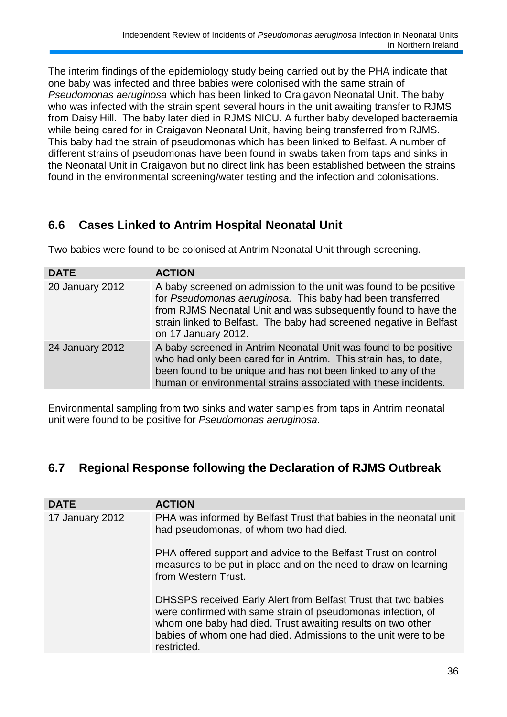The interim findings of the epidemiology study being carried out by the PHA indicate that one baby was infected and three babies were colonised with the same strain of *Pseudomonas aeruginosa* which has been linked to Craigavon Neonatal Unit. The baby who was infected with the strain spent several hours in the unit awaiting transfer to RJMS from Daisy Hill. The baby later died in RJMS NICU. A further baby developed bacteraemia while being cared for in Craigavon Neonatal Unit, having being transferred from RJMS. This baby had the strain of pseudomonas which has been linked to Belfast. A number of different strains of pseudomonas have been found in swabs taken from taps and sinks in the Neonatal Unit in Craigavon but no direct link has been established between the strains found in the environmental screening/water testing and the infection and colonisations.

## **6.6 Cases Linked to Antrim Hospital Neonatal Unit**

Two babies were found to be colonised at Antrim Neonatal Unit through screening.

| <b>DATE</b>     | <b>ACTION</b>                                                                                                                                                                                                                                                                                   |
|-----------------|-------------------------------------------------------------------------------------------------------------------------------------------------------------------------------------------------------------------------------------------------------------------------------------------------|
| 20 January 2012 | A baby screened on admission to the unit was found to be positive<br>for Pseudomonas aeruginosa. This baby had been transferred<br>from RJMS Neonatal Unit and was subsequently found to have the<br>strain linked to Belfast. The baby had screened negative in Belfast<br>on 17 January 2012. |
| 24 January 2012 | A baby screened in Antrim Neonatal Unit was found to be positive<br>who had only been cared for in Antrim. This strain has, to date,<br>been found to be unique and has not been linked to any of the<br>human or environmental strains associated with these incidents.                        |

Environmental sampling from two sinks and water samples from taps in Antrim neonatal unit were found to be positive for *Pseudomonas aeruginosa.*

# **6.7 Regional Response following the Declaration of RJMS Outbreak**

| <b>DATE</b>     | <b>ACTION</b>                                                                                                                                                                                                                                                                  |
|-----------------|--------------------------------------------------------------------------------------------------------------------------------------------------------------------------------------------------------------------------------------------------------------------------------|
| 17 January 2012 | PHA was informed by Belfast Trust that babies in the neonatal unit<br>had pseudomonas, of whom two had died.                                                                                                                                                                   |
|                 | PHA offered support and advice to the Belfast Trust on control<br>measures to be put in place and on the need to draw on learning<br>from Western Trust.                                                                                                                       |
|                 | DHSSPS received Early Alert from Belfast Trust that two babies<br>were confirmed with same strain of pseudomonas infection, of<br>whom one baby had died. Trust awaiting results on two other<br>babies of whom one had died. Admissions to the unit were to be<br>restricted. |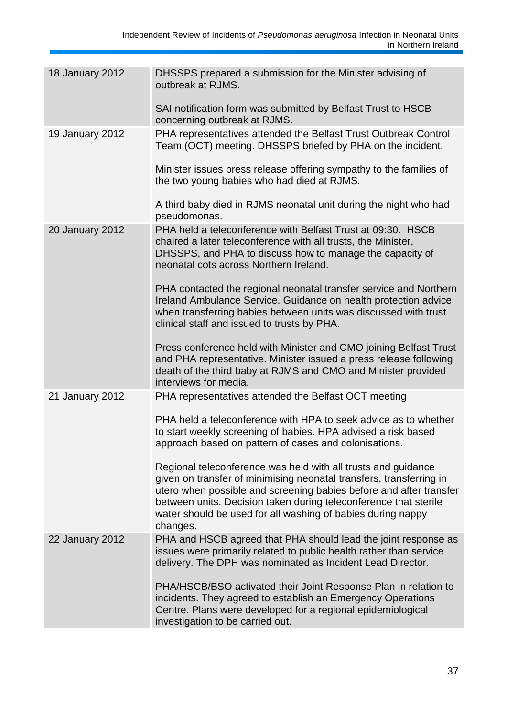| 18 January 2012 | DHSSPS prepared a submission for the Minister advising of<br>outbreak at RJMS.                                                                                                                                                                                                                                                                            |
|-----------------|-----------------------------------------------------------------------------------------------------------------------------------------------------------------------------------------------------------------------------------------------------------------------------------------------------------------------------------------------------------|
|                 | SAI notification form was submitted by Belfast Trust to HSCB<br>concerning outbreak at RJMS.                                                                                                                                                                                                                                                              |
| 19 January 2012 | PHA representatives attended the Belfast Trust Outbreak Control<br>Team (OCT) meeting. DHSSPS briefed by PHA on the incident.                                                                                                                                                                                                                             |
|                 | Minister issues press release offering sympathy to the families of<br>the two young babies who had died at RJMS.                                                                                                                                                                                                                                          |
|                 | A third baby died in RJMS neonatal unit during the night who had<br>pseudomonas.                                                                                                                                                                                                                                                                          |
| 20 January 2012 | PHA held a teleconference with Belfast Trust at 09:30. HSCB<br>chaired a later teleconference with all trusts, the Minister,<br>DHSSPS, and PHA to discuss how to manage the capacity of<br>neonatal cots across Northern Ireland.                                                                                                                        |
|                 | PHA contacted the regional neonatal transfer service and Northern<br>Ireland Ambulance Service. Guidance on health protection advice<br>when transferring babies between units was discussed with trust<br>clinical staff and issued to trusts by PHA.                                                                                                    |
|                 | Press conference held with Minister and CMO joining Belfast Trust<br>and PHA representative. Minister issued a press release following<br>death of the third baby at RJMS and CMO and Minister provided<br>interviews for media.                                                                                                                          |
| 21 January 2012 | PHA representatives attended the Belfast OCT meeting                                                                                                                                                                                                                                                                                                      |
|                 | PHA held a teleconference with HPA to seek advice as to whether<br>to start weekly screening of babies. HPA advised a risk based<br>approach based on pattern of cases and colonisations.                                                                                                                                                                 |
|                 | Regional teleconference was held with all trusts and guidance<br>given on transfer of minimising neonatal transfers, transferring in<br>utero when possible and screening babies before and after transfer<br>between units. Decision taken during teleconference that sterile<br>water should be used for all washing of babies during nappy<br>changes. |
| 22 January 2012 | PHA and HSCB agreed that PHA should lead the joint response as<br>issues were primarily related to public health rather than service<br>delivery. The DPH was nominated as Incident Lead Director.                                                                                                                                                        |
|                 | PHA/HSCB/BSO activated their Joint Response Plan in relation to<br>incidents. They agreed to establish an Emergency Operations<br>Centre. Plans were developed for a regional epidemiological<br>investigation to be carried out.                                                                                                                         |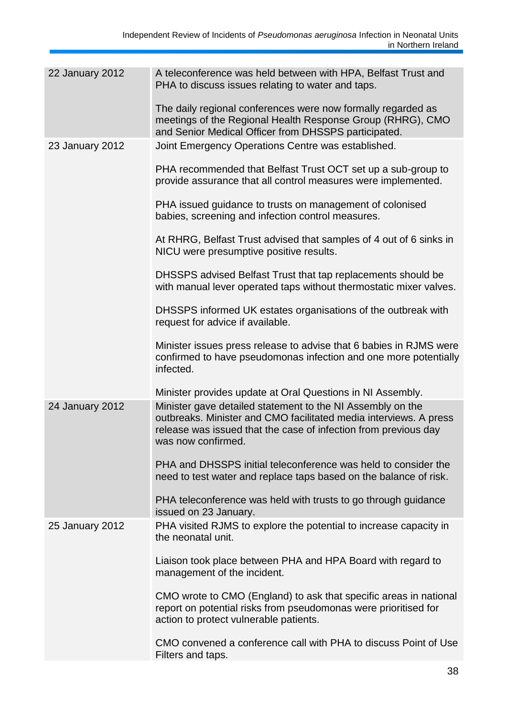| 22 January 2012 | A teleconference was held between with HPA, Belfast Trust and<br>PHA to discuss issues relating to water and taps.                                                                                                       |
|-----------------|--------------------------------------------------------------------------------------------------------------------------------------------------------------------------------------------------------------------------|
|                 | The daily regional conferences were now formally regarded as<br>meetings of the Regional Health Response Group (RHRG), CMO<br>and Senior Medical Officer from DHSSPS participated.                                       |
| 23 January 2012 | Joint Emergency Operations Centre was established.                                                                                                                                                                       |
|                 | PHA recommended that Belfast Trust OCT set up a sub-group to<br>provide assurance that all control measures were implemented.                                                                                            |
|                 | PHA issued guidance to trusts on management of colonised<br>babies, screening and infection control measures.                                                                                                            |
|                 | At RHRG, Belfast Trust advised that samples of 4 out of 6 sinks in<br>NICU were presumptive positive results.                                                                                                            |
|                 | DHSSPS advised Belfast Trust that tap replacements should be<br>with manual lever operated taps without thermostatic mixer valves.                                                                                       |
|                 | DHSSPS informed UK estates organisations of the outbreak with<br>request for advice if available.                                                                                                                        |
|                 | Minister issues press release to advise that 6 babies in RJMS were<br>confirmed to have pseudomonas infection and one more potentially<br>infected.                                                                      |
|                 | Minister provides update at Oral Questions in NI Assembly.                                                                                                                                                               |
| 24 January 2012 | Minister gave detailed statement to the NI Assembly on the<br>outbreaks. Minister and CMO facilitated media interviews. A press<br>release was issued that the case of infection from previous day<br>was now confirmed. |
|                 | PHA and DHSSPS initial teleconference was held to consider the<br>need to test water and replace taps based on the balance of risk.                                                                                      |
|                 | PHA teleconference was held with trusts to go through guidance<br>issued on 23 January.                                                                                                                                  |
| 25 January 2012 | PHA visited RJMS to explore the potential to increase capacity in<br>the neonatal unit.                                                                                                                                  |
|                 | Liaison took place between PHA and HPA Board with regard to<br>management of the incident.                                                                                                                               |
|                 | CMO wrote to CMO (England) to ask that specific areas in national<br>report on potential risks from pseudomonas were prioritised for<br>action to protect vulnerable patients.                                           |
|                 | CMO convened a conference call with PHA to discuss Point of Use<br>Filters and taps.                                                                                                                                     |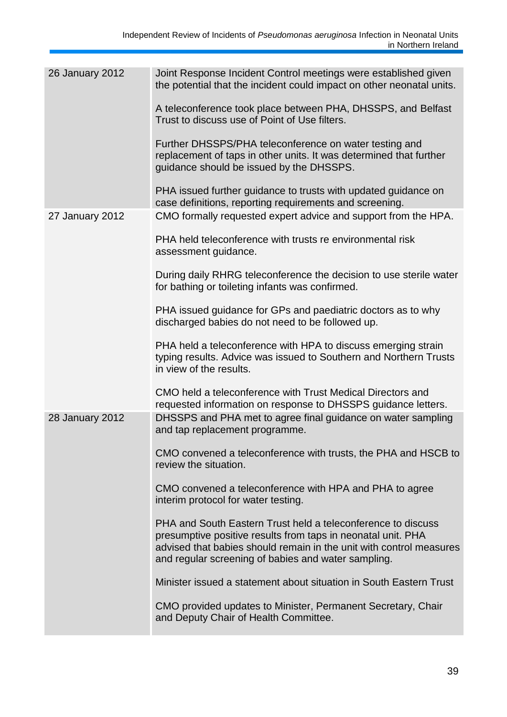| <b>26 January 2012</b> | Joint Response Incident Control meetings were established given<br>the potential that the incident could impact on other neonatal units.                                                                                                                   |
|------------------------|------------------------------------------------------------------------------------------------------------------------------------------------------------------------------------------------------------------------------------------------------------|
|                        | A teleconference took place between PHA, DHSSPS, and Belfast<br>Trust to discuss use of Point of Use filters.                                                                                                                                              |
|                        | Further DHSSPS/PHA teleconference on water testing and<br>replacement of taps in other units. It was determined that further<br>guidance should be issued by the DHSSPS.                                                                                   |
|                        | PHA issued further guidance to trusts with updated guidance on<br>case definitions, reporting requirements and screening.                                                                                                                                  |
| 27 January 2012        | CMO formally requested expert advice and support from the HPA.                                                                                                                                                                                             |
|                        | PHA held teleconference with trusts re environmental risk<br>assessment guidance.                                                                                                                                                                          |
|                        | During daily RHRG teleconference the decision to use sterile water<br>for bathing or toileting infants was confirmed.                                                                                                                                      |
|                        | PHA issued guidance for GPs and paediatric doctors as to why<br>discharged babies do not need to be followed up.                                                                                                                                           |
|                        | PHA held a teleconference with HPA to discuss emerging strain<br>typing results. Advice was issued to Southern and Northern Trusts<br>in view of the results.                                                                                              |
|                        | CMO held a teleconference with Trust Medical Directors and<br>requested information on response to DHSSPS guidance letters.                                                                                                                                |
| 28 January 2012        | DHSSPS and PHA met to agree final guidance on water sampling<br>and tap replacement programme.                                                                                                                                                             |
|                        | CMO convened a teleconference with trusts, the PHA and HSCB to<br>review the situation.                                                                                                                                                                    |
|                        | CMO convened a teleconference with HPA and PHA to agree<br>interim protocol for water testing.                                                                                                                                                             |
|                        | PHA and South Eastern Trust held a teleconference to discuss<br>presumptive positive results from taps in neonatal unit. PHA<br>advised that babies should remain in the unit with control measures<br>and regular screening of babies and water sampling. |
|                        | Minister issued a statement about situation in South Eastern Trust                                                                                                                                                                                         |
|                        | CMO provided updates to Minister, Permanent Secretary, Chair<br>and Deputy Chair of Health Committee.                                                                                                                                                      |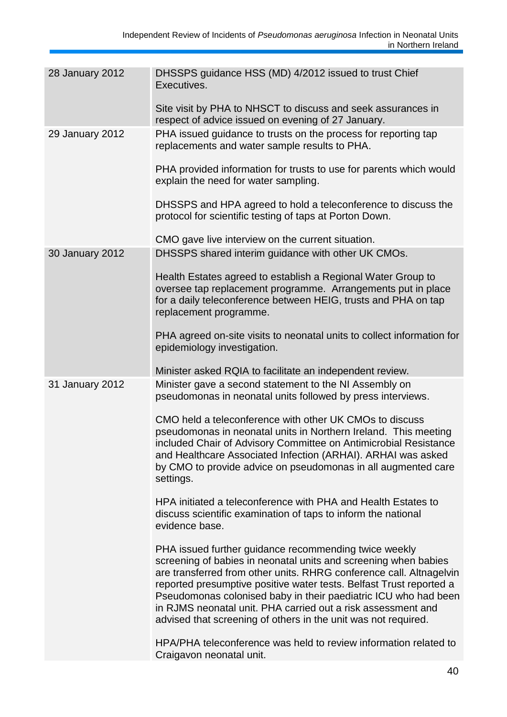| 28 January 2012 | DHSSPS guidance HSS (MD) 4/2012 issued to trust Chief<br>Executives.                                                                                                                                                                                                                                                                                                                                                                                                        |
|-----------------|-----------------------------------------------------------------------------------------------------------------------------------------------------------------------------------------------------------------------------------------------------------------------------------------------------------------------------------------------------------------------------------------------------------------------------------------------------------------------------|
|                 | Site visit by PHA to NHSCT to discuss and seek assurances in<br>respect of advice issued on evening of 27 January.                                                                                                                                                                                                                                                                                                                                                          |
| 29 January 2012 | PHA issued guidance to trusts on the process for reporting tap<br>replacements and water sample results to PHA.                                                                                                                                                                                                                                                                                                                                                             |
|                 | PHA provided information for trusts to use for parents which would<br>explain the need for water sampling.                                                                                                                                                                                                                                                                                                                                                                  |
|                 | DHSSPS and HPA agreed to hold a teleconference to discuss the<br>protocol for scientific testing of taps at Porton Down.                                                                                                                                                                                                                                                                                                                                                    |
|                 | CMO gave live interview on the current situation.                                                                                                                                                                                                                                                                                                                                                                                                                           |
| 30 January 2012 | DHSSPS shared interim guidance with other UK CMOs.                                                                                                                                                                                                                                                                                                                                                                                                                          |
|                 | Health Estates agreed to establish a Regional Water Group to<br>oversee tap replacement programme. Arrangements put in place<br>for a daily teleconference between HEIG, trusts and PHA on tap<br>replacement programme.                                                                                                                                                                                                                                                    |
|                 | PHA agreed on-site visits to neonatal units to collect information for<br>epidemiology investigation.                                                                                                                                                                                                                                                                                                                                                                       |
|                 | Minister asked RQIA to facilitate an independent review.                                                                                                                                                                                                                                                                                                                                                                                                                    |
| 31 January 2012 | Minister gave a second statement to the NI Assembly on<br>pseudomonas in neonatal units followed by press interviews.                                                                                                                                                                                                                                                                                                                                                       |
|                 | CMO held a teleconference with other UK CMOs to discuss<br>pseudomonas in neonatal units in Northern Ireland. This meeting<br>included Chair of Advisory Committee on Antimicrobial Resistance<br>and Healthcare Associated Infection (ARHAI). ARHAI was asked<br>by CMO to provide advice on pseudomonas in all augmented care<br>settings.                                                                                                                                |
|                 | HPA initiated a teleconference with PHA and Health Estates to<br>discuss scientific examination of taps to inform the national<br>evidence base.                                                                                                                                                                                                                                                                                                                            |
|                 | PHA issued further guidance recommending twice weekly<br>screening of babies in neonatal units and screening when babies<br>are transferred from other units. RHRG conference call. Altnagelvin<br>reported presumptive positive water tests. Belfast Trust reported a<br>Pseudomonas colonised baby in their paediatric ICU who had been<br>in RJMS neonatal unit. PHA carried out a risk assessment and<br>advised that screening of others in the unit was not required. |
|                 | HPA/PHA teleconference was held to review information related to<br>Craigavon neonatal unit.                                                                                                                                                                                                                                                                                                                                                                                |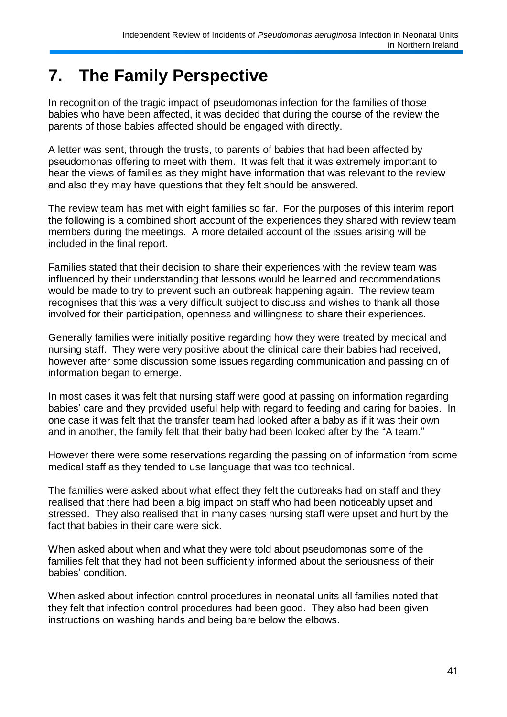# **7. The Family Perspective**

In recognition of the tragic impact of pseudomonas infection for the families of those babies who have been affected, it was decided that during the course of the review the parents of those babies affected should be engaged with directly.

A letter was sent, through the trusts, to parents of babies that had been affected by pseudomonas offering to meet with them. It was felt that it was extremely important to hear the views of families as they might have information that was relevant to the review and also they may have questions that they felt should be answered.

The review team has met with eight families so far. For the purposes of this interim report the following is a combined short account of the experiences they shared with review team members during the meetings. A more detailed account of the issues arising will be included in the final report.

Families stated that their decision to share their experiences with the review team was influenced by their understanding that lessons would be learned and recommendations would be made to try to prevent such an outbreak happening again. The review team recognises that this was a very difficult subject to discuss and wishes to thank all those involved for their participation, openness and willingness to share their experiences.

Generally families were initially positive regarding how they were treated by medical and nursing staff. They were very positive about the clinical care their babies had received, however after some discussion some issues regarding communication and passing on of information began to emerge.

In most cases it was felt that nursing staff were good at passing on information regarding babies" care and they provided useful help with regard to feeding and caring for babies. In one case it was felt that the transfer team had looked after a baby as if it was their own and in another, the family felt that their baby had been looked after by the "A team."

However there were some reservations regarding the passing on of information from some medical staff as they tended to use language that was too technical.

The families were asked about what effect they felt the outbreaks had on staff and they realised that there had been a big impact on staff who had been noticeably upset and stressed. They also realised that in many cases nursing staff were upset and hurt by the fact that babies in their care were sick.

When asked about when and what they were told about pseudomonas some of the families felt that they had not been sufficiently informed about the seriousness of their babies' condition.

When asked about infection control procedures in neonatal units all families noted that they felt that infection control procedures had been good. They also had been given instructions on washing hands and being bare below the elbows.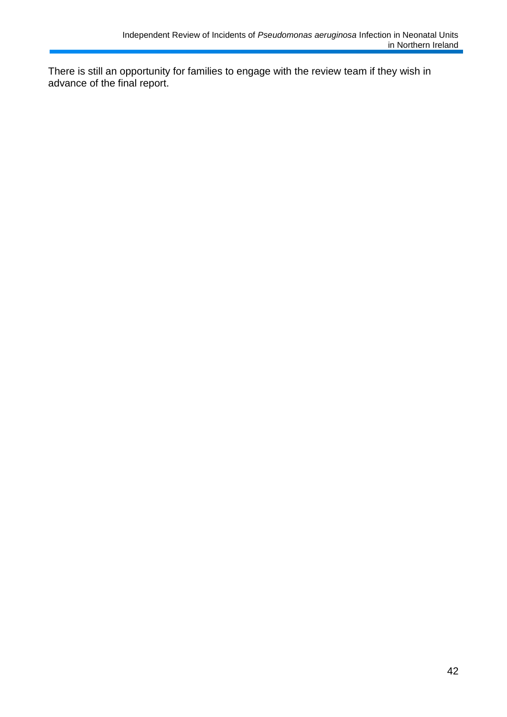There is still an opportunity for families to engage with the review team if they wish in advance of the final report.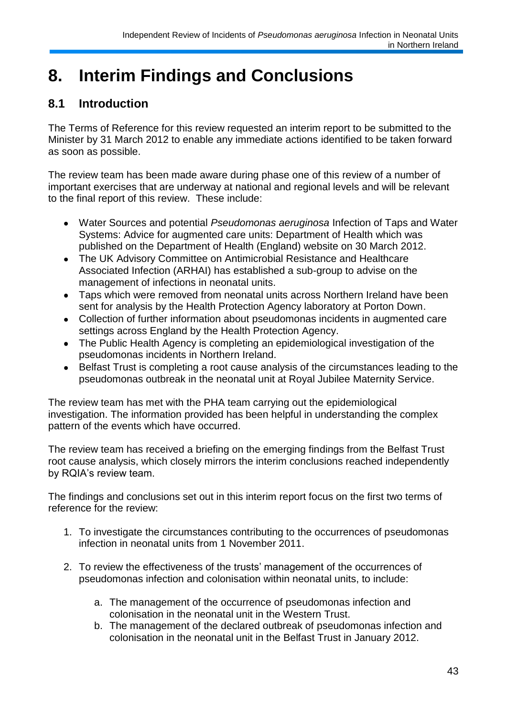# **8. Interim Findings and Conclusions**

# **8.1 Introduction**

The Terms of Reference for this review requested an interim report to be submitted to the Minister by 31 March 2012 to enable any immediate actions identified to be taken forward as soon as possible.

The review team has been made aware during phase one of this review of a number of important exercises that are underway at national and regional levels and will be relevant to the final report of this review. These include:

- Water Sources and potential *Pseudomonas aeruginosa* Infection of Taps and Water Systems: Advice for augmented care units: Department of Health which was published on the Department of Health (England) website on 30 March 2012.
- The UK Advisory Committee on Antimicrobial Resistance and Healthcare  $\bullet$ Associated Infection (ARHAI) has established a sub-group to advise on the management of infections in neonatal units.
- Taps which were removed from neonatal units across Northern Ireland have been sent for analysis by the Health Protection Agency laboratory at Porton Down.
- Collection of further information about pseudomonas incidents in augmented care  $\bullet$ settings across England by the Health Protection Agency.
- The Public Health Agency is completing an epidemiological investigation of the  $\bullet$ pseudomonas incidents in Northern Ireland.
- Belfast Trust is completing a root cause analysis of the circumstances leading to the  $\bullet$ pseudomonas outbreak in the neonatal unit at Royal Jubilee Maternity Service.

The review team has met with the PHA team carrying out the epidemiological investigation. The information provided has been helpful in understanding the complex pattern of the events which have occurred.

The review team has received a briefing on the emerging findings from the Belfast Trust root cause analysis, which closely mirrors the interim conclusions reached independently by RQIA's review team.

The findings and conclusions set out in this interim report focus on the first two terms of reference for the review:

- 1. To investigate the circumstances contributing to the occurrences of pseudomonas infection in neonatal units from 1 November 2011.
- 2. To review the effectiveness of the trusts" management of the occurrences of pseudomonas infection and colonisation within neonatal units, to include:
	- a. The management of the occurrence of pseudomonas infection and colonisation in the neonatal unit in the Western Trust.
	- b. The management of the declared outbreak of pseudomonas infection and colonisation in the neonatal unit in the Belfast Trust in January 2012.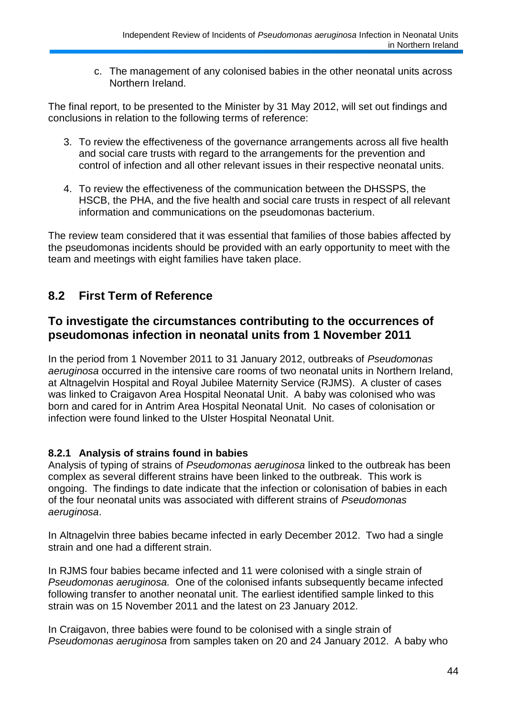c. The management of any colonised babies in the other neonatal units across Northern Ireland.

The final report, to be presented to the Minister by 31 May 2012, will set out findings and conclusions in relation to the following terms of reference:

- 3. To review the effectiveness of the governance arrangements across all five health and social care trusts with regard to the arrangements for the prevention and control of infection and all other relevant issues in their respective neonatal units.
- 4. To review the effectiveness of the communication between the DHSSPS, the HSCB, the PHA, and the five health and social care trusts in respect of all relevant information and communications on the pseudomonas bacterium.

The review team considered that it was essential that families of those babies affected by the pseudomonas incidents should be provided with an early opportunity to meet with the team and meetings with eight families have taken place.

## **8.2 First Term of Reference**

## **To investigate the circumstances contributing to the occurrences of pseudomonas infection in neonatal units from 1 November 2011**

In the period from 1 November 2011 to 31 January 2012, outbreaks of *Pseudomonas aeruginosa* occurred in the intensive care rooms of two neonatal units in Northern Ireland, at Altnagelvin Hospital and Royal Jubilee Maternity Service (RJMS). A cluster of cases was linked to Craigavon Area Hospital Neonatal Unit. A baby was colonised who was born and cared for in Antrim Area Hospital Neonatal Unit. No cases of colonisation or infection were found linked to the Ulster Hospital Neonatal Unit.

### **8.2.1 Analysis of strains found in babies**

Analysis of typing of strains of *Pseudomonas aeruginosa* linked to the outbreak has been complex as several different strains have been linked to the outbreak. This work is ongoing. The findings to date indicate that the infection or colonisation of babies in each of the four neonatal units was associated with different strains of *Pseudomonas aeruginosa*.

In Altnagelvin three babies became infected in early December 2012. Two had a single strain and one had a different strain.

In RJMS four babies became infected and 11 were colonised with a single strain of *Pseudomonas aeruginosa.* One of the colonised infants subsequently became infected following transfer to another neonatal unit. The earliest identified sample linked to this strain was on 15 November 2011 and the latest on 23 January 2012.

In Craigavon, three babies were found to be colonised with a single strain of *Pseudomonas aeruginosa* from samples taken on 20 and 24 January 2012. A baby who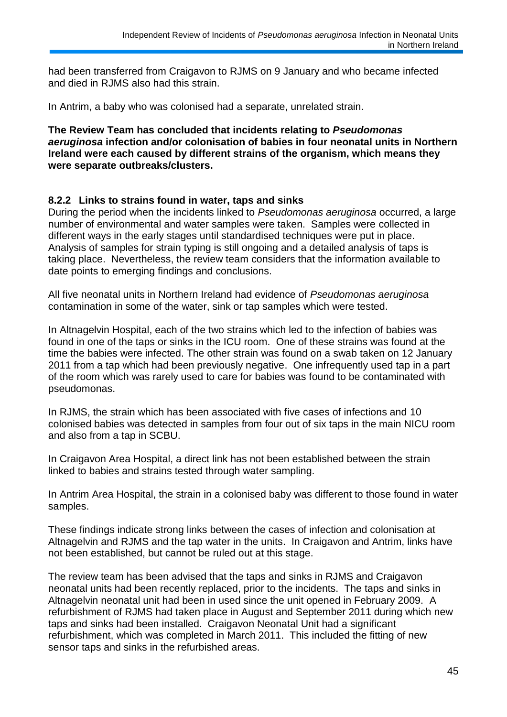had been transferred from Craigavon to RJMS on 9 January and who became infected and died in RJMS also had this strain.

In Antrim, a baby who was colonised had a separate, unrelated strain.

**The Review Team has concluded that incidents relating to** *Pseudomonas aeruginosa* **infection and/or colonisation of babies in four neonatal units in Northern Ireland were each caused by different strains of the organism, which means they were separate outbreaks/clusters.**

#### **8.2.2 Links to strains found in water, taps and sinks**

During the period when the incidents linked to *Pseudomonas aeruginosa* occurred, a large number of environmental and water samples were taken. Samples were collected in different ways in the early stages until standardised techniques were put in place. Analysis of samples for strain typing is still ongoing and a detailed analysis of taps is taking place. Nevertheless, the review team considers that the information available to date points to emerging findings and conclusions.

All five neonatal units in Northern Ireland had evidence of *Pseudomonas aeruginosa* contamination in some of the water, sink or tap samples which were tested.

In Altnagelvin Hospital, each of the two strains which led to the infection of babies was found in one of the taps or sinks in the ICU room. One of these strains was found at the time the babies were infected. The other strain was found on a swab taken on 12 January 2011 from a tap which had been previously negative. One infrequently used tap in a part of the room which was rarely used to care for babies was found to be contaminated with pseudomonas.

In RJMS, the strain which has been associated with five cases of infections and 10 colonised babies was detected in samples from four out of six taps in the main NICU room and also from a tap in SCBU.

In Craigavon Area Hospital, a direct link has not been established between the strain linked to babies and strains tested through water sampling.

In Antrim Area Hospital, the strain in a colonised baby was different to those found in water samples.

These findings indicate strong links between the cases of infection and colonisation at Altnagelvin and RJMS and the tap water in the units. In Craigavon and Antrim, links have not been established, but cannot be ruled out at this stage.

The review team has been advised that the taps and sinks in RJMS and Craigavon neonatal units had been recently replaced, prior to the incidents. The taps and sinks in Altnagelvin neonatal unit had been in used since the unit opened in February 2009. A refurbishment of RJMS had taken place in August and September 2011 during which new taps and sinks had been installed. Craigavon Neonatal Unit had a significant refurbishment, which was completed in March 2011. This included the fitting of new sensor taps and sinks in the refurbished areas.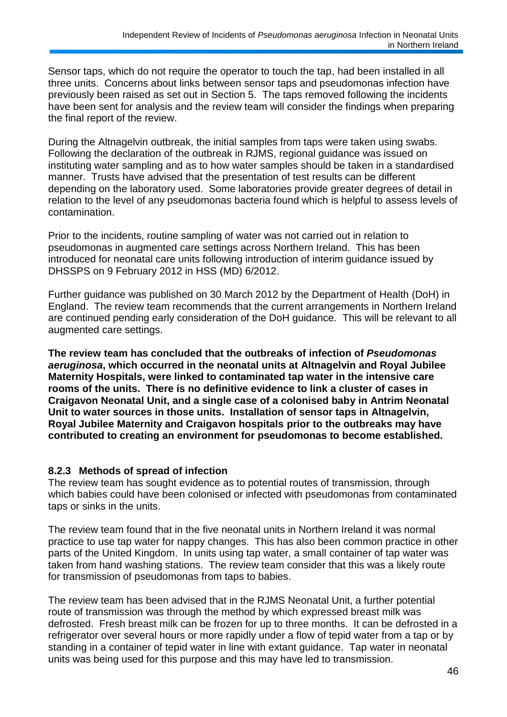Sensor taps, which do not require the operator to touch the tap, had been installed in all three units. Concerns about links between sensor taps and pseudomonas infection have previously been raised as set out in Section 5. The taps removed following the incidents have been sent for analysis and the review team will consider the findings when preparing the final report of the review.

During the Altnagelvin outbreak, the initial samples from taps were taken using swabs. Following the declaration of the outbreak in RJMS, regional guidance was issued on instituting water sampling and as to how water samples should be taken in a standardised manner. Trusts have advised that the presentation of test results can be different depending on the laboratory used. Some laboratories provide greater degrees of detail in relation to the level of any pseudomonas bacteria found which is helpful to assess levels of contamination.

Prior to the incidents, routine sampling of water was not carried out in relation to pseudomonas in augmented care settings across Northern Ireland. This has been introduced for neonatal care units following introduction of interim guidance issued by DHSSPS on 9 February 2012 in HSS (MD) 6/2012.

Further guidance was published on 30 March 2012 by the Department of Health (DoH) in England. The review team recommends that the current arrangements in Northern Ireland are continued pending early consideration of the DoH guidance. This will be relevant to all augmented care settings.

**The review team has concluded that the outbreaks of infection of** *Pseudomonas aeruginosa***, which occurred in the neonatal units at Altnagelvin and Royal Jubilee Maternity Hospitals, were linked to contaminated tap water in the intensive care rooms of the units. There is no definitive evidence to link a cluster of cases in Craigavon Neonatal Unit, and a single case of a colonised baby in Antrim Neonatal Unit to water sources in those units. Installation of sensor taps in Altnagelvin, Royal Jubilee Maternity and Craigavon hospitals prior to the outbreaks may have contributed to creating an environment for pseudomonas to become established.**

#### **8.2.3 Methods of spread of infection**

The review team has sought evidence as to potential routes of transmission, through which babies could have been colonised or infected with pseudomonas from contaminated taps or sinks in the units.

The review team found that in the five neonatal units in Northern Ireland it was normal practice to use tap water for nappy changes. This has also been common practice in other parts of the United Kingdom. In units using tap water, a small container of tap water was taken from hand washing stations. The review team consider that this was a likely route for transmission of pseudomonas from taps to babies.

The review team has been advised that in the RJMS Neonatal Unit, a further potential route of transmission was through the method by which expressed breast milk was defrosted. Fresh breast milk can be frozen for up to three months. It can be defrosted in a refrigerator over several hours or more rapidly under a flow of tepid water from a tap or by standing in a container of tepid water in line with extant guidance. Tap water in neonatal units was being used for this purpose and this may have led to transmission.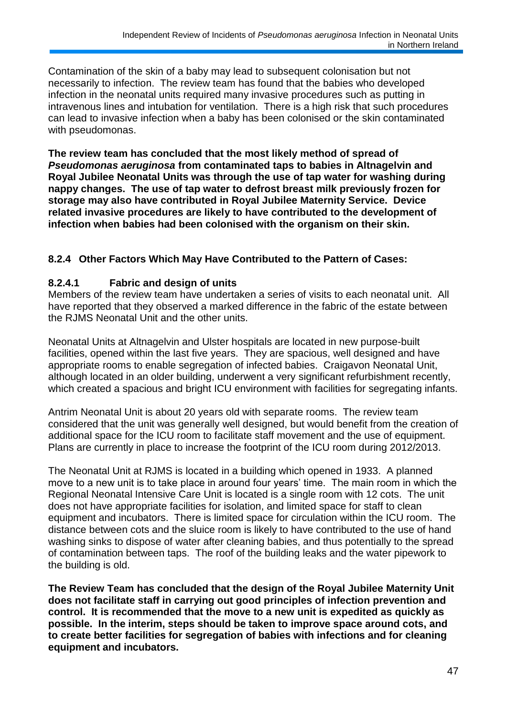Contamination of the skin of a baby may lead to subsequent colonisation but not necessarily to infection. The review team has found that the babies who developed infection in the neonatal units required many invasive procedures such as putting in intravenous lines and intubation for ventilation. There is a high risk that such procedures can lead to invasive infection when a baby has been colonised or the skin contaminated with pseudomonas.

**The review team has concluded that the most likely method of spread of**  *Pseudomonas aeruginosa* **from contaminated taps to babies in Altnagelvin and Royal Jubilee Neonatal Units was through the use of tap water for washing during nappy changes. The use of tap water to defrost breast milk previously frozen for storage may also have contributed in Royal Jubilee Maternity Service. Device related invasive procedures are likely to have contributed to the development of infection when babies had been colonised with the organism on their skin.**

## **8.2.4 Other Factors Which May Have Contributed to the Pattern of Cases:**

#### **8.2.4.1 Fabric and design of units**

Members of the review team have undertaken a series of visits to each neonatal unit. All have reported that they observed a marked difference in the fabric of the estate between the RJMS Neonatal Unit and the other units.

Neonatal Units at Altnagelvin and Ulster hospitals are located in new purpose-built facilities, opened within the last five years. They are spacious, well designed and have appropriate rooms to enable segregation of infected babies. Craigavon Neonatal Unit, although located in an older building, underwent a very significant refurbishment recently, which created a spacious and bright ICU environment with facilities for segregating infants.

Antrim Neonatal Unit is about 20 years old with separate rooms. The review team considered that the unit was generally well designed, but would benefit from the creation of additional space for the ICU room to facilitate staff movement and the use of equipment. Plans are currently in place to increase the footprint of the ICU room during 2012/2013.

The Neonatal Unit at RJMS is located in a building which opened in 1933. A planned move to a new unit is to take place in around four years' time. The main room in which the Regional Neonatal Intensive Care Unit is located is a single room with 12 cots. The unit does not have appropriate facilities for isolation, and limited space for staff to clean equipment and incubators. There is limited space for circulation within the ICU room. The distance between cots and the sluice room is likely to have contributed to the use of hand washing sinks to dispose of water after cleaning babies, and thus potentially to the spread of contamination between taps. The roof of the building leaks and the water pipework to the building is old.

**The Review Team has concluded that the design of the Royal Jubilee Maternity Unit does not facilitate staff in carrying out good principles of infection prevention and control. It is recommended that the move to a new unit is expedited as quickly as possible. In the interim, steps should be taken to improve space around cots, and to create better facilities for segregation of babies with infections and for cleaning equipment and incubators.**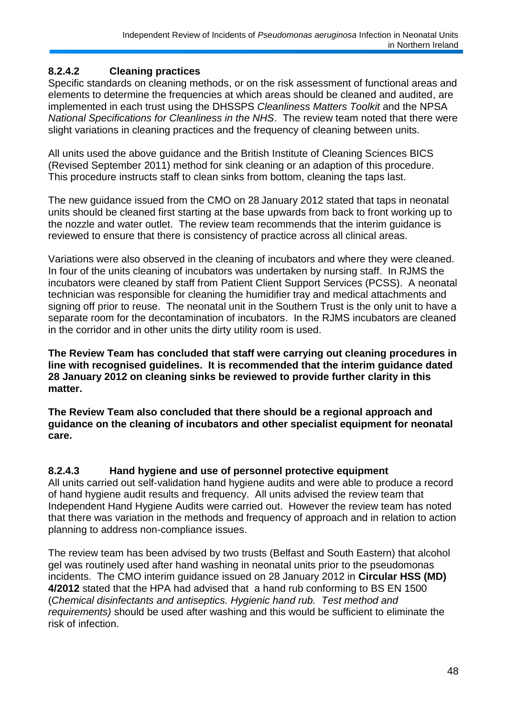## **8.2.4.2 Cleaning practices**

Specific standards on cleaning methods, or on the risk assessment of functional areas and elements to determine the frequencies at which areas should be cleaned and audited, are implemented in each trust using the DHSSPS *Cleanliness Matters Toolkit* and the NPSA *National Specifications for Cleanliness in the NHS*. The review team noted that there were slight variations in cleaning practices and the frequency of cleaning between units.

All units used the above guidance and the British Institute of Cleaning Sciences BICS (Revised September 2011) method for sink cleaning or an adaption of this procedure. This procedure instructs staff to clean sinks from bottom, cleaning the taps last.

The new guidance issued from the CMO on 28 January 2012 stated that taps in neonatal units should be cleaned first starting at the base upwards from back to front working up to the nozzle and water outlet. The review team recommends that the interim guidance is reviewed to ensure that there is consistency of practice across all clinical areas.

Variations were also observed in the cleaning of incubators and where they were cleaned. In four of the units cleaning of incubators was undertaken by nursing staff. In RJMS the incubators were cleaned by staff from Patient Client Support Services (PCSS). A neonatal technician was responsible for cleaning the humidifier tray and medical attachments and signing off prior to reuse. The neonatal unit in the Southern Trust is the only unit to have a separate room for the decontamination of incubators. In the RJMS incubators are cleaned in the corridor and in other units the dirty utility room is used.

**The Review Team has concluded that staff were carrying out cleaning procedures in line with recognised guidelines. It is recommended that the interim guidance dated 28 January 2012 on cleaning sinks be reviewed to provide further clarity in this matter.**

**The Review Team also concluded that there should be a regional approach and guidance on the cleaning of incubators and other specialist equipment for neonatal care.**

### **8.2.4.3 Hand hygiene and use of personnel protective equipment**

All units carried out self-validation hand hygiene audits and were able to produce a record of hand hygiene audit results and frequency. All units advised the review team that Independent Hand Hygiene Audits were carried out. However the review team has noted that there was variation in the methods and frequency of approach and in relation to action planning to address non-compliance issues.

The review team has been advised by two trusts (Belfast and South Eastern) that alcohol gel was routinely used after hand washing in neonatal units prior to the pseudomonas incidents. The CMO interim guidance issued on 28 January 2012 in **Circular HSS (MD) 4/2012** stated that the HPA had advised that a hand rub conforming to BS EN 1500 (*Chemical disinfectants and antiseptics. Hygienic hand rub. Test method and requirements)* should be used after washing and this would be sufficient to eliminate the risk of infection.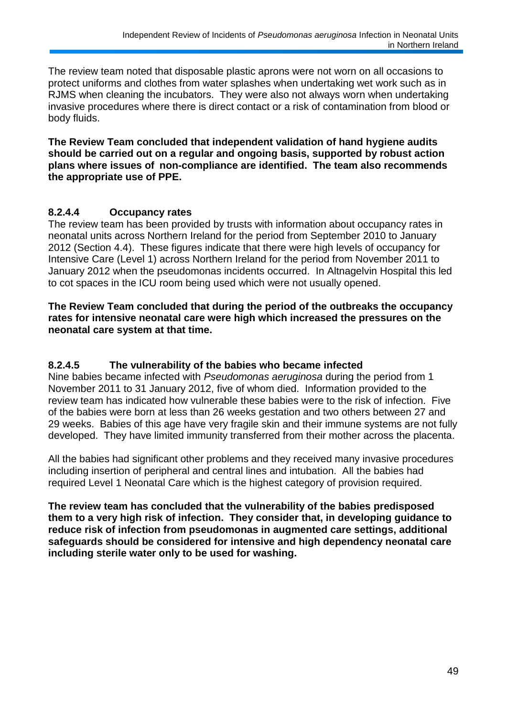The review team noted that disposable plastic aprons were not worn on all occasions to protect uniforms and clothes from water splashes when undertaking wet work such as in RJMS when cleaning the incubators. They were also not always worn when undertaking invasive procedures where there is direct contact or a risk of contamination from blood or body fluids.

**The Review Team concluded that independent validation of hand hygiene audits should be carried out on a regular and ongoing basis, supported by robust action plans where issues of non-compliance are identified. The team also recommends the appropriate use of PPE.**

### **8.2.4.4 Occupancy rates**

The review team has been provided by trusts with information about occupancy rates in neonatal units across Northern Ireland for the period from September 2010 to January 2012 (Section 4.4). These figures indicate that there were high levels of occupancy for Intensive Care (Level 1) across Northern Ireland for the period from November 2011 to January 2012 when the pseudomonas incidents occurred. In Altnagelvin Hospital this led to cot spaces in the ICU room being used which were not usually opened.

#### **The Review Team concluded that during the period of the outbreaks the occupancy rates for intensive neonatal care were high which increased the pressures on the neonatal care system at that time.**

### **8.2.4.5 The vulnerability of the babies who became infected**

Nine babies became infected with *Pseudomonas aeruginosa* during the period from 1 November 2011 to 31 January 2012, five of whom died. Information provided to the review team has indicated how vulnerable these babies were to the risk of infection. Five of the babies were born at less than 26 weeks gestation and two others between 27 and 29 weeks. Babies of this age have very fragile skin and their immune systems are not fully developed. They have limited immunity transferred from their mother across the placenta.

All the babies had significant other problems and they received many invasive procedures including insertion of peripheral and central lines and intubation. All the babies had required Level 1 Neonatal Care which is the highest category of provision required.

**The review team has concluded that the vulnerability of the babies predisposed them to a very high risk of infection. They consider that, in developing guidance to reduce risk of infection from pseudomonas in augmented care settings, additional safeguards should be considered for intensive and high dependency neonatal care including sterile water only to be used for washing.**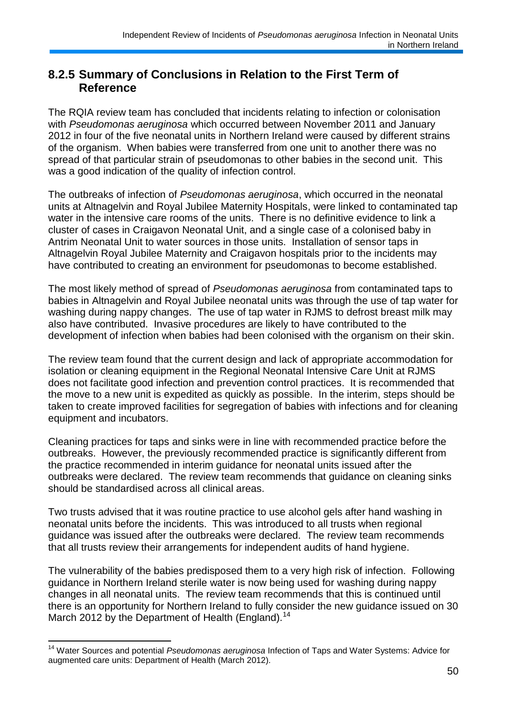## **8.2.5 Summary of Conclusions in Relation to the First Term of Reference**

The RQIA review team has concluded that incidents relating to infection or colonisation with *Pseudomonas aeruginosa* which occurred between November 2011 and January 2012 in four of the five neonatal units in Northern Ireland were caused by different strains of the organism. When babies were transferred from one unit to another there was no spread of that particular strain of pseudomonas to other babies in the second unit. This was a good indication of the quality of infection control.

The outbreaks of infection of *Pseudomonas aeruginosa*, which occurred in the neonatal units at Altnagelvin and Royal Jubilee Maternity Hospitals, were linked to contaminated tap water in the intensive care rooms of the units. There is no definitive evidence to link a cluster of cases in Craigavon Neonatal Unit, and a single case of a colonised baby in Antrim Neonatal Unit to water sources in those units. Installation of sensor taps in Altnagelvin Royal Jubilee Maternity and Craigavon hospitals prior to the incidents may have contributed to creating an environment for pseudomonas to become established.

The most likely method of spread of *Pseudomonas aeruginosa* from contaminated taps to babies in Altnagelvin and Royal Jubilee neonatal units was through the use of tap water for washing during nappy changes. The use of tap water in RJMS to defrost breast milk may also have contributed. Invasive procedures are likely to have contributed to the development of infection when babies had been colonised with the organism on their skin.

The review team found that the current design and lack of appropriate accommodation for isolation or cleaning equipment in the Regional Neonatal Intensive Care Unit at RJMS does not facilitate good infection and prevention control practices. It is recommended that the move to a new unit is expedited as quickly as possible. In the interim, steps should be taken to create improved facilities for segregation of babies with infections and for cleaning equipment and incubators.

Cleaning practices for taps and sinks were in line with recommended practice before the outbreaks. However, the previously recommended practice is significantly different from the practice recommended in interim guidance for neonatal units issued after the outbreaks were declared. The review team recommends that guidance on cleaning sinks should be standardised across all clinical areas.

Two trusts advised that it was routine practice to use alcohol gels after hand washing in neonatal units before the incidents. This was introduced to all trusts when regional guidance was issued after the outbreaks were declared. The review team recommends that all trusts review their arrangements for independent audits of hand hygiene.

The vulnerability of the babies predisposed them to a very high risk of infection. Following guidance in Northern Ireland sterile water is now being used for washing during nappy changes in all neonatal units. The review team recommends that this is continued until there is an opportunity for Northern Ireland to fully consider the new guidance issued on 30 March 2012 by the Department of Health (England).<sup>14</sup>

1

<sup>14</sup> Water Sources and potential *Pseudomonas aeruginosa* Infection of Taps and Water Systems: Advice for augmented care units: Department of Health (March 2012).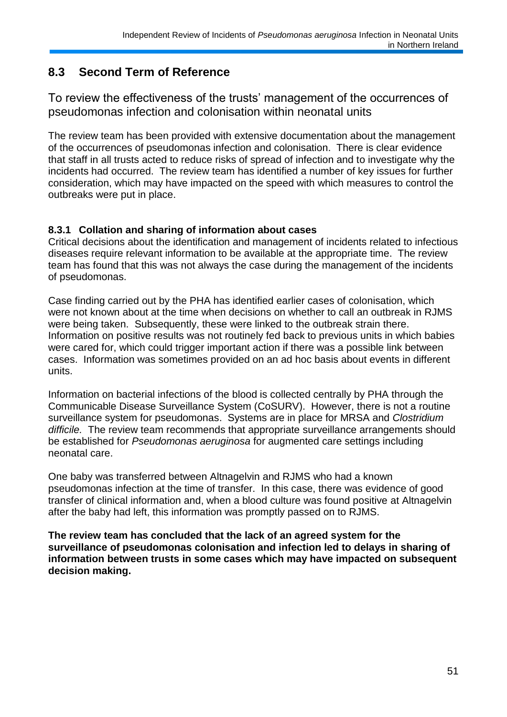## **8.3 Second Term of Reference**

To review the effectiveness of the trusts" management of the occurrences of pseudomonas infection and colonisation within neonatal units

The review team has been provided with extensive documentation about the management of the occurrences of pseudomonas infection and colonisation. There is clear evidence that staff in all trusts acted to reduce risks of spread of infection and to investigate why the incidents had occurred. The review team has identified a number of key issues for further consideration, which may have impacted on the speed with which measures to control the outbreaks were put in place.

#### **8.3.1 Collation and sharing of information about cases**

Critical decisions about the identification and management of incidents related to infectious diseases require relevant information to be available at the appropriate time. The review team has found that this was not always the case during the management of the incidents of pseudomonas.

Case finding carried out by the PHA has identified earlier cases of colonisation, which were not known about at the time when decisions on whether to call an outbreak in RJMS were being taken. Subsequently, these were linked to the outbreak strain there. Information on positive results was not routinely fed back to previous units in which babies were cared for, which could trigger important action if there was a possible link between cases. Information was sometimes provided on an ad hoc basis about events in different units.

Information on bacterial infections of the blood is collected centrally by PHA through the Communicable Disease Surveillance System (CoSURV). However, there is not a routine surveillance system for pseudomonas. Systems are in place for MRSA and *Clostridium difficile.* The review team recommends that appropriate surveillance arrangements should be established for *Pseudomonas aeruginosa* for augmented care settings including neonatal care.

One baby was transferred between Altnagelvin and RJMS who had a known pseudomonas infection at the time of transfer. In this case, there was evidence of good transfer of clinical information and, when a blood culture was found positive at Altnagelvin after the baby had left, this information was promptly passed on to RJMS.

**The review team has concluded that the lack of an agreed system for the surveillance of pseudomonas colonisation and infection led to delays in sharing of information between trusts in some cases which may have impacted on subsequent decision making.**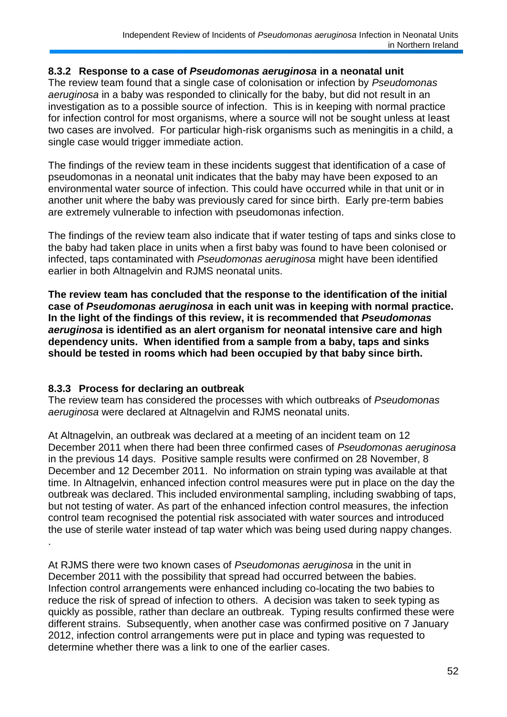#### **8.3.2 Response to a case of** *Pseudomonas aeruginosa* **in a neonatal unit**

The review team found that a single case of colonisation or infection by *Pseudomonas aeruginosa* in a baby was responded to clinically for the baby, but did not result in an investigation as to a possible source of infection. This is in keeping with normal practice for infection control for most organisms, where a source will not be sought unless at least two cases are involved. For particular high-risk organisms such as meningitis in a child, a single case would trigger immediate action.

The findings of the review team in these incidents suggest that identification of a case of pseudomonas in a neonatal unit indicates that the baby may have been exposed to an environmental water source of infection. This could have occurred while in that unit or in another unit where the baby was previously cared for since birth. Early pre-term babies are extremely vulnerable to infection with pseudomonas infection.

The findings of the review team also indicate that if water testing of taps and sinks close to the baby had taken place in units when a first baby was found to have been colonised or infected, taps contaminated with *Pseudomonas aeruginosa* might have been identified earlier in both Altnagelvin and RJMS neonatal units.

**The review team has concluded that the response to the identification of the initial case of** *Pseudomonas aeruginosa* **in each unit was in keeping with normal practice. In the light of the findings of this review, it is recommended that** *Pseudomonas aeruginosa* **is identified as an alert organism for neonatal intensive care and high dependency units. When identified from a sample from a baby, taps and sinks should be tested in rooms which had been occupied by that baby since birth.**

### **8.3.3 Process for declaring an outbreak**

The review team has considered the processes with which outbreaks of *Pseudomonas aeruginosa* were declared at Altnagelvin and RJMS neonatal units.

At Altnagelvin, an outbreak was declared at a meeting of an incident team on 12 December 2011 when there had been three confirmed cases of *Pseudomonas aeruginosa* in the previous 14 days. Positive sample results were confirmed on 28 November, 8 December and 12 December 2011. No information on strain typing was available at that time. In Altnagelvin, enhanced infection control measures were put in place on the day the outbreak was declared. This included environmental sampling, including swabbing of taps, but not testing of water. As part of the enhanced infection control measures, the infection control team recognised the potential risk associated with water sources and introduced the use of sterile water instead of tap water which was being used during nappy changes. .

At RJMS there were two known cases of *Pseudomonas aeruginosa* in the unit in December 2011 with the possibility that spread had occurred between the babies. Infection control arrangements were enhanced including co-locating the two babies to reduce the risk of spread of infection to others. A decision was taken to seek typing as quickly as possible, rather than declare an outbreak. Typing results confirmed these were different strains. Subsequently, when another case was confirmed positive on 7 January 2012, infection control arrangements were put in place and typing was requested to determine whether there was a link to one of the earlier cases.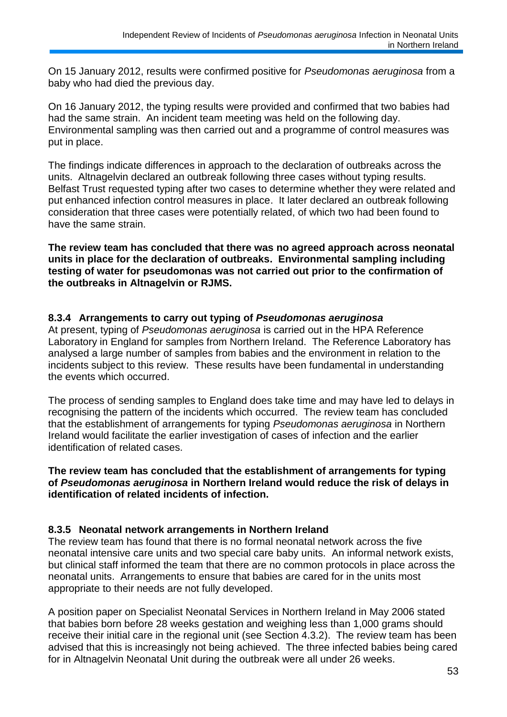On 15 January 2012, results were confirmed positive for *Pseudomonas aeruginosa* from a baby who had died the previous day.

On 16 January 2012, the typing results were provided and confirmed that two babies had had the same strain. An incident team meeting was held on the following day. Environmental sampling was then carried out and a programme of control measures was put in place.

The findings indicate differences in approach to the declaration of outbreaks across the units. Altnagelvin declared an outbreak following three cases without typing results. Belfast Trust requested typing after two cases to determine whether they were related and put enhanced infection control measures in place. It later declared an outbreak following consideration that three cases were potentially related, of which two had been found to have the same strain.

**The review team has concluded that there was no agreed approach across neonatal units in place for the declaration of outbreaks. Environmental sampling including testing of water for pseudomonas was not carried out prior to the confirmation of the outbreaks in Altnagelvin or RJMS.**

#### **8.3.4 Arrangements to carry out typing of** *Pseudomonas aeruginosa*

At present, typing of *Pseudomonas aeruginosa* is carried out in the HPA Reference Laboratory in England for samples from Northern Ireland. The Reference Laboratory has analysed a large number of samples from babies and the environment in relation to the incidents subject to this review. These results have been fundamental in understanding the events which occurred.

The process of sending samples to England does take time and may have led to delays in recognising the pattern of the incidents which occurred. The review team has concluded that the establishment of arrangements for typing *Pseudomonas aeruginosa* in Northern Ireland would facilitate the earlier investigation of cases of infection and the earlier identification of related cases.

**The review team has concluded that the establishment of arrangements for typing of** *Pseudomonas aeruginosa* **in Northern Ireland would reduce the risk of delays in identification of related incidents of infection.** 

### **8.3.5 Neonatal network arrangements in Northern Ireland**

The review team has found that there is no formal neonatal network across the five neonatal intensive care units and two special care baby units. An informal network exists, but clinical staff informed the team that there are no common protocols in place across the neonatal units. Arrangements to ensure that babies are cared for in the units most appropriate to their needs are not fully developed.

A position paper on Specialist Neonatal Services in Northern Ireland in May 2006 stated that babies born before 28 weeks gestation and weighing less than 1,000 grams should receive their initial care in the regional unit (see Section 4.3.2). The review team has been advised that this is increasingly not being achieved. The three infected babies being cared for in Altnagelvin Neonatal Unit during the outbreak were all under 26 weeks.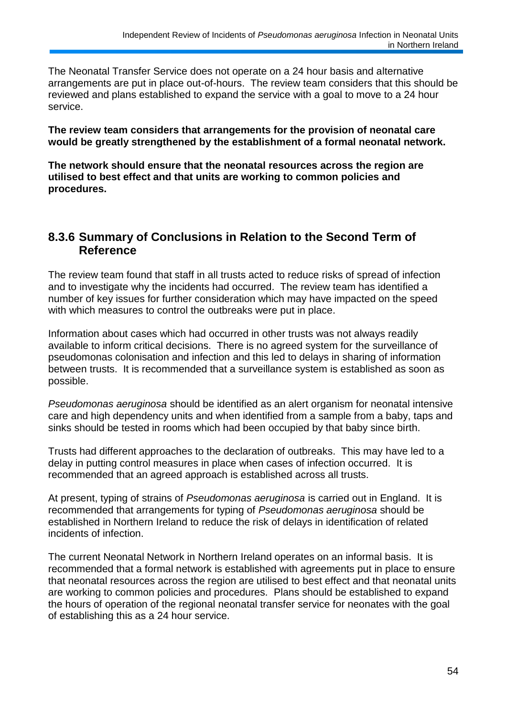The Neonatal Transfer Service does not operate on a 24 hour basis and alternative arrangements are put in place out-of-hours. The review team considers that this should be reviewed and plans established to expand the service with a goal to move to a 24 hour service.

**The review team considers that arrangements for the provision of neonatal care would be greatly strengthened by the establishment of a formal neonatal network.**

**The network should ensure that the neonatal resources across the region are utilised to best effect and that units are working to common policies and procedures.**

## **8.3.6 Summary of Conclusions in Relation to the Second Term of Reference**

The review team found that staff in all trusts acted to reduce risks of spread of infection and to investigate why the incidents had occurred. The review team has identified a number of key issues for further consideration which may have impacted on the speed with which measures to control the outbreaks were put in place.

Information about cases which had occurred in other trusts was not always readily available to inform critical decisions. There is no agreed system for the surveillance of pseudomonas colonisation and infection and this led to delays in sharing of information between trusts. It is recommended that a surveillance system is established as soon as possible.

*Pseudomonas aeruginosa* should be identified as an alert organism for neonatal intensive care and high dependency units and when identified from a sample from a baby, taps and sinks should be tested in rooms which had been occupied by that baby since birth.

Trusts had different approaches to the declaration of outbreaks. This may have led to a delay in putting control measures in place when cases of infection occurred. It is recommended that an agreed approach is established across all trusts.

At present, typing of strains of *Pseudomonas aeruginosa* is carried out in England. It is recommended that arrangements for typing of *Pseudomonas aeruginosa* should be established in Northern Ireland to reduce the risk of delays in identification of related incidents of infection.

The current Neonatal Network in Northern Ireland operates on an informal basis. It is recommended that a formal network is established with agreements put in place to ensure that neonatal resources across the region are utilised to best effect and that neonatal units are working to common policies and procedures. Plans should be established to expand the hours of operation of the regional neonatal transfer service for neonates with the goal of establishing this as a 24 hour service.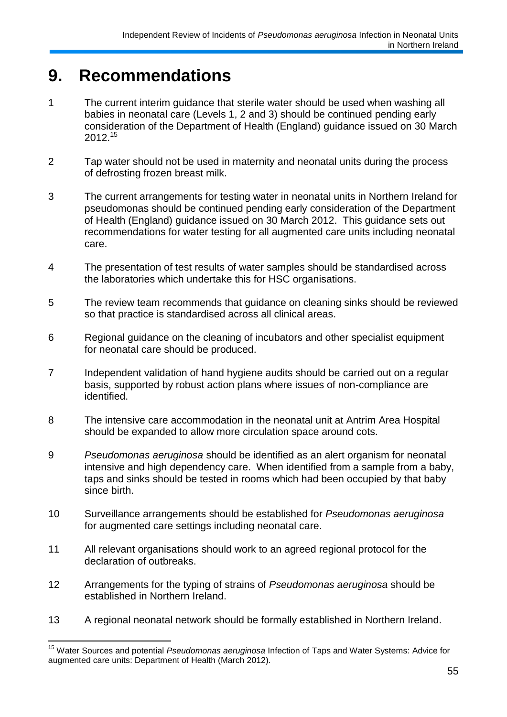# **9. Recommendations**

- 1 The current interim guidance that sterile water should be used when washing all babies in neonatal care (Levels 1, 2 and 3) should be continued pending early consideration of the Department of Health (England) guidance issued on 30 March 2012.<sup>15</sup>
- 2 Tap water should not be used in maternity and neonatal units during the process of defrosting frozen breast milk.
- 3 The current arrangements for testing water in neonatal units in Northern Ireland for pseudomonas should be continued pending early consideration of the Department of Health (England) guidance issued on 30 March 2012. This guidance sets out recommendations for water testing for all augmented care units including neonatal care.
- 4 The presentation of test results of water samples should be standardised across the laboratories which undertake this for HSC organisations.
- 5 The review team recommends that guidance on cleaning sinks should be reviewed so that practice is standardised across all clinical areas.
- 6 Regional guidance on the cleaning of incubators and other specialist equipment for neonatal care should be produced.
- 7 Independent validation of hand hygiene audits should be carried out on a regular basis, supported by robust action plans where issues of non-compliance are identified.
- 8 The intensive care accommodation in the neonatal unit at Antrim Area Hospital should be expanded to allow more circulation space around cots.
- 9 *Pseudomonas aeruginosa* should be identified as an alert organism for neonatal intensive and high dependency care. When identified from a sample from a baby, taps and sinks should be tested in rooms which had been occupied by that baby since birth.
- 10 Surveillance arrangements should be established for *Pseudomonas aeruginosa* for augmented care settings including neonatal care.
- 11 All relevant organisations should work to an agreed regional protocol for the declaration of outbreaks.
- 12 Arrangements for the typing of strains of *Pseudomonas aeruginosa* should be established in Northern Ireland.
- 13 A regional neonatal network should be formally established in Northern Ireland.

<sup>1</sup> <sup>15</sup> Water Sources and potential *Pseudomonas aeruginosa* Infection of Taps and Water Systems: Advice for augmented care units: Department of Health (March 2012).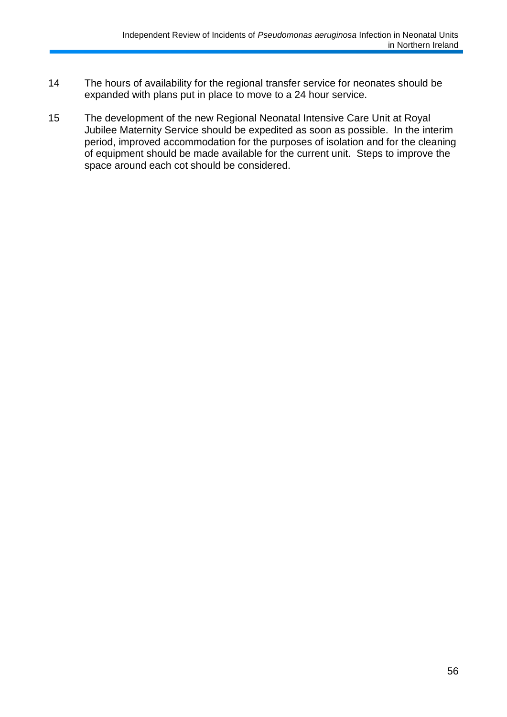- 14 The hours of availability for the regional transfer service for neonates should be expanded with plans put in place to move to a 24 hour service.
- 15 The development of the new Regional Neonatal Intensive Care Unit at Royal Jubilee Maternity Service should be expedited as soon as possible. In the interim period, improved accommodation for the purposes of isolation and for the cleaning of equipment should be made available for the current unit. Steps to improve the space around each cot should be considered.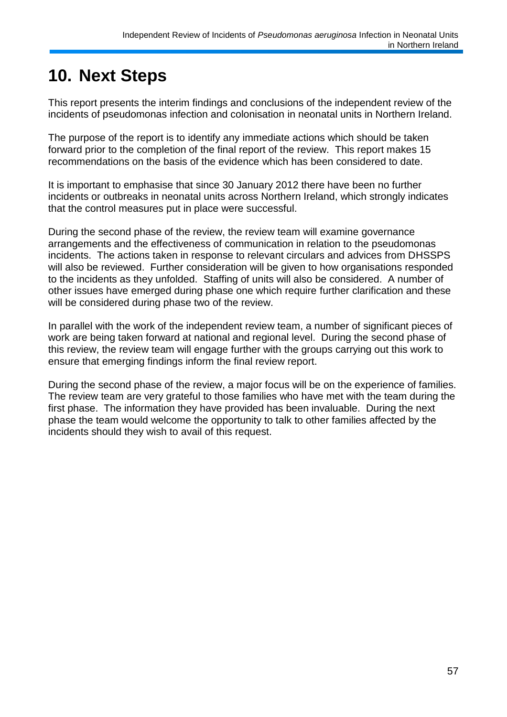# **10. Next Steps**

This report presents the interim findings and conclusions of the independent review of the incidents of pseudomonas infection and colonisation in neonatal units in Northern Ireland.

The purpose of the report is to identify any immediate actions which should be taken forward prior to the completion of the final report of the review. This report makes 15 recommendations on the basis of the evidence which has been considered to date.

It is important to emphasise that since 30 January 2012 there have been no further incidents or outbreaks in neonatal units across Northern Ireland, which strongly indicates that the control measures put in place were successful.

During the second phase of the review, the review team will examine governance arrangements and the effectiveness of communication in relation to the pseudomonas incidents. The actions taken in response to relevant circulars and advices from DHSSPS will also be reviewed. Further consideration will be given to how organisations responded to the incidents as they unfolded. Staffing of units will also be considered. A number of other issues have emerged during phase one which require further clarification and these will be considered during phase two of the review.

In parallel with the work of the independent review team, a number of significant pieces of work are being taken forward at national and regional level. During the second phase of this review, the review team will engage further with the groups carrying out this work to ensure that emerging findings inform the final review report.

During the second phase of the review, a major focus will be on the experience of families. The review team are very grateful to those families who have met with the team during the first phase. The information they have provided has been invaluable. During the next phase the team would welcome the opportunity to talk to other families affected by the incidents should they wish to avail of this request.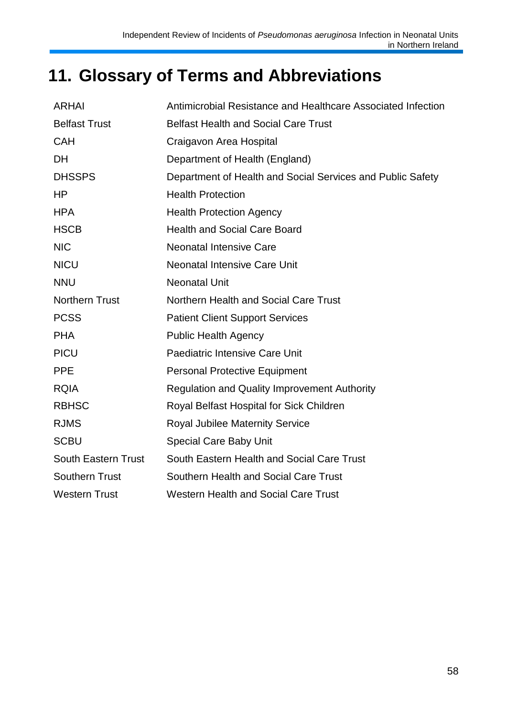# **11. Glossary of Terms and Abbreviations**

| <b>ARHAI</b>               | Antimicrobial Resistance and Healthcare Associated Infection |
|----------------------------|--------------------------------------------------------------|
| <b>Belfast Trust</b>       | <b>Belfast Health and Social Care Trust</b>                  |
| <b>CAH</b>                 | Craigavon Area Hospital                                      |
| <b>DH</b>                  | Department of Health (England)                               |
| <b>DHSSPS</b>              | Department of Health and Social Services and Public Safety   |
| HP                         | <b>Health Protection</b>                                     |
| <b>HPA</b>                 | <b>Health Protection Agency</b>                              |
| <b>HSCB</b>                | <b>Health and Social Care Board</b>                          |
| <b>NIC</b>                 | <b>Neonatal Intensive Care</b>                               |
| <b>NICU</b>                | <b>Neonatal Intensive Care Unit</b>                          |
| <b>NNU</b>                 | <b>Neonatal Unit</b>                                         |
| <b>Northern Trust</b>      | Northern Health and Social Care Trust                        |
| <b>PCSS</b>                | <b>Patient Client Support Services</b>                       |
| <b>PHA</b>                 | <b>Public Health Agency</b>                                  |
| <b>PICU</b>                | Paediatric Intensive Care Unit                               |
| <b>PPE</b>                 | <b>Personal Protective Equipment</b>                         |
| <b>RQIA</b>                | <b>Regulation and Quality Improvement Authority</b>          |
| <b>RBHSC</b>               | Royal Belfast Hospital for Sick Children                     |
| <b>RJMS</b>                | <b>Royal Jubilee Maternity Service</b>                       |
| <b>SCBU</b>                | <b>Special Care Baby Unit</b>                                |
| <b>South Eastern Trust</b> | South Eastern Health and Social Care Trust                   |
| <b>Southern Trust</b>      | Southern Health and Social Care Trust                        |
| <b>Western Trust</b>       | <b>Western Health and Social Care Trust</b>                  |